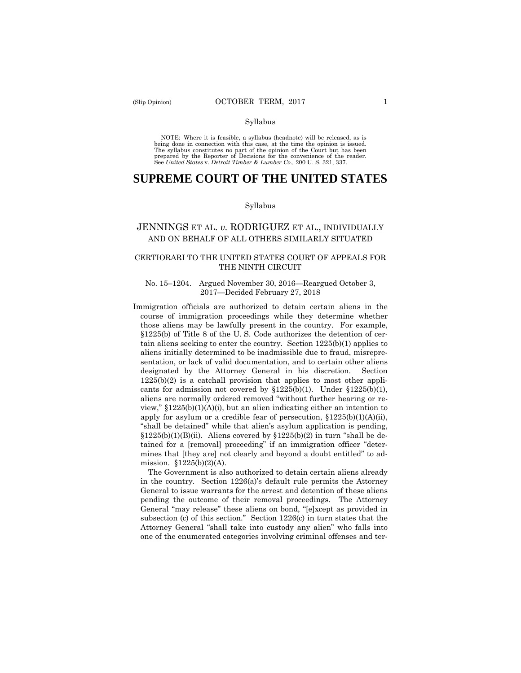NOTE: Where it is feasible, a syllabus (headnote) will be released, as is being done in connection with this case, at the time the opinion is issued. The syllabus constitutes no part of the opinion of the Court but has been<br>prepared by the Reporter of Decisions for the convenience of the reader.<br>See United States v. Detroit Timber & Lumber Co., 200 U.S. 321, 337.

# **SUPREME COURT OF THE UNITED STATES**

#### Syllabus

# JENNINGS ET AL. *v.* RODRIGUEZ ET AL., INDIVIDUALLY AND ON BEHALF OF ALL OTHERS SIMILARLY SITUATED

# CERTIORARI TO THE UNITED STATES COURT OF APPEALS FOR THE NINTH CIRCUIT

### No. 15–1204. Argued November 30, 2016—Reargued October 3, 2017—Decided February 27, 2018

Immigration officials are authorized to detain certain aliens in the course of immigration proceedings while they determine whether those aliens may be lawfully present in the country. For example, §1225(b) of Title 8 of the U. S. Code authorizes the detention of certain aliens seeking to enter the country. Section 1225(b)(1) applies to aliens initially determined to be inadmissible due to fraud, misrepresentation, or lack of valid documentation, and to certain other aliens designated by the Attorney General in his discretion. Section  $1225(b)(2)$  is a catchall provision that applies to most other applicants for admission not covered by  $$1225(b)(1)$ . Under  $$1225(b)(1)$ , aliens are normally ordered removed "without further hearing or review,"  $$1225(b)(1)(A)(i)$ , but an alien indicating either an intention to apply for asylum or a credible fear of persecution,  $$1225(b)(1)(A)(ii)$ , "shall be detained" while that alien's asylum application is pending,  $$1225(b)(1)(B)(ii)$ . Aliens covered by  $$1225(b)(2)$  in turn "shall be detained for a [removal] proceeding" if an immigration officer "determines that [they are] not clearly and beyond a doubt entitled" to admission. §1225(b)(2)(A).

The Government is also authorized to detain certain aliens already in the country. Section 1226(a)'s default rule permits the Attorney General to issue warrants for the arrest and detention of these aliens pending the outcome of their removal proceedings. The Attorney General "may release" these aliens on bond, "[e]xcept as provided in subsection (c) of this section." Section 1226(c) in turn states that the Attorney General "shall take into custody any alien" who falls into one of the enumerated categories involving criminal offenses and ter-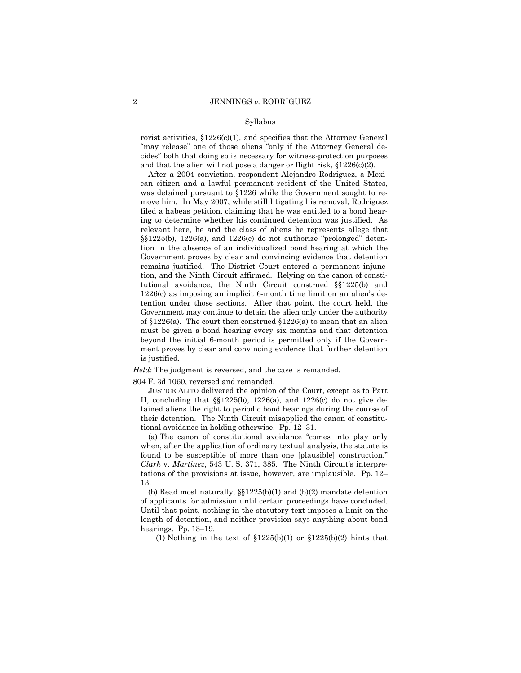rorist activities,  $$1226(c)(1)$ , and specifies that the Attorney General "may release" one of those aliens "only if the Attorney General decides" both that doing so is necessary for witness-protection purposes and that the alien will not pose a danger or flight risk, §1226(c)(2).

After a 2004 conviction, respondent Alejandro Rodriguez, a Mexican citizen and a lawful permanent resident of the United States, was detained pursuant to §1226 while the Government sought to remove him. In May 2007, while still litigating his removal, Rodriguez filed a habeas petition, claiming that he was entitled to a bond hearing to determine whether his continued detention was justified. As relevant here, he and the class of aliens he represents allege that §§1225(b), 1226(a), and 1226(c) do not authorize "prolonged" detention in the absence of an individualized bond hearing at which the Government proves by clear and convincing evidence that detention remains justified. The District Court entered a permanent injunction, and the Ninth Circuit affirmed. Relying on the canon of constitutional avoidance, the Ninth Circuit construed §§1225(b) and 1226(c) as imposing an implicit 6-month time limit on an alien's detention under those sections. After that point, the court held, the Government may continue to detain the alien only under the authority of §1226(a). The court then construed §1226(a) to mean that an alien must be given a bond hearing every six months and that detention beyond the initial 6-month period is permitted only if the Government proves by clear and convincing evidence that further detention is justified.

*Held*: The judgment is reversed, and the case is remanded.

804 F. 3d 1060, reversed and remanded.

JUSTICE ALITO delivered the opinion of the Court, except as to Part II, concluding that §§1225(b), 1226(a), and 1226(c) do not give detained aliens the right to periodic bond hearings during the course of their detention. The Ninth Circuit misapplied the canon of constitutional avoidance in holding otherwise. Pp. 12–31.

(a) The canon of constitutional avoidance "comes into play only when, after the application of ordinary textual analysis, the statute is found to be susceptible of more than one [plausible] construction." *Clark* v. *Martinez*, 543 U. S. 371, 385. The Ninth Circuit's interpretations of the provisions at issue, however, are implausible. Pp. 12– 13.

(b) Read most naturally,  $\S$  $1225(b)(1)$  and  $(b)(2)$  mandate detention of applicants for admission until certain proceedings have concluded. Until that point, nothing in the statutory text imposes a limit on the length of detention, and neither provision says anything about bond hearings. Pp. 13–19.

(1) Nothing in the text of  $$1225(b)(1)$  or  $$1225(b)(2)$  hints that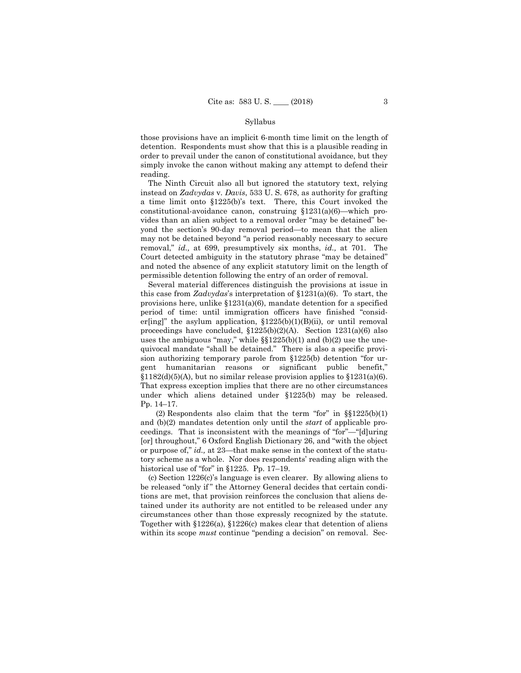those provisions have an implicit 6-month time limit on the length of detention. Respondents must show that this is a plausible reading in order to prevail under the canon of constitutional avoidance, but they simply invoke the canon without making any attempt to defend their reading.

a time limit onto §1225(b)'s text. There, this Court invoked the The Ninth Circuit also all but ignored the statutory text, relying instead on *Zadvydas* v. *Davis*, 533 U. S. 678, as authority for grafting constitutional-avoidance canon, construing  $$1231(a)(6)$ —which provides than an alien subject to a removal order "may be detained" beyond the section's 90-day removal period—to mean that the alien may not be detained beyond "a period reasonably necessary to secure removal," *id.,* at 699, presumptively six months, *id.,* at 701. The Court detected ambiguity in the statutory phrase "may be detained" and noted the absence of any explicit statutory limit on the length of permissible detention following the entry of an order of removal.

Several material differences distinguish the provisions at issue in this case from *Zadvydas*'s interpretation of §1231(a)(6). To start, the provisions here, unlike  $$1231(a)(6)$ , mandate detention for a specified period of time: until immigration officers have finished "consider[ing]" the asylum application, §1225(b)(1)(B)(ii), or until removal proceedings have concluded, §1225(b)(2)(A). Section 1231(a)(6) also uses the ambiguous "may," while  $\S$ [1225(b)(1) and (b)(2) use the unequivocal mandate "shall be detained." There is also a specific provision authorizing temporary parole from §1225(b) detention "for urgent humanitarian reasons or significant public benefit,"  $§1182(d)(5)(A)$ , but no similar release provision applies to  $§1231(a)(6)$ . That express exception implies that there are no other circumstances under which aliens detained under §1225(b) may be released. Pp. 14–17.

(2) Respondents also claim that the term "for" in  $\S$  $1225(b)(1)$ and (b)(2) mandates detention only until the *start* of applicable proceedings. That is inconsistent with the meanings of "for"—"[d]uring [or] throughout," 6 Oxford English Dictionary 26, and "with the object or purpose of," *id.,* at 23—that make sense in the context of the statutory scheme as a whole. Nor does respondents' reading align with the historical use of "for" in §1225. Pp. 17–19.

(c) Section 1226(c)'s language is even clearer. By allowing aliens to be released "only if " the Attorney General decides that certain conditions are met, that provision reinforces the conclusion that aliens detained under its authority are not entitled to be released under any circumstances other than those expressly recognized by the statute. Together with §1226(a), §1226(c) makes clear that detention of aliens within its scope *must* continue "pending a decision" on removal. Sec-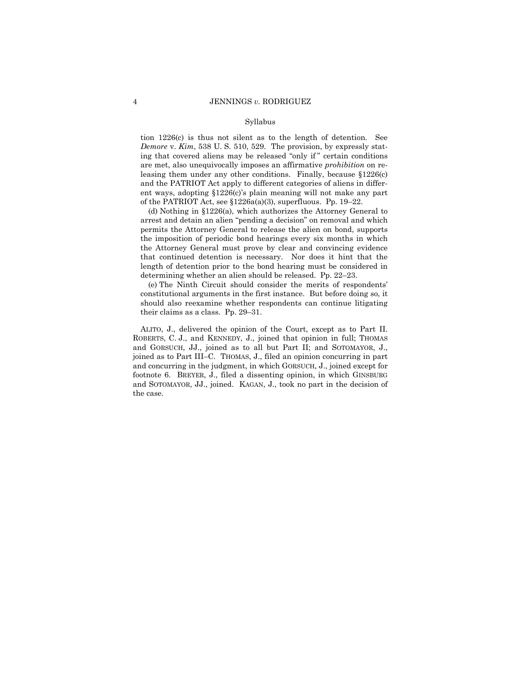tion 1226(c) is thus not silent as to the length of detention. See *Demore* v. *Kim*, 538 U. S. 510, 529. The provision, by expressly stating that covered aliens may be released "only if " certain conditions are met, also unequivocally imposes an affirmative *prohibition* on releasing them under any other conditions. Finally, because §1226(c) and the PATRIOT Act apply to different categories of aliens in different ways, adopting §1226(c)'s plain meaning will not make any part of the PATRIOT Act, see §1226a(a)(3), superfluous. Pp. 19–22.

(d) Nothing in §1226(a), which authorizes the Attorney General to arrest and detain an alien "pending a decision" on removal and which permits the Attorney General to release the alien on bond, supports the imposition of periodic bond hearings every six months in which the Attorney General must prove by clear and convincing evidence that continued detention is necessary. Nor does it hint that the length of detention prior to the bond hearing must be considered in determining whether an alien should be released. Pp. 22–23.

(e) The Ninth Circuit should consider the merits of respondents' constitutional arguments in the first instance. But before doing so, it should also reexamine whether respondents can continue litigating their claims as a class. Pp. 29–31.

ALITO, J., delivered the opinion of the Court, except as to Part II. ROBERTS, C. J., and KENNEDY, J., joined that opinion in full; THOMAS and GORSUCH, JJ., joined as to all but Part II; and SOTOMAYOR, J., joined as to Part III–C. THOMAS, J., filed an opinion concurring in part and concurring in the judgment, in which GORSUCH, J., joined except for footnote 6. BREYER, J., filed a dissenting opinion, in which GINSBURG and SOTOMAYOR, JJ., joined. KAGAN, J., took no part in the decision of the case.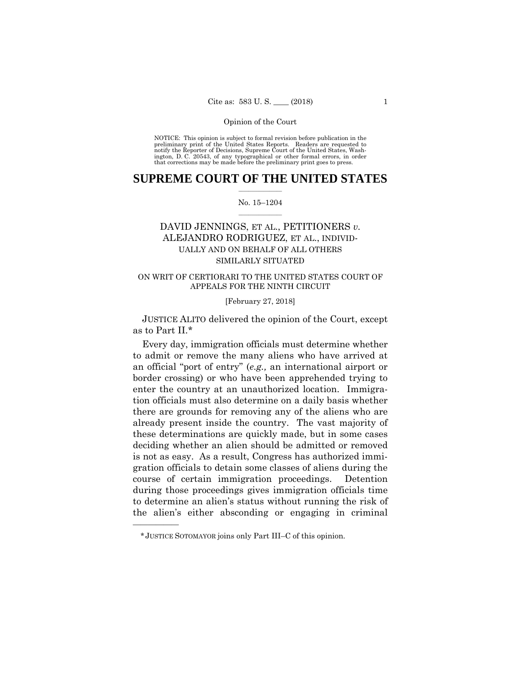NOTICE: This opinion is subject to formal revision before publication in the preliminary print of the United States Reports. Readers are requested to notify the Reporter of Decisions, Supreme Court of the United States, Washington, D. C. 20543, of any typographical or other formal errors, in order that corrections may be made before the preliminary print goes to press.

# **SUPREME COURT OF THE UNITED STATES**  $\frac{1}{2}$  ,  $\frac{1}{2}$  ,  $\frac{1}{2}$  ,  $\frac{1}{2}$  ,  $\frac{1}{2}$  ,  $\frac{1}{2}$  ,  $\frac{1}{2}$

# No. 15–1204  $\frac{1}{2}$  ,  $\frac{1}{2}$  ,  $\frac{1}{2}$  ,  $\frac{1}{2}$  ,  $\frac{1}{2}$  ,  $\frac{1}{2}$

# DAVID JENNINGS, ET AL., PETITIONERS *v.* ALEJANDRO RODRIGUEZ, ET AL., INDIVID-UALLY AND ON BEHALF OF ALL OTHERS SIMILARLY SITUATED

# ON WRIT OF CERTIORARI TO THE UNITED STATES COURT OF APPEALS FOR THE NINTH CIRCUIT

# [February 27, 2018]

 JUSTICE ALITO delivered the opinion of the Court, except as to Part II.\*

 Every day, immigration officials must determine whether to admit or remove the many aliens who have arrived at an official "port of entry" (*e.g.,* an international airport or border crossing) or who have been apprehended trying to enter the country at an unauthorized location. Immigration officials must also determine on a daily basis whether there are grounds for removing any of the aliens who are already present inside the country. The vast majority of these determinations are quickly made, but in some cases deciding whether an alien should be admitted or removed is not as easy. As a result, Congress has authorized immigration officials to detain some classes of aliens during the course of certain immigration proceedings. Detention during those proceedings gives immigration officials time to determine an alien's status without running the risk of the alien's either absconding or engaging in criminal

<sup>\*</sup>JUSTICE SOTOMAYOR joins only Part III–C of this opinion.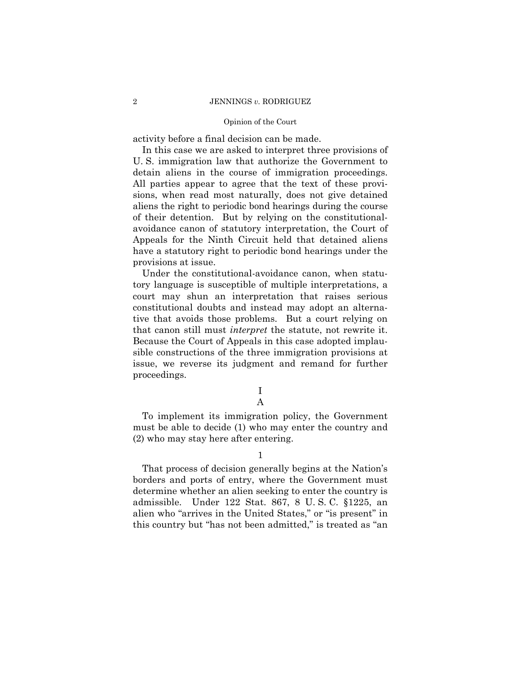# 2 JENNINGS *v.* RODRIGUEZ

# Opinion of the Court

activity before a final decision can be made.

In this case we are asked to interpret three provisions of U. S. immigration law that authorize the Government to detain aliens in the course of immigration proceedings. All parties appear to agree that the text of these provisions, when read most naturally, does not give detained aliens the right to periodic bond hearings during the course of their detention. But by relying on the constitutionalavoidance canon of statutory interpretation, the Court of Appeals for the Ninth Circuit held that detained aliens have a statutory right to periodic bond hearings under the provisions at issue.

Under the constitutional-avoidance canon, when statutory language is susceptible of multiple interpretations, a court may shun an interpretation that raises serious constitutional doubts and instead may adopt an alternative that avoids those problems. But a court relying on that canon still must *interpret* the statute, not rewrite it. Because the Court of Appeals in this case adopted implausible constructions of the three immigration provisions at issue, we reverse its judgment and remand for further proceedings.

> I A

To implement its immigration policy, the Government must be able to decide (1) who may enter the country and (2) who may stay here after entering.

1

That process of decision generally begins at the Nation's borders and ports of entry, where the Government must determine whether an alien seeking to enter the country is admissible. Under 122 Stat. 867, 8 U. S. C. §1225, an alien who "arrives in the United States," or "is present" in this country but "has not been admitted," is treated as "an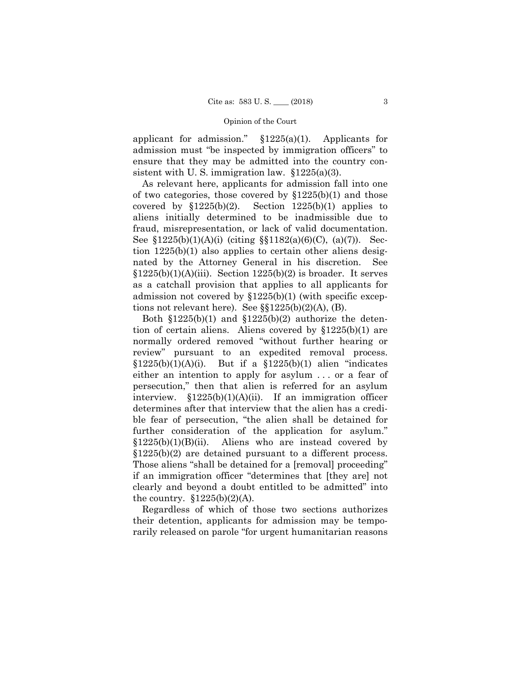applicant for admission."  $\S 1225(a)(1)$ . Applicants for admission must "be inspected by immigration officers" to ensure that they may be admitted into the country consistent with U.S. immigration law.  $§1225(a)(3)$ .

aliens initially determined to be inadmissible due to aliens initially determined to be inadmissible due to fraud, misrepresentation, or lack of valid documentation. As relevant here, applicants for admission fall into one of two categories, those covered by  $$1225(b)(1)$  and those covered by  $$1225(b)(2)$ . Section  $1225(b)(1)$  applies to See  $$1225(b)(1)(A)(i)$  (citing  $$1182(a)(6)(C), (a)(7)$ ). Section 1225(b)(1) also applies to certain other aliens designated by the Attorney General in his discretion. See  $$1225(b)(1)(A)(iii)$ . Section  $1225(b)(2)$  is broader. It serves as a catchall provision that applies to all applicants for admission not covered by §1225(b)(1) (with specific exceptions not relevant here). See  $\S$  $1225(b)(2)(A)$ , (B).

 review" pursuant to an expedited removal process. §1225(b)(1)(A)(i). But if a §1225(b)(1) alien "indicates Both  $$1225(b)(1)$  and  $$1225(b)(2)$  authorize the detention of certain aliens. Aliens covered by §1225(b)(1) are normally ordered removed "without further hearing or either an intention to apply for asylum . . . or a fear of persecution," then that alien is referred for an asylum interview.  $$1225(b)(1)(A)(ii)$ . If an immigration officer determines after that interview that the alien has a credible fear of persecution, "the alien shall be detained for further consideration of the application for asylum."  $$1225(b)(1)(B)(ii)$ . Aliens who are instead covered by §1225(b)(2) are detained pursuant to a different process. Those aliens "shall be detained for a [removal] proceeding" if an immigration officer "determines that [they are] not clearly and beyond a doubt entitled to be admitted" into the country.  $\S 1225(b)(2)(A)$ .

Regardless of which of those two sections authorizes their detention, applicants for admission may be temporarily released on parole "for urgent humanitarian reasons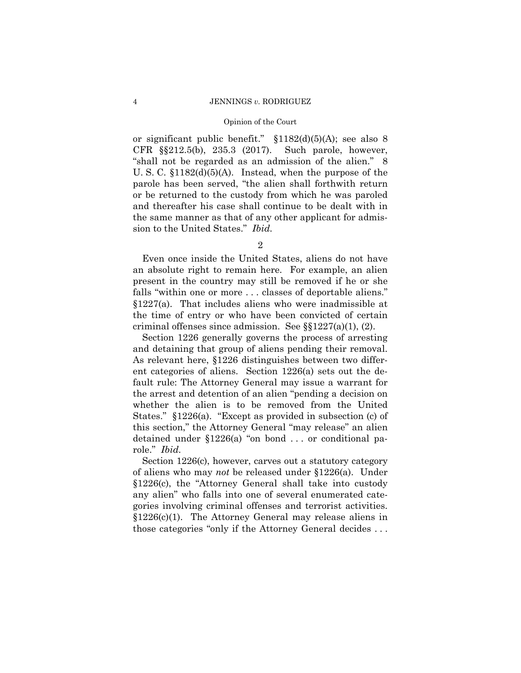or significant public benefit." §1182(d)(5)(A); see also 8 CFR §§212.5(b), 235.3 (2017). Such parole, however, "shall not be regarded as an admission of the alien." 8 U. S. C. §1182(d)(5)(A). Instead, when the purpose of the parole has been served, "the alien shall forthwith return or be returned to the custody from which he was paroled and thereafter his case shall continue to be dealt with in the same manner as that of any other applicant for admission to the United States." *Ibid.* 

Even once inside the United States, aliens do not have an absolute right to remain here. For example, an alien present in the country may still be removed if he or she falls "within one or more . . . classes of deportable aliens." §1227(a). That includes aliens who were inadmissible at the time of entry or who have been convicted of certain criminal offenses since admission. See §§1227(a)(1), (2).

Section 1226 generally governs the process of arresting and detaining that group of aliens pending their removal. As relevant here, §1226 distinguishes between two different categories of aliens. Section 1226(a) sets out the default rule: The Attorney General may issue a warrant for the arrest and detention of an alien "pending a decision on whether the alien is to be removed from the United States." §1226(a). "Except as provided in subsection (c) of this section," the Attorney General "may release" an alien detained under §1226(a) "on bond . . . or conditional parole." *Ibid.* 

Section 1226(c), however, carves out a statutory category of aliens who may *not* be released under §1226(a). Under §1226(c), the "Attorney General shall take into custody any alien" who falls into one of several enumerated categories involving criminal offenses and terrorist activities. §1226(c)(1). The Attorney General may release aliens in those categories "only if the Attorney General decides . . .

<sup>2</sup>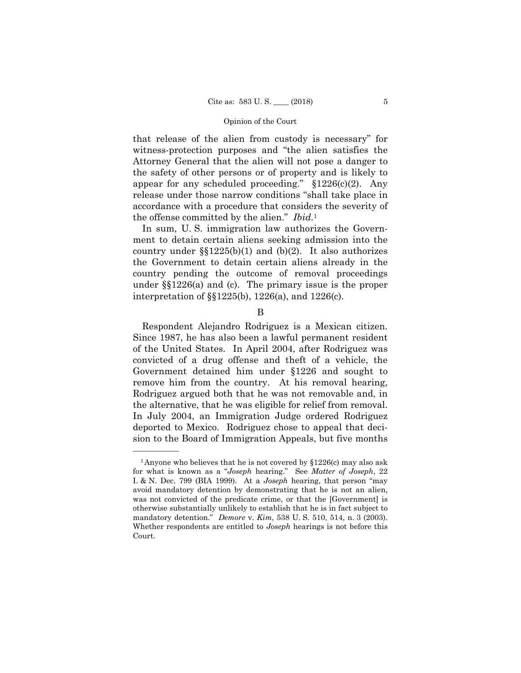that release of the alien from custody is necessary" for witness-protection purposes and "the alien satisfies the Attorney General that the alien will not pose a danger to the safety of other persons or of property and is likely to appear for any scheduled proceeding."  $$1226(c)(2)$ . Any release under those narrow conditions "shall take place in accordance with a procedure that considers the severity of the offense committed by the alien." *Ibid.*<sup>1</sup>

In sum, U. S. immigration law authorizes the Government to detain certain aliens seeking admission into the country under  $\S(1225(b)(1)$  and (b)(2). It also authorizes the Government to detain certain aliens already in the country pending the outcome of removal proceedings under §§1226(a) and (c). The primary issue is the proper interpretation of §§1225(b), 1226(a), and 1226(c).

B

 the alternative, that he was eligible for relief from removal. Respondent Alejandro Rodriguez is a Mexican citizen. Since 1987, he has also been a lawful permanent resident of the United States. In April 2004, after Rodriguez was convicted of a drug offense and theft of a vehicle, the Government detained him under §1226 and sought to remove him from the country. At his removal hearing, Rodriguez argued both that he was not removable and, in In July 2004, an Immigration Judge ordered Rodriguez deported to Mexico. Rodriguez chose to appeal that decision to the Board of Immigration Appeals, but five months

 mandatory detention." *Demore* v. *Kim*, 538 U. S. 510, 514, n. 3 (2003). <sup>1</sup>Anyone who believes that he is not covered by  $$1226(c)$  may also ask for what is known as a "*Joseph* hearing." See *Matter of Joseph*, 22 I. & N. Dec. 799 (BIA 1999). At a *Joseph* hearing, that person "may avoid mandatory detention by demonstrating that he is not an alien, was not convicted of the predicate crime, or that the [Government] is otherwise substantially unlikely to establish that he is in fact subject to Whether respondents are entitled to *Joseph* hearings is not before this Court.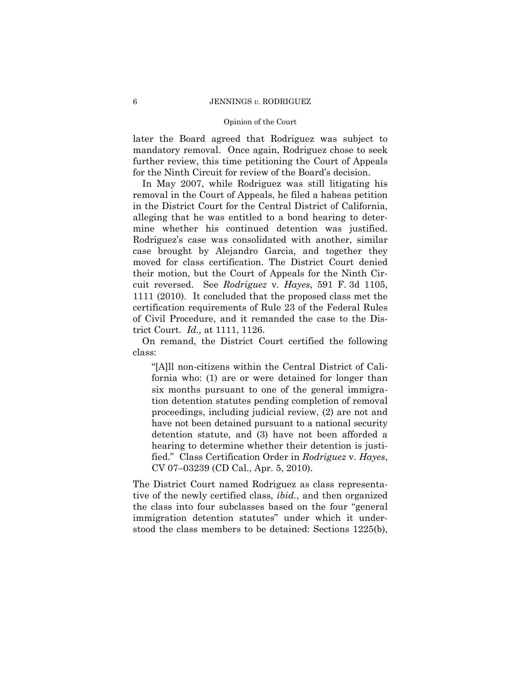# 6 JENNINGS *v.* RODRIGUEZ

# Opinion of the Court

later the Board agreed that Rodriguez was subject to mandatory removal. Once again, Rodriguez chose to seek further review, this time petitioning the Court of Appeals for the Ninth Circuit for review of the Board's decision.

In May 2007, while Rodriguez was still litigating his removal in the Court of Appeals, he filed a habeas petition in the District Court for the Central District of California, alleging that he was entitled to a bond hearing to determine whether his continued detention was justified. Rodriguez's case was consolidated with another, similar case brought by Alejandro Garcia, and together they moved for class certification. The District Court denied their motion, but the Court of Appeals for the Ninth Circuit reversed. See *Rodriguez* v. *Hayes*, 591 F. 3d 1105, 1111 (2010). It concluded that the proposed class met the certification requirements of Rule 23 of the Federal Rules of Civil Procedure, and it remanded the case to the District Court. *Id.,* at 1111, 1126.

On remand, the District Court certified the following class:

"[A]ll non-citizens within the Central District of California who: (1) are or were detained for longer than six months pursuant to one of the general immigration detention statutes pending completion of removal proceedings, including judicial review, (2) are not and have not been detained pursuant to a national security detention statute, and (3) have not been afforded a hearing to determine whether their detention is justified." Class Certification Order in *Rodriguez* v. *Hayes*, CV 07–03239 (CD Cal., Apr. 5, 2010).

The District Court named Rodriguez as class representative of the newly certified class, *ibid.*, and then organized the class into four subclasses based on the four "general immigration detention statutes" under which it understood the class members to be detained: Sections 1225(b),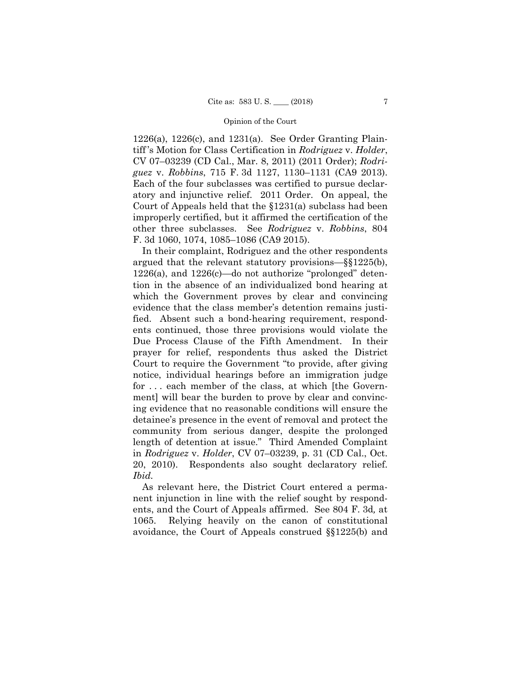1226(a), 1226(c), and 1231(a). See Order Granting Plaintiff 's Motion for Class Certification in *Rodriguez* v. *Holder*, CV 07–03239 (CD Cal., Mar. 8, 2011) (2011 Order); *Rodriguez* v. *Robbins*, 715 F. 3d 1127, 1130–1131 (CA9 2013). Each of the four subclasses was certified to pursue declaratory and injunctive relief. 2011 Order. On appeal, the Court of Appeals held that the §1231(a) subclass had been improperly certified, but it affirmed the certification of the other three subclasses. See *Rodriguez* v. *Robbins*, 804 F. 3d 1060, 1074, 1085–1086 (CA9 2015).

In their complaint, Rodriguez and the other respondents argued that the relevant statutory provisions—§§1225(b), 1226(a), and 1226(c)—do not authorize "prolonged" detention in the absence of an individualized bond hearing at which the Government proves by clear and convincing evidence that the class member's detention remains justified. Absent such a bond-hearing requirement, respondents continued, those three provisions would violate the Due Process Clause of the Fifth Amendment. In their prayer for relief, respondents thus asked the District Court to require the Government "to provide, after giving notice, individual hearings before an immigration judge for . . . each member of the class, at which [the Government] will bear the burden to prove by clear and convincing evidence that no reasonable conditions will ensure the detainee's presence in the event of removal and protect the community from serious danger, despite the prolonged length of detention at issue." Third Amended Complaint in *Rodriguez* v. *Holder*, CV 07–03239, p. 31 (CD Cal., Oct. 20, 2010). Respondents also sought declaratory relief. *Ibid.* 

As relevant here, the District Court entered a permanent injunction in line with the relief sought by respondents, and the Court of Appeals affirmed. See 804 F. 3d*,* at 1065. Relying heavily on the canon of constitutional avoidance, the Court of Appeals construed §§1225(b) and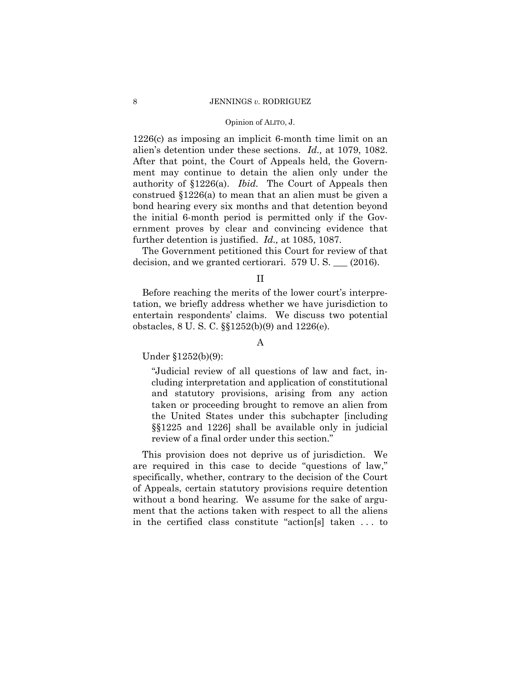## 8 JENNINGS *v.* RODRIGUEZ

# Opinion of ALITO, J.

1226(c) as imposing an implicit 6-month time limit on an alien's detention under these sections. *Id.,* at 1079, 1082. After that point, the Court of Appeals held, the Government may continue to detain the alien only under the authority of §1226(a). *Ibid.* The Court of Appeals then construed §1226(a) to mean that an alien must be given a bond hearing every six months and that detention beyond the initial 6-month period is permitted only if the Government proves by clear and convincing evidence that further detention is justified. *Id.,* at 1085, 1087.

The Government petitioned this Court for review of that decision, and we granted certiorari. 579 U. S. \_\_\_ (2016).

II

Before reaching the merits of the lower court's interpretation, we briefly address whether we have jurisdiction to entertain respondents' claims. We discuss two potential obstacles, 8 U. S. C. §§1252(b)(9) and 1226(e).

# A

Under §1252(b)(9):

"Judicial review of all questions of law and fact, including interpretation and application of constitutional and statutory provisions, arising from any action taken or proceeding brought to remove an alien from the United States under this subchapter [including §§1225 and 1226] shall be available only in judicial review of a final order under this section."

This provision does not deprive us of jurisdiction. We are required in this case to decide "questions of law," specifically, whether, contrary to the decision of the Court of Appeals, certain statutory provisions require detention without a bond hearing. We assume for the sake of argument that the actions taken with respect to all the aliens in the certified class constitute "action[s] taken . . . to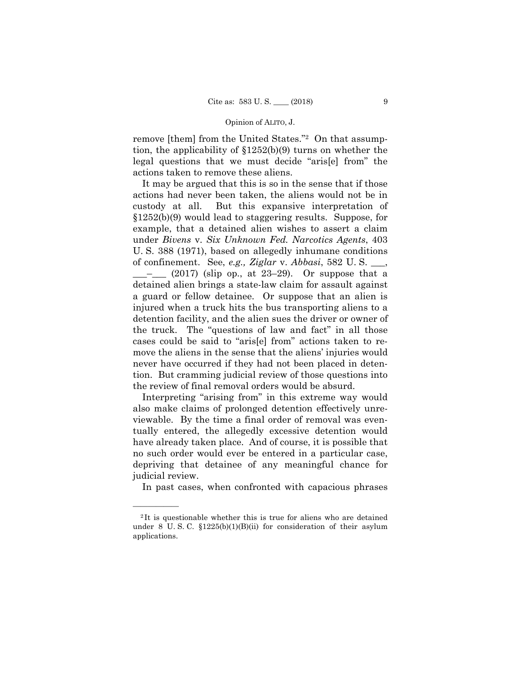# Opinion of ALITO, J.

remove [them] from the United States."2 On that assumption, the applicability of §1252(b)(9) turns on whether the legal questions that we must decide "aris[e] from" the actions taken to remove these aliens.

It may be argued that this is so in the sense that if those actions had never been taken, the aliens would not be in custody at all. But this expansive interpretation of §1252(b)(9) would lead to staggering results. Suppose, for example, that a detained alien wishes to assert a claim under *Bivens* v. *Six Unknown Fed. Narcotics Agents*, 403 U. S. 388 (1971), based on allegedly inhumane conditions of confinement. See, *e.g., Ziglar* v. *Abbasi*, 582 U. S. \_\_\_,  $\frac{1}{2}$  (2017) (slip op., at 23–29). Or suppose that a detained alien brings a state-law claim for assault against a guard or fellow detainee. Or suppose that an alien is injured when a truck hits the bus transporting aliens to a detention facility, and the alien sues the driver or owner of the truck. The "questions of law and fact" in all those cases could be said to "aris[e] from" actions taken to remove the aliens in the sense that the aliens' injuries would never have occurred if they had not been placed in detention. But cramming judicial review of those questions into the review of final removal orders would be absurd.

Interpreting "arising from" in this extreme way would also make claims of prolonged detention effectively unreviewable. By the time a final order of removal was eventually entered, the allegedly excessive detention would have already taken place. And of course, it is possible that no such order would ever be entered in a particular case, depriving that detainee of any meaningful chance for judicial review.

In past cases, when confronted with capacious phrases

<sup>2</sup> It is questionable whether this is true for aliens who are detained under 8 U. S. C. §1225(b)(1)(B)(ii) for consideration of their asylum applications.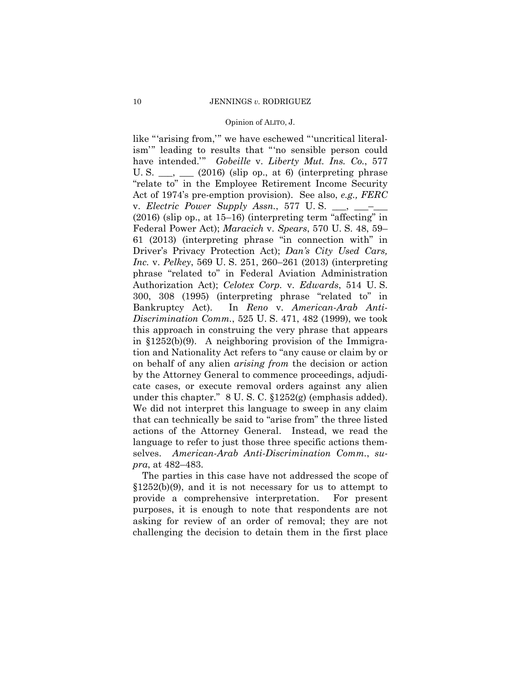## Opinion of ALITO, J.

 Act of 1974's pre-emption provision). See also, *e.g., FERC*  300, 308 (1995) (interpreting phrase "related to" in like "'arising from,'" we have eschewed "'uncritical literalism'" leading to results that "'no sensible person could have intended.'" *Gobeille* v. *Liberty Mut. Ins. Co.*, 577 U. S.  $\_\_\_\_\_\_\_\_\_\$  (2016) (slip op., at 6) (interpreting phrase "relate to" in the Employee Retirement Income Security v. *Electric Power Supply Assn.*, 577 U.S. \_\_, \_\_\_ (2016) (slip op., at 15–16) (interpreting term "affecting" in Federal Power Act); *Maracich* v. *Spears*, 570 U. S. 48, 59– 61 (2013) (interpreting phrase "in connection with" in Driver's Privacy Protection Act); *Dan's City Used Cars, Inc.* v. *Pelkey*, 569 U. S. 251, 260–261 (2013) (interpreting phrase "related to" in Federal Aviation Administration Authorization Act); *Celotex Corp.* v. *Edwards*, 514 U. S. Bankruptcy Act). In *Reno* v. *American-Arab Anti-Discrimination Comm.*, 525 U. S. 471, 482 (1999), we took this approach in construing the very phrase that appears in §1252(b)(9). A neighboring provision of the Immigration and Nationality Act refers to "any cause or claim by or on behalf of any alien *arising from* the decision or action by the Attorney General to commence proceedings, adjudicate cases, or execute removal orders against any alien under this chapter." 8 U. S. C. §1252(g) (emphasis added). We did not interpret this language to sweep in any claim that can technically be said to "arise from" the three listed actions of the Attorney General. Instead, we read the language to refer to just those three specific actions themselves. *American-Arab Anti-Discrimination Comm.*, *supra*, at 482–483.

The parties in this case have not addressed the scope of  $$1252(b)(9)$ , and it is not necessary for us to attempt to provide a comprehensive interpretation. For present purposes, it is enough to note that respondents are not asking for review of an order of removal; they are not challenging the decision to detain them in the first place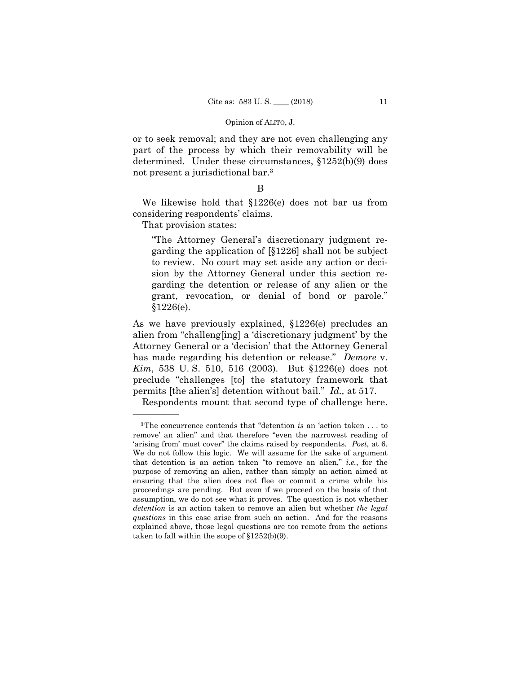# Opinion of ALITO, J.

or to seek removal; and they are not even challenging any part of the process by which their removability will be determined. Under these circumstances, §1252(b)(9) does not present a jurisdictional bar.3

# B

We likewise hold that §1226(e) does not bar us from considering respondents' claims.

That provision states:

"The Attorney General's discretionary judgment regarding the application of [§1226] shall not be subject to review. No court may set aside any action or decision by the Attorney General under this section regarding the detention or release of any alien or the grant, revocation, or denial of bond or parole." §1226(e).

As we have previously explained, §1226(e) precludes an alien from "challeng[ing] a 'discretionary judgment' by the Attorney General or a 'decision' that the Attorney General has made regarding his detention or release." *Demore* v. *Kim*, 538 U. S. 510, 516 (2003). But §1226(e) does not preclude "challenges [to] the statutory framework that permits [the alien's] detention without bail." *Id.,* at 517.

Respondents mount that second type of challenge here.

 'arising from' must cover" the claims raised by respondents. *Post,* at 6. 3The concurrence contends that "detention *is* an 'action taken . . . to remove' an alien" and that therefore "even the narrowest reading of We do not follow this logic. We will assume for the sake of argument that detention is an action taken "to remove an alien," *i.e.*, for the purpose of removing an alien, rather than simply an action aimed at ensuring that the alien does not flee or commit a crime while his proceedings are pending. But even if we proceed on the basis of that assumption, we do not see what it proves. The question is not whether *detention* is an action taken to remove an alien but whether *the legal questions* in this case arise from such an action. And for the reasons explained above, those legal questions are too remote from the actions taken to fall within the scope of §1252(b)(9).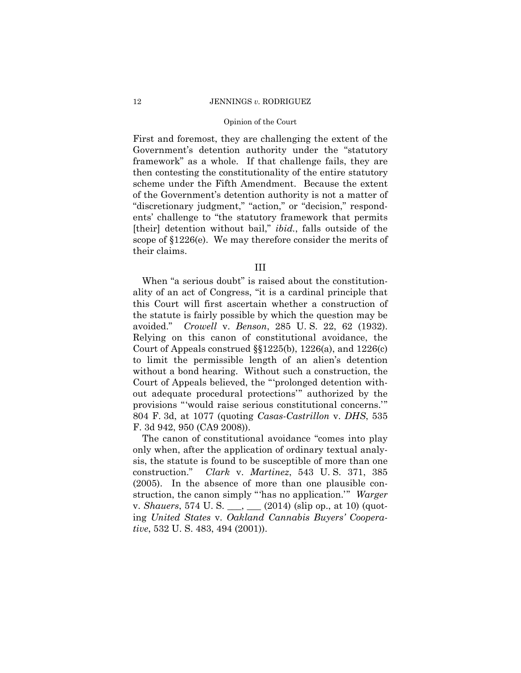# 12 JENNINGS *v.* RODRIGUEZ

# Opinion of the Court

First and foremost, they are challenging the extent of the Government's detention authority under the "statutory framework" as a whole. If that challenge fails, they are then contesting the constitutionality of the entire statutory scheme under the Fifth Amendment. Because the extent of the Government's detention authority is not a matter of "discretionary judgment," "action," or "decision," respondents' challenge to "the statutory framework that permits [their] detention without bail," *ibid.*, falls outside of the scope of §1226(e). We may therefore consider the merits of their claims.

III

When "a serious doubt" is raised about the constitutionality of an act of Congress, "it is a cardinal principle that this Court will first ascertain whether a construction of the statute is fairly possible by which the question may be avoided." *Crowell* v. *Benson*, 285 U. S. 22, 62 (1932). Relying on this canon of constitutional avoidance, the Court of Appeals construed §§1225(b), 1226(a), and 1226(c) to limit the permissible length of an alien's detention without a bond hearing. Without such a construction, the Court of Appeals believed, the "'prolonged detention without adequate procedural protections'" authorized by the provisions "'would raise serious constitutional concerns.'" 804 F. 3d, at 1077 (quoting *Casas-Castrillon* v. *DHS*, 535 F. 3d 942, 950 (CA9 2008)).

The canon of constitutional avoidance "comes into play only when, after the application of ordinary textual analysis, the statute is found to be susceptible of more than one construction." *Clark* v. *Martinez*, 543 U. S. 371, 385 (2005). In the absence of more than one plausible construction, the canon simply "'has no application.'" *Warger*  v. *Shauers*, 574 U. S. \_\_\_, \_\_\_ (2014) (slip op., at 10) (quoting *United States* v. *Oakland Cannabis Buyers' Cooperative*, 532 U. S. 483, 494 (2001)).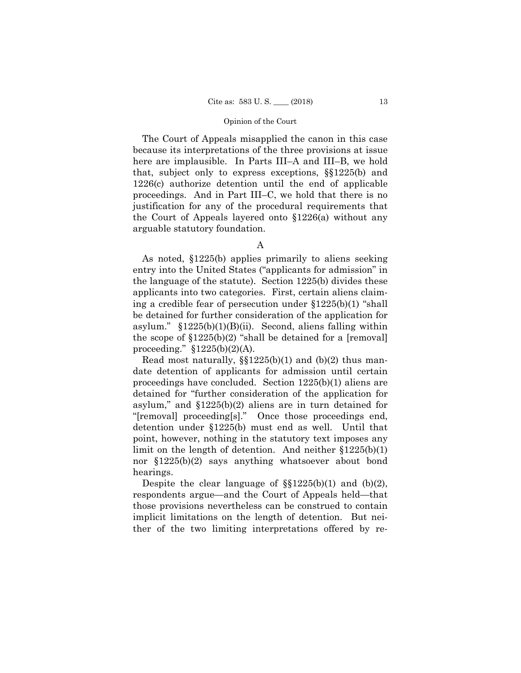The Court of Appeals misapplied the canon in this case because its interpretations of the three provisions at issue here are implausible. In Parts III–A and III–B, we hold that, subject only to express exceptions, §§1225(b) and 1226(c) authorize detention until the end of applicable proceedings. And in Part III–C, we hold that there is no justification for any of the procedural requirements that the Court of Appeals layered onto §1226(a) without any arguable statutory foundation.

As noted, §1225(b) applies primarily to aliens seeking entry into the United States ("applicants for admission" in the language of the statute). Section 1225(b) divides these applicants into two categories. First, certain aliens claiming a credible fear of persecution under §1225(b)(1) "shall be detained for further consideration of the application for asylum."  $$1225(b)(1)(B)(ii)$ . Second, aliens falling within the scope of  $$1225(b)(2)$  "shall be detained for a [removal] proceeding."  $$1225(b)(2)(A)$ .

Read most naturally,  $\S(1225(b)(1)$  and  $(b)(2)$  thus mandate detention of applicants for admission until certain proceedings have concluded. Section 1225(b)(1) aliens are detained for "further consideration of the application for asylum," and  $$1225(b)(2)$  aliens are in turn detained for "[removal] proceeding[s]." Once those proceedings end, detention under §1225(b) must end as well. Until that point, however, nothing in the statutory text imposes any limit on the length of detention. And neither §1225(b)(1) nor §1225(b)(2) says anything whatsoever about bond hearings.

Despite the clear language of  $\S(1225(b)(1)$  and  $(b)(2)$ , respondents argue—and the Court of Appeals held—that those provisions nevertheless can be construed to contain implicit limitations on the length of detention. But neither of the two limiting interpretations offered by re-

A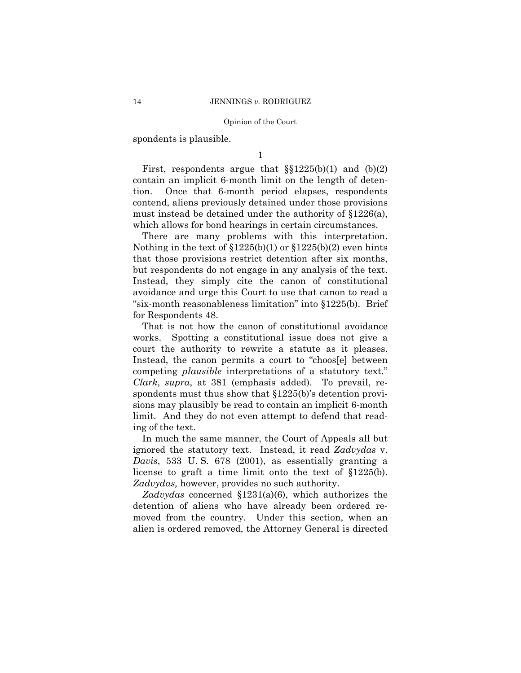spondents is plausible.

1

First, respondents argue that  $\S(1225(b)(1)$  and  $(b)(2)$ contain an implicit 6-month limit on the length of detention. Once that 6-month period elapses, respondents contend, aliens previously detained under those provisions must instead be detained under the authority of §1226(a), which allows for bond hearings in certain circumstances.

 There are many problems with this interpretation. Nothing in the text of §1225(b)(1) or §1225(b)(2) even hints that those provisions restrict detention after six months, but respondents do not engage in any analysis of the text. Instead, they simply cite the canon of constitutional avoidance and urge this Court to use that canon to read a "six-month reasonableness limitation" into §1225(b). Brief for Respondents 48.

 court the authority to rewrite a statute as it pleases. That is not how the canon of constitutional avoidance works. Spotting a constitutional issue does not give a Instead, the canon permits a court to "choos[e] between competing *plausible* interpretations of a statutory text." *Clark*, *supra*, at 381 (emphasis added). To prevail, respondents must thus show that §1225(b)'s detention provisions may plausibly be read to contain an implicit 6-month limit. And they do not even attempt to defend that reading of the text.

In much the same manner, the Court of Appeals all but ignored the statutory text. Instead, it read *Zadvydas* v. *Davis*, 533 U. S. 678 (2001), as essentially granting a license to graft a time limit onto the text of §1225(b). *Zadvydas,* however, provides no such authority.

*Zadvydas* concerned §1231(a)(6), which authorizes the detention of aliens who have already been ordered removed from the country. Under this section, when an alien is ordered removed, the Attorney General is directed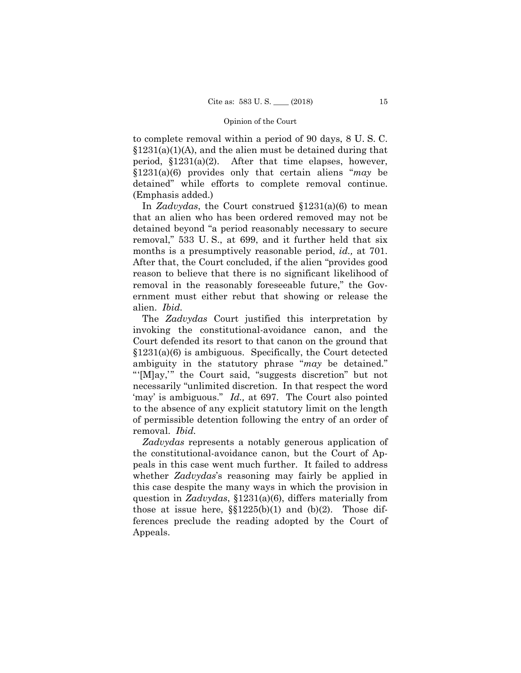to complete removal within a period of 90 days, 8 U. S. C.  $$1231(a)(1)(A)$ , and the alien must be detained during that period, §1231(a)(2). After that time elapses, however, §1231(a)(6) provides only that certain aliens "*may* be detained" while efforts to complete removal continue. (Emphasis added.)

In *Zadvydas*, the Court construed §1231(a)(6) to mean that an alien who has been ordered removed may not be detained beyond "a period reasonably necessary to secure removal," 533 U. S., at 699, and it further held that six months is a presumptively reasonable period, *id.,* at 701. After that, the Court concluded, if the alien "provides good reason to believe that there is no significant likelihood of removal in the reasonably foreseeable future," the Government must either rebut that showing or release the alien. *Ibid.*

 The *Zadvydas* Court justified this interpretation by invoking the constitutional-avoidance canon, and the Court defended its resort to that canon on the ground that §1231(a)(6) is ambiguous. Specifically, the Court detected ambiguity in the statutory phrase "*may* be detained." "'[M]ay,'" the Court said, "suggests discretion" but not necessarily "unlimited discretion. In that respect the word 'may' is ambiguous." *Id.,* at 697. The Court also pointed to the absence of any explicit statutory limit on the length of permissible detention following the entry of an order of removal. *Ibid.* 

*Zadvydas* represents a notably generous application of the constitutional-avoidance canon, but the Court of Appeals in this case went much further. It failed to address whether *Zadvydas*'s reasoning may fairly be applied in this case despite the many ways in which the provision in question in *Zadvydas*, §1231(a)(6), differs materially from those at issue here,  $\S$  $1225(b)(1)$  and  $(b)(2)$ . Those differences preclude the reading adopted by the Court of Appeals.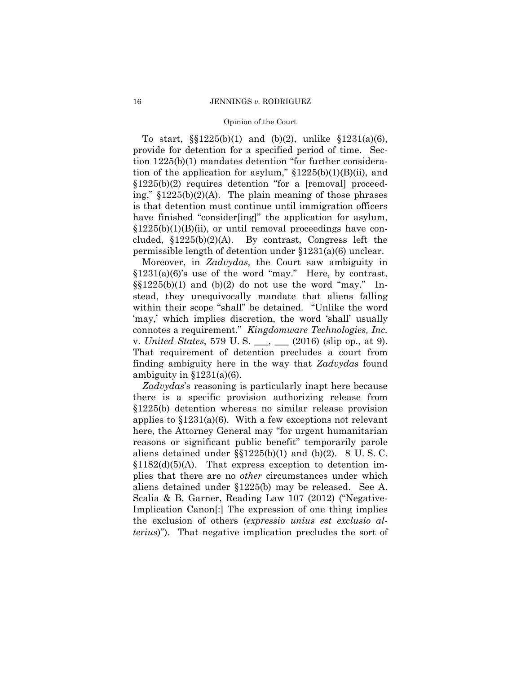To start, §§1225(b)(1) and (b)(2), unlike §1231(a)(6), provide for detention for a specified period of time. Section 1225(b)(1) mandates detention "for further consideration of the application for asylum,"  $$1225(b)(1)(B)(ii)$ , and §1225(b)(2) requires detention "for a [removal] proceeding," §1225(b)(2)(A). The plain meaning of those phrases is that detention must continue until immigration officers have finished "consider[ing]" the application for asylum,  $$1225(b)(1)(B)(ii)$ , or until removal proceedings have concluded, §1225(b)(2)(A). By contrast, Congress left the permissible length of detention under §1231(a)(6) unclear.

 v. *United States*, 579 U. S. \_\_\_, \_\_\_ (2016) (slip op., at 9). Moreover, in *Zadvydas,* the Court saw ambiguity in  $$1231(a)(6)$ 's use of the word "may." Here, by contrast,  $\S(1225(b)(1)$  and  $(b)(2)$  do not use the word "may." Instead, they unequivocally mandate that aliens falling within their scope "shall" be detained. "Unlike the word 'may,' which implies discretion, the word 'shall' usually connotes a requirement." *Kingdomware Technologies, Inc.*  That requirement of detention precludes a court from finding ambiguity here in the way that *Zadvydas* found ambiguity in  $$1231(a)(6)$ .

*Zadvydas*'s reasoning is particularly inapt here because there is a specific provision authorizing release from §1225(b) detention whereas no similar release provision applies to §1231(a)(6). With a few exceptions not relevant here, the Attorney General may "for urgent humanitarian reasons or significant public benefit" temporarily parole aliens detained under §§1225(b)(1) and (b)(2). 8 U. S. C.  $$1182(d)(5)(A)$ . That express exception to detention implies that there are no *other* circumstances under which aliens detained under §1225(b) may be released. See A. Scalia & B. Garner, Reading Law 107 (2012) ("Negative-Implication Canon[:] The expression of one thing implies the exclusion of others (*expressio unius est exclusio alterius*)"). That negative implication precludes the sort of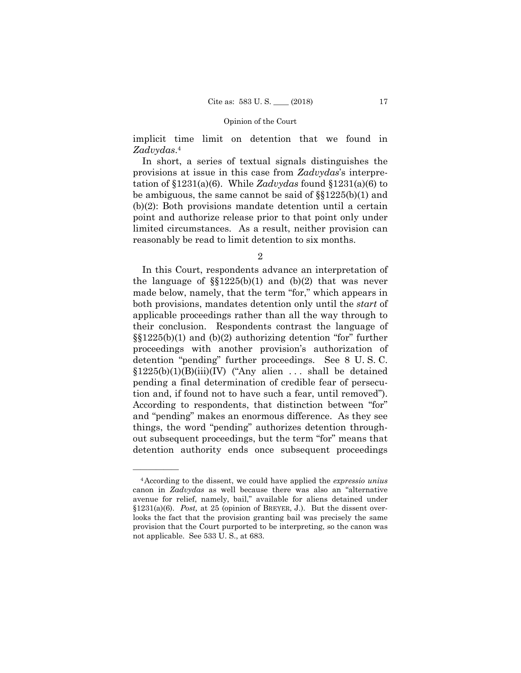implicit time limit on detention that we found in *Zadvydas*.4

In short, a series of textual signals distinguishes the provisions at issue in this case from *Zadvydas*'s interpretation of §1231(a)(6). While *Zadvydas* found §1231(a)(6) to be ambiguous, the same cannot be said of §§1225(b)(1) and (b)(2): Both provisions mandate detention until a certain point and authorize release prior to that point only under limited circumstances. As a result, neither provision can reasonably be read to limit detention to six months.

2

 applicable proceedings rather than all the way through to In this Court, respondents advance an interpretation of the language of  $\S(1225(b)(1)$  and  $(b)(2)$  that was never made below, namely, that the term "for," which appears in both provisions, mandates detention only until the *start* of their conclusion. Respondents contrast the language of §§1225(b)(1) and (b)(2) authorizing detention "for" further proceedings with another provision's authorization of detention "pending" further proceedings. See 8 U. S. C.  $$1225(b)(1)(B)(iii)(IV)$  ("Any alien ... shall be detained pending a final determination of credible fear of persecution and, if found not to have such a fear, until removed"). According to respondents, that distinction between "for" and "pending" makes an enormous difference. As they see things, the word "pending" authorizes detention throughout subsequent proceedings, but the term "for" means that detention authority ends once subsequent proceedings

<sup>4</sup>According to the dissent, we could have applied the *expressio unius*  canon in *Zadvydas* as well because there was also an "alternative avenue for relief, namely, bail," available for aliens detained under §1231(a)(6). *Post*, at 25 (opinion of BREYER, J.). But the dissent overlooks the fact that the provision granting bail was precisely the same provision that the Court purported to be interpreting, so the canon was not applicable. See 533 U. S., at 683.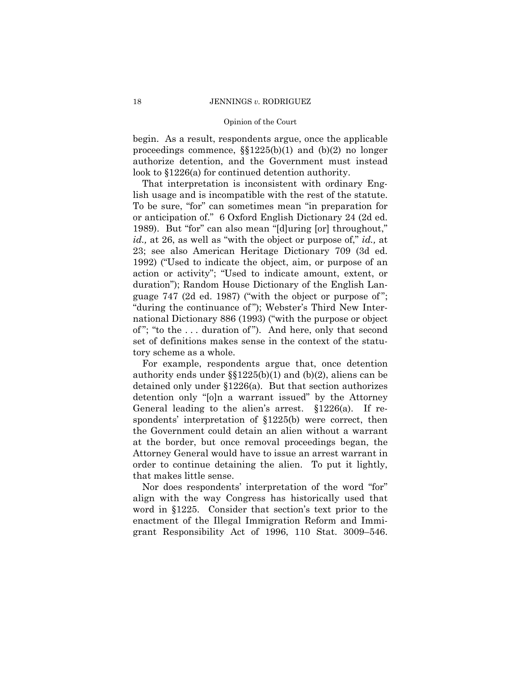begin. As a result, respondents argue, once the applicable proceedings commence, §§1225(b)(1) and (b)(2) no longer authorize detention, and the Government must instead look to §1226(a) for continued detention authority.

That interpretation is inconsistent with ordinary English usage and is incompatible with the rest of the statute. To be sure, "for" can sometimes mean "in preparation for or anticipation of." 6 Oxford English Dictionary 24 (2d ed. 1989). But "for" can also mean "[d]uring [or] throughout," *id.,* at 26, as well as "with the object or purpose of," *id.,* at 23; see also American Heritage Dictionary 709 (3d ed. 1992) ("Used to indicate the object, aim, or purpose of an action or activity"; "Used to indicate amount, extent, or duration"); Random House Dictionary of the English Language 747 (2d ed. 1987) ("with the object or purpose of "; "during the continuance of "); Webster's Third New International Dictionary 886 (1993) ("with the purpose or object of "; "to the . . . duration of "). And here, only that second set of definitions makes sense in the context of the statutory scheme as a whole.

For example, respondents argue that, once detention authority ends under §§1225(b)(1) and (b)(2), aliens can be detained only under §1226(a). But that section authorizes detention only "[o]n a warrant issued" by the Attorney General leading to the alien's arrest. §1226(a). If respondents' interpretation of §1225(b) were correct, then the Government could detain an alien without a warrant at the border, but once removal proceedings began, the Attorney General would have to issue an arrest warrant in order to continue detaining the alien. To put it lightly, that makes little sense.

Nor does respondents' interpretation of the word "for" align with the way Congress has historically used that word in §1225. Consider that section's text prior to the enactment of the Illegal Immigration Reform and Immigrant Responsibility Act of 1996, 110 Stat. 3009–546.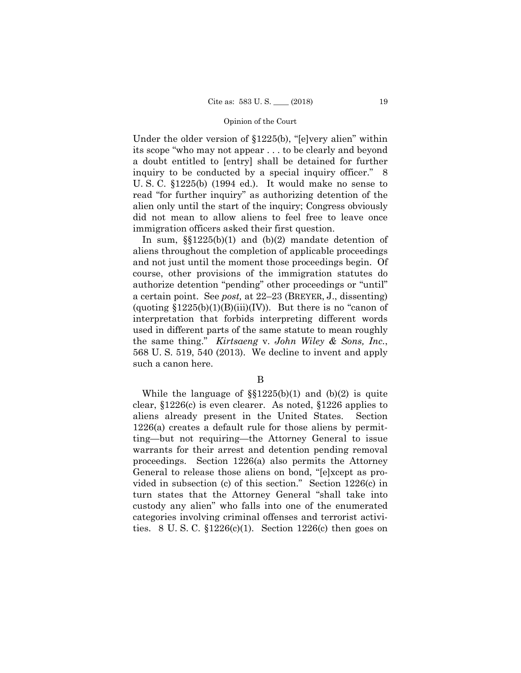Under the older version of §1225(b), "[e]very alien" within its scope "who may not appear . . . to be clearly and beyond a doubt entitled to [entry] shall be detained for further inquiry to be conducted by a special inquiry officer." 8 U. S. C. §1225(b) (1994 ed.). It would make no sense to read "for further inquiry" as authorizing detention of the alien only until the start of the inquiry; Congress obviously did not mean to allow aliens to feel free to leave once immigration officers asked their first question.

 used in different parts of the same statute to mean roughly In sum,  $\S(1225(b)(1)$  and  $(b)(2)$  mandate detention of aliens throughout the completion of applicable proceedings and not just until the moment those proceedings begin. Of course, other provisions of the immigration statutes do authorize detention "pending" other proceedings or "until" a certain point. See *post,* at 22–23 (BREYER, J., dissenting) (quoting  $$1225(b)(1)(B)(iii)(IV)$ ). But there is no "canon of interpretation that forbids interpreting different words the same thing." *Kirtsaeng* v. *John Wiley & Sons, Inc.*, 568 U. S. 519, 540 (2013). We decline to invent and apply such a canon here.

# B

While the language of  $\S(1225(b)(1)$  and  $(b)(2)$  is quite clear, §1226(c) is even clearer. As noted, §1226 applies to aliens already present in the United States. Section 1226(a) creates a default rule for those aliens by permitting—but not requiring—the Attorney General to issue warrants for their arrest and detention pending removal proceedings. Section 1226(a) also permits the Attorney General to release those aliens on bond, "[e]xcept as provided in subsection (c) of this section." Section 1226(c) in turn states that the Attorney General "shall take into custody any alien" who falls into one of the enumerated categories involving criminal offenses and terrorist activities. 8 U.S.C.  $$1226(c)(1)$ . Section 1226(c) then goes on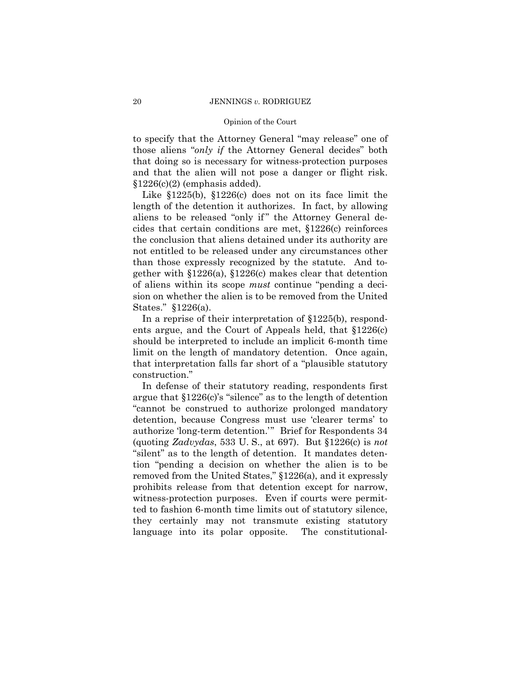and that the alien will not pose a danger or flight risk. to specify that the Attorney General "may release" one of those aliens "*only if* the Attorney General decides" both that doing so is necessary for witness-protection purposes §1226(c)(2) (emphasis added).

Like §1225(b), §1226(c) does not on its face limit the length of the detention it authorizes. In fact, by allowing aliens to be released "only if" the Attorney General decides that certain conditions are met, §1226(c) reinforces the conclusion that aliens detained under its authority are not entitled to be released under any circumstances other than those expressly recognized by the statute. And together with §1226(a), §1226(c) makes clear that detention of aliens within its scope *must* continue "pending a decision on whether the alien is to be removed from the United States." §1226(a).

In a reprise of their interpretation of §1225(b), respondents argue, and the Court of Appeals held, that §1226(c) should be interpreted to include an implicit 6-month time limit on the length of mandatory detention. Once again, that interpretation falls far short of a "plausible statutory construction."

In defense of their statutory reading, respondents first argue that §1226(c)'s "silence" as to the length of detention "cannot be construed to authorize prolonged mandatory detention, because Congress must use 'clearer terms' to authorize 'long-term detention.'" Brief for Respondents 34 (quoting *Zadvydas*, 533 U. S., at 697). But §1226(c) is *not*  "silent" as to the length of detention. It mandates detention "pending a decision on whether the alien is to be removed from the United States," §1226(a), and it expressly prohibits release from that detention except for narrow, witness-protection purposes. Even if courts were permitted to fashion 6-month time limits out of statutory silence, they certainly may not transmute existing statutory language into its polar opposite. The constitutional-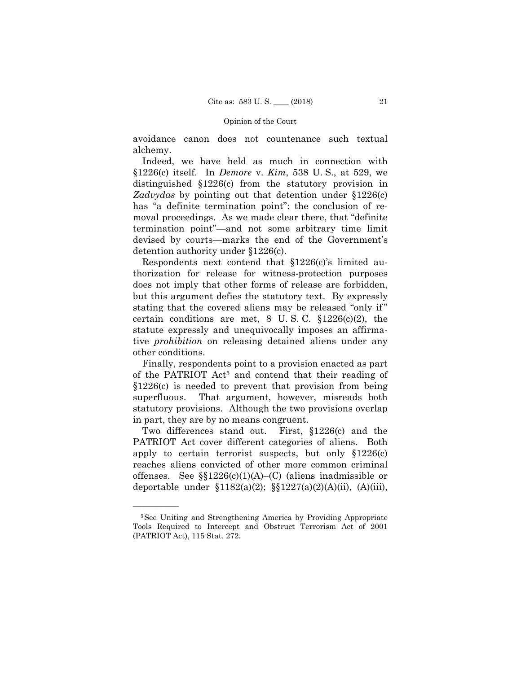avoidance canon does not countenance such textual alchemy.

Indeed, we have held as much in connection with §1226(c) itself. In *Demore* v. *Kim*, 538 U. S., at 529, we distinguished §1226(c) from the statutory provision in *Zadvydas* by pointing out that detention under §1226(c) has "a definite termination point": the conclusion of removal proceedings. As we made clear there, that "definite termination point"—and not some arbitrary time limit devised by courts—marks the end of the Government's detention authority under §1226(c).

Respondents next contend that §1226(c)'s limited authorization for release for witness-protection purposes does not imply that other forms of release are forbidden, but this argument defies the statutory text. By expressly stating that the covered aliens may be released "only if " certain conditions are met,  $8 \text{ U.S. C. } \S 1226(c)(2)$ , the statute expressly and unequivocally imposes an affirmative *prohibition* on releasing detained aliens under any other conditions.

Finally, respondents point to a provision enacted as part of the PATRIOT Act5 and contend that their reading of §1226(c) is needed to prevent that provision from being superfluous. That argument, however, misreads both statutory provisions. Although the two provisions overlap in part, they are by no means congruent.

Two differences stand out. First, §1226(c) and the PATRIOT Act cover different categories of aliens. Both apply to certain terrorist suspects, but only §1226(c) reaches aliens convicted of other more common criminal offenses. See  $\S$  $1226(c)(1)(A)$ – $(C)$  (aliens inadmissible or deportable under  $$1182(a)(2);$   $$$1227(a)(2)(A)(ii),$   $(A)(iii),$ 

<sup>5</sup>See Uniting and Strengthening America by Providing Appropriate Tools Required to Intercept and Obstruct Terrorism Act of 2001 (PATRIOT Act), 115 Stat. 272.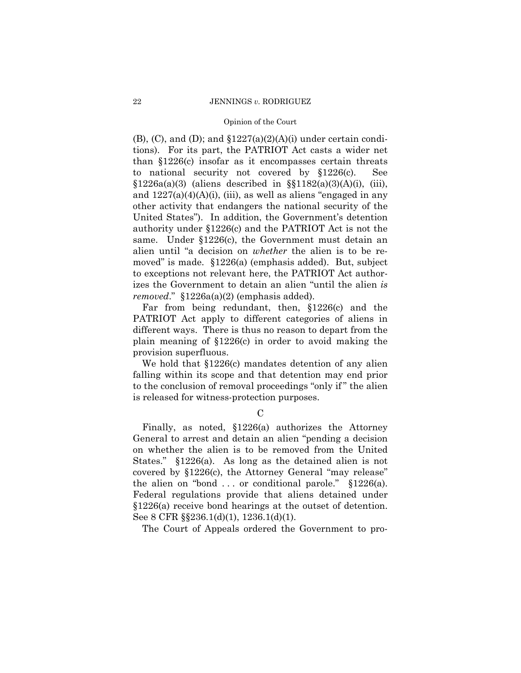$(B)$ ,  $(C)$ , and  $(D)$ ; and  $$1227(a)(2)(A)(i)$  under certain conditions). For its part, the PATRIOT Act casts a wider net than §1226(c) insofar as it encompasses certain threats to national security not covered by §1226(c). See  $§1226a(a)(3)$  (aliens described in  $§§1182(a)(3)(A)(i)$ , (iii), and  $1227(a)(4)(A)(i)$ , (iii), as well as aliens "engaged in any other activity that endangers the national security of the United States"). In addition, the Government's detention authority under §1226(c) and the PATRIOT Act is not the same. Under §1226(c), the Government must detain an alien until "a decision on *whether* the alien is to be removed" is made. §1226(a) (emphasis added). But, subject to exceptions not relevant here, the PATRIOT Act authorizes the Government to detain an alien "until the alien *is removed*." §1226a(a)(2) (emphasis added).

Far from being redundant, then, §1226(c) and the PATRIOT Act apply to different categories of aliens in different ways. There is thus no reason to depart from the plain meaning of §1226(c) in order to avoid making the provision superfluous.

We hold that §1226(c) mandates detention of any alien falling within its scope and that detention may end prior to the conclusion of removal proceedings "only if " the alien is released for witness-protection purposes.

 $\mathcal{C}$ 

Finally, as noted, §1226(a) authorizes the Attorney General to arrest and detain an alien "pending a decision on whether the alien is to be removed from the United States." §1226(a). As long as the detained alien is not covered by §1226(c), the Attorney General "may release" the alien on "bond  $\ldots$  or conditional parole." §1226(a). Federal regulations provide that aliens detained under §1226(a) receive bond hearings at the outset of detention. See 8 CFR §§236.1(d)(1), 1236.1(d)(1).

The Court of Appeals ordered the Government to pro-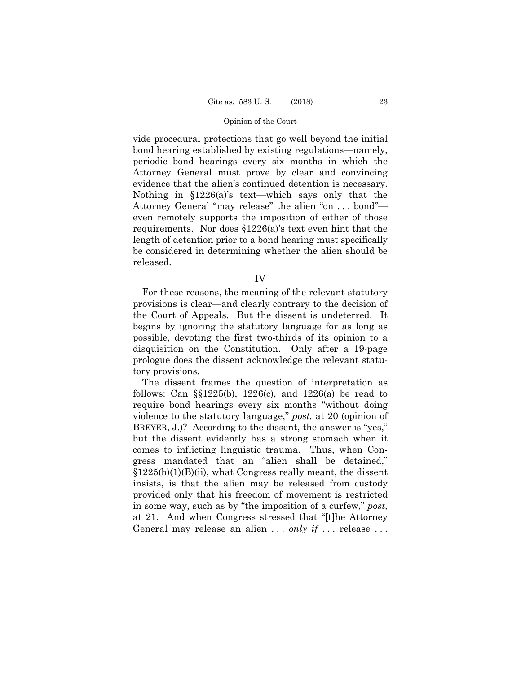vide procedural protections that go well beyond the initial bond hearing established by existing regulations—namely, periodic bond hearings every six months in which the Attorney General must prove by clear and convincing evidence that the alien's continued detention is necessary. Nothing in §1226(a)'s text—which says only that the Attorney General "may release" the alien "on . . . bond" even remotely supports the imposition of either of those requirements. Nor does §1226(a)'s text even hint that the length of detention prior to a bond hearing must specifically be considered in determining whether the alien should be released.

IV

For these reasons, the meaning of the relevant statutory provisions is clear—and clearly contrary to the decision of the Court of Appeals. But the dissent is undeterred. It begins by ignoring the statutory language for as long as possible, devoting the first two-thirds of its opinion to a disquisition on the Constitution. Only after a 19-page prologue does the dissent acknowledge the relevant statutory provisions.

 BREYER, J.)? According to the dissent, the answer is "yes," The dissent frames the question of interpretation as follows: Can  $\S$ [1225(b), 1226(c), and 1226(a) be read to require bond hearings every six months "without doing violence to the statutory language," *post,* at 20 (opinion of but the dissent evidently has a strong stomach when it comes to inflicting linguistic trauma. Thus, when Congress mandated that an "alien shall be detained,"  $$1225(b)(1)(B)(ii)$ , what Congress really meant, the dissent insists, is that the alien may be released from custody provided only that his freedom of movement is restricted in some way, such as by "the imposition of a curfew," *post,* at 21. And when Congress stressed that "[t]he Attorney General may release an alien ... *only if* ... release ...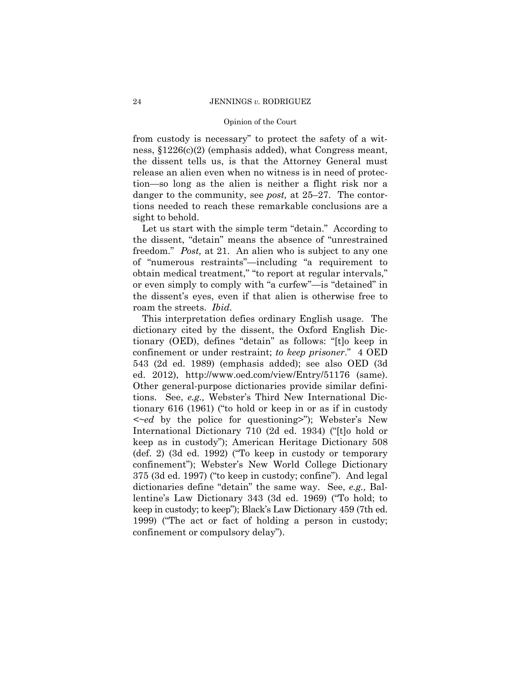from custody is necessary" to protect the safety of a witness, §1226(c)(2) (emphasis added), what Congress meant, the dissent tells us, is that the Attorney General must release an alien even when no witness is in need of protection—so long as the alien is neither a flight risk nor a danger to the community, see *post,* at 25–27. The contortions needed to reach these remarkable conclusions are a sight to behold.

Let us start with the simple term "detain." According to the dissent, "detain" means the absence of "unrestrained freedom." *Post,* at 21. An alien who is subject to any one of "numerous restraints"—including "a requirement to obtain medical treatment," "to report at regular intervals," or even simply to comply with "a curfew"—is "detained" in the dissent's eyes, even if that alien is otherwise free to roam the streets. *Ibid.* 

This interpretation defies ordinary English usage. The dictionary cited by the dissent, the Oxford English Dictionary (OED), defines "detain" as follows: "[t]o keep in confinement or under restraint; *to keep prisoner*." 4 OED 543 (2d ed. 1989) (emphasis added); see also OED (3d ed. 2012), http://www.oed.com/view/Entry/51176 (same). Other general-purpose dictionaries provide similar definitions. See, *e.g.,* Webster's Third New International Dictionary 616 (1961) ("to hold or keep in or as if in custody *<~ed* by the police for questioning>"); Webster's New International Dictionary 710 (2d ed. 1934) ("[t]o hold or keep as in custody"); American Heritage Dictionary 508 (def. 2) (3d ed. 1992) ("To keep in custody or temporary confinement"); Webster's New World College Dictionary 375 (3d ed. 1997) ("to keep in custody; confine"). And legal dictionaries define "detain" the same way. See, *e.g.,* Ballentine's Law Dictionary 343 (3d ed. 1969) ("To hold; to keep in custody; to keep"); Black's Law Dictionary 459 (7th ed. 1999) ("The act or fact of holding a person in custody; confinement or compulsory delay").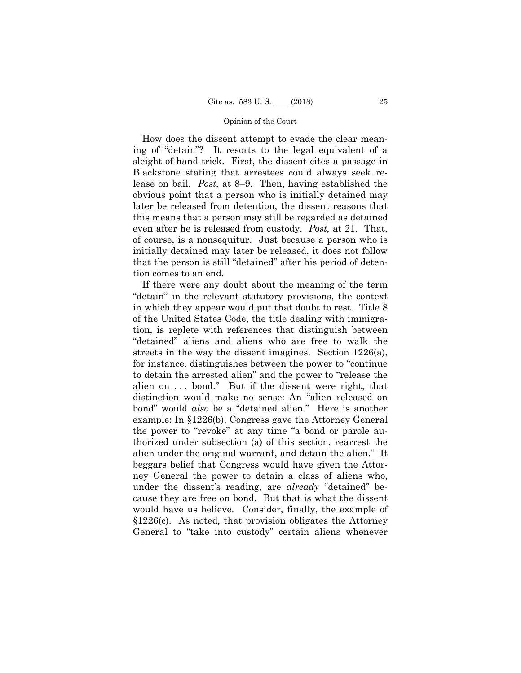How does the dissent attempt to evade the clear meaning of "detain"? It resorts to the legal equivalent of a sleight-of-hand trick. First, the dissent cites a passage in Blackstone stating that arrestees could always seek release on bail. *Post,* at 8–9. Then, having established the obvious point that a person who is initially detained may later be released from detention, the dissent reasons that this means that a person may still be regarded as detained even after he is released from custody. *Post,* at 21. That, of course, is a nonsequitur. Just because a person who is initially detained may later be released, it does not follow that the person is still "detained" after his period of detention comes to an end.

If there were any doubt about the meaning of the term "detain" in the relevant statutory provisions, the context in which they appear would put that doubt to rest. Title 8 of the United States Code, the title dealing with immigration, is replete with references that distinguish between "detained" aliens and aliens who are free to walk the streets in the way the dissent imagines. Section 1226(a), for instance, distinguishes between the power to "continue to detain the arrested alien" and the power to "release the alien on . . . bond." But if the dissent were right, that distinction would make no sense: An "alien released on bond" would *also* be a "detained alien." Here is another example: In §1226(b), Congress gave the Attorney General the power to "revoke" at any time "a bond or parole authorized under subsection (a) of this section, rearrest the alien under the original warrant, and detain the alien." It beggars belief that Congress would have given the Attorney General the power to detain a class of aliens who, under the dissent's reading, are *already* "detained" because they are free on bond. But that is what the dissent would have us believe. Consider, finally, the example of §1226(c). As noted, that provision obligates the Attorney General to "take into custody" certain aliens whenever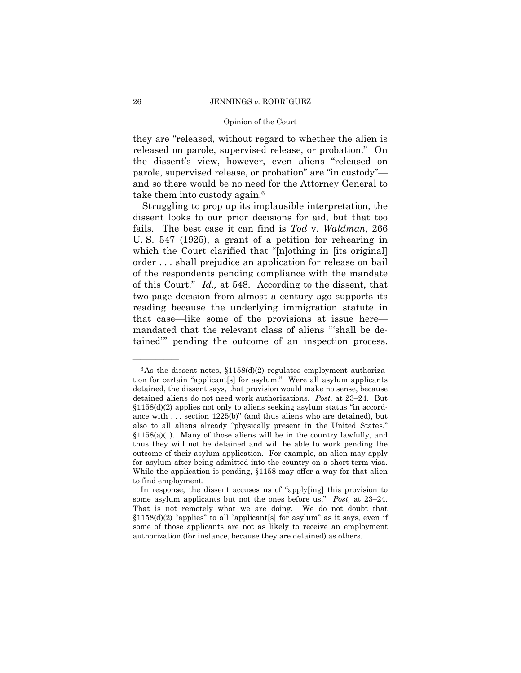#### 26 JENNINGS *v.* RODRIGUEZ

# Opinion of the Court

they are "released, without regard to whether the alien is released on parole, supervised release, or probation." On the dissent's view, however, even aliens "released on parole, supervised release, or probation" are "in custody" and so there would be no need for the Attorney General to take them into custody again.<sup>6</sup>

Struggling to prop up its implausible interpretation, the dissent looks to our prior decisions for aid, but that too fails. The best case it can find is *Tod* v. *Waldman*, 266 U. S. 547 (1925), a grant of a petition for rehearing in which the Court clarified that "[n]othing in [its original] order . . . shall prejudice an application for release on bail of the respondents pending compliance with the mandate of this Court." *Id.,* at 548. According to the dissent, that two-page decision from almost a century ago supports its reading because the underlying immigration statute in that case—like some of the provisions at issue here mandated that the relevant class of aliens "'shall be detained'" pending the outcome of an inspection process.

 $6$ As the dissent notes,  $$1158(d)(2)$  regulates employment authorization for certain "applicant[s] for asylum." Were all asylum applicants detained, the dissent says, that provision would make no sense, because detained aliens do not need work authorizations. *Post,* at 23–24. But §1158(d)(2) applies not only to aliens seeking asylum status "in accordance with . . . section 1225(b)" (and thus aliens who are detained), but also to all aliens already "physically present in the United States." §1158(a)(1). Many of those aliens will be in the country lawfully, and thus they will not be detained and will be able to work pending the outcome of their asylum application. For example, an alien may apply for asylum after being admitted into the country on a short-term visa. While the application is pending, §1158 may offer a way for that alien to find employment.

In response, the dissent accuses us of "apply[ing] this provision to some asylum applicants but not the ones before us." *Post,* at 23–24. That is not remotely what we are doing. We do not doubt that  $$1158(d)(2)$  "applies" to all "applicant[s] for asylum" as it says, even if some of those applicants are not as likely to receive an employment authorization (for instance, because they are detained) as others.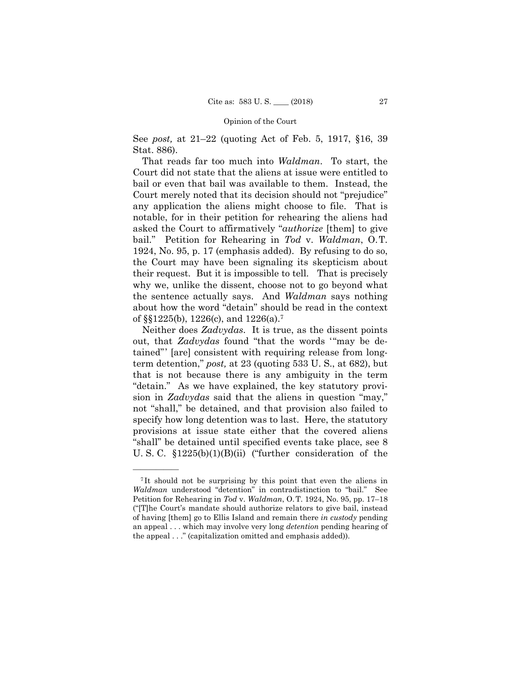See *post,* at 21–22 (quoting Act of Feb. 5, 1917, §16, 39 Stat. 886).

That reads far too much into *Waldman*. To start, the Court did not state that the aliens at issue were entitled to bail or even that bail was available to them. Instead, the Court merely noted that its decision should not "prejudice" any application the aliens might choose to file. That is notable, for in their petition for rehearing the aliens had asked the Court to affirmatively "*authorize* [them] to give bail." Petition for Rehearing in *Tod* v. *Waldman*, O.T. 1924, No. 95, p. 17 (emphasis added). By refusing to do so, the Court may have been signaling its skepticism about their request. But it is impossible to tell. That is precisely why we, unlike the dissent, choose not to go beyond what the sentence actually says. And *Waldman* says nothing about how the word "detain" should be read in the context of §§1225(b), 1226(c), and 1226(a).7

 Neither does *Zadvydas*. It is true, as the dissent points out, that *Zadvydas* found "that the words '"may be detained"' [are] consistent with requiring release from longterm detention," *post,* at 23 (quoting 533 U. S., at 682), but that is not because there is any ambiguity in the term "detain." As we have explained, the key statutory provision in *Zadvydas* said that the aliens in question "may," not "shall," be detained, and that provision also failed to specify how long detention was to last. Here, the statutory provisions at issue state either that the covered aliens "shall" be detained until specified events take place, see 8 U. S. C. §1225(b)(1)(B)(ii) ("further consideration of the

<sup>7</sup> It should not be surprising by this point that even the aliens in *Waldman* understood "detention" in contradistinction to "bail." See Petition for Rehearing in *Tod* v. *Waldman*, O.T. 1924, No. 95, pp. 17–18 ("[T]he Court's mandate should authorize relators to give bail, instead of having [them] go to Ellis Island and remain there *in custody* pending an appeal . . . which may involve very long *detention* pending hearing of the appeal . . ." (capitalization omitted and emphasis added)).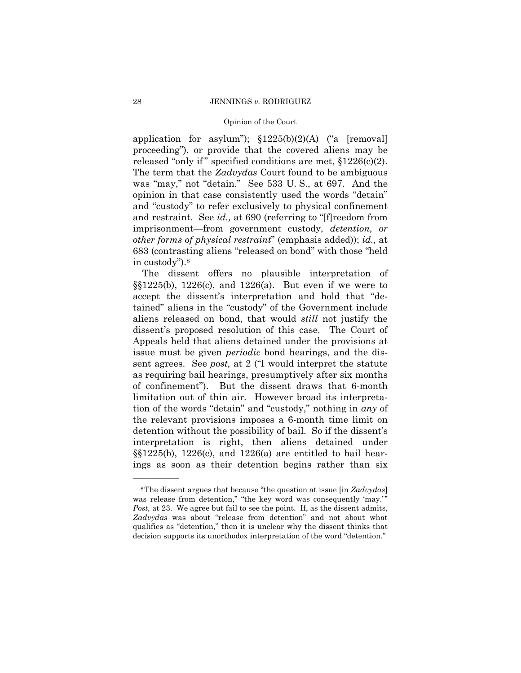application for asylum");  $$1225(b)(2)(A)$  ("a [removal] proceeding"), or provide that the covered aliens may be released "only if" specified conditions are met,  $$1226(c)(2)$ . The term that the *Zadvydas* Court found to be ambiguous was "may," not "detain." See 533 U. S., at 697. And the opinion in that case consistently used the words "detain" and "custody" to refer exclusively to physical confinement and restraint. See *id.,* at 690 (referring to "[f]reedom from imprisonment—from government custody, *detention, or other forms of physical restraint*" (emphasis added)); *id.,* at 683 (contrasting aliens "released on bond" with those "held in custody").8

The dissent offers no plausible interpretation of §§1225(b), 1226(c), and 1226(a). But even if we were to accept the dissent's interpretation and hold that "detained" aliens in the "custody" of the Government include aliens released on bond, that would *still* not justify the dissent's proposed resolution of this case. The Court of Appeals held that aliens detained under the provisions at issue must be given *periodic* bond hearings, and the dissent agrees. See *post,* at 2 ("I would interpret the statute as requiring bail hearings, presumptively after six months of confinement"). But the dissent draws that 6-month limitation out of thin air. However broad its interpretation of the words "detain" and "custody," nothing in *any* of the relevant provisions imposes a 6-month time limit on detention without the possibility of bail. So if the dissent's interpretation is right, then aliens detained under  $\S$ [1225(b), 1226(c), and 1226(a) are entitled to bail hearings as soon as their detention begins rather than six

<sup>8</sup>The dissent argues that because "the question at issue [in *Zadvydas*] was release from detention," "the key word was consequently 'may.'" *Post*, at 23. We agree but fail to see the point. If, as the dissent admits, *Zadvydas* was about "release from detention" and not about what qualifies as "detention," then it is unclear why the dissent thinks that decision supports its unorthodox interpretation of the word "detention."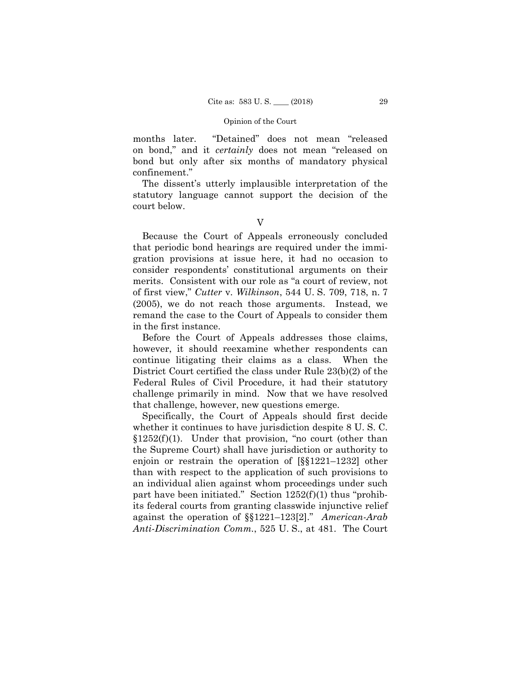months later. "Detained" does not mean "released on bond," and it *certainly* does not mean "released on bond but only after six months of mandatory physical confinement."

The dissent's utterly implausible interpretation of the statutory language cannot support the decision of the court below.

V

Because the Court of Appeals erroneously concluded that periodic bond hearings are required under the immigration provisions at issue here, it had no occasion to consider respondents' constitutional arguments on their merits. Consistent with our role as "a court of review, not of first view," *Cutter* v. *Wilkinson*, 544 U. S. 709, 718, n. 7 (2005), we do not reach those arguments. Instead, we remand the case to the Court of Appeals to consider them in the first instance.

Before the Court of Appeals addresses those claims, however, it should reexamine whether respondents can continue litigating their claims as a class. When the District Court certified the class under Rule 23(b)(2) of the Federal Rules of Civil Procedure, it had their statutory challenge primarily in mind. Now that we have resolved that challenge, however, new questions emerge.

Specifically, the Court of Appeals should first decide whether it continues to have jurisdiction despite 8 U. S. C.  $$1252(f)(1)$ . Under that provision, "no court (other than the Supreme Court) shall have jurisdiction or authority to enjoin or restrain the operation of [§§1221–1232] other than with respect to the application of such provisions to an individual alien against whom proceedings under such part have been initiated." Section 1252(f)(1) thus "prohibits federal courts from granting classwide injunctive relief against the operation of §§1221–123[2]." *American-Arab Anti-Discrimination Comm.*, 525 U. S., at 481. The Court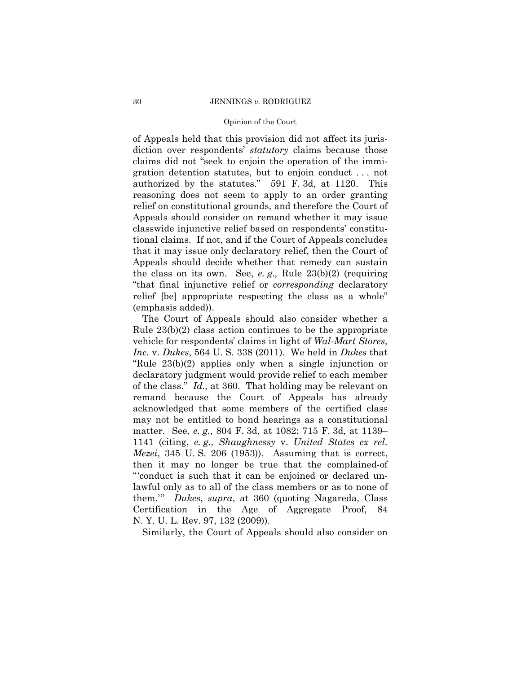#### 30 JENNINGS *v.* RODRIGUEZ

# Opinion of the Court

of Appeals held that this provision did not affect its jurisdiction over respondents' *statutory* claims because those claims did not "seek to enjoin the operation of the immigration detention statutes, but to enjoin conduct . . . not authorized by the statutes." 591 F. 3d, at 1120. This reasoning does not seem to apply to an order granting relief on constitutional grounds, and therefore the Court of Appeals should consider on remand whether it may issue classwide injunctive relief based on respondents' constitutional claims. If not, and if the Court of Appeals concludes that it may issue only declaratory relief, then the Court of Appeals should decide whether that remedy can sustain the class on its own. See, *e. g.,* Rule 23(b)(2) (requiring "that final injunctive relief or *corresponding* declaratory relief [be] appropriate respecting the class as a whole" (emphasis added)).

The Court of Appeals should also consider whether a Rule 23(b)(2) class action continues to be the appropriate vehicle for respondents' claims in light of *Wal-Mart Stores, Inc.* v. *Dukes*, 564 U. S. 338 (2011). We held in *Dukes* that "Rule 23(b)(2) applies only when a single injunction or declaratory judgment would provide relief to each member of the class." *Id.,* at 360. That holding may be relevant on remand because the Court of Appeals has already acknowledged that some members of the certified class may not be entitled to bond hearings as a constitutional matter. See, *e. g.,* 804 F. 3d, at 1082; 715 F. 3d, at 1139– 1141 (citing, *e. g., Shaughnessy* v. *United States ex rel. Mezei*, 345 U. S. 206 (1953)). Assuming that is correct, then it may no longer be true that the complained-of "'conduct is such that it can be enjoined or declared unlawful only as to all of the class members or as to none of them.'" *Dukes*, *supra*, at 360 (quoting Nagareda, Class Certification in the Age of Aggregate Proof, 84 N. Y. U. L. Rev. 97, 132 (2009)).

Similarly, the Court of Appeals should also consider on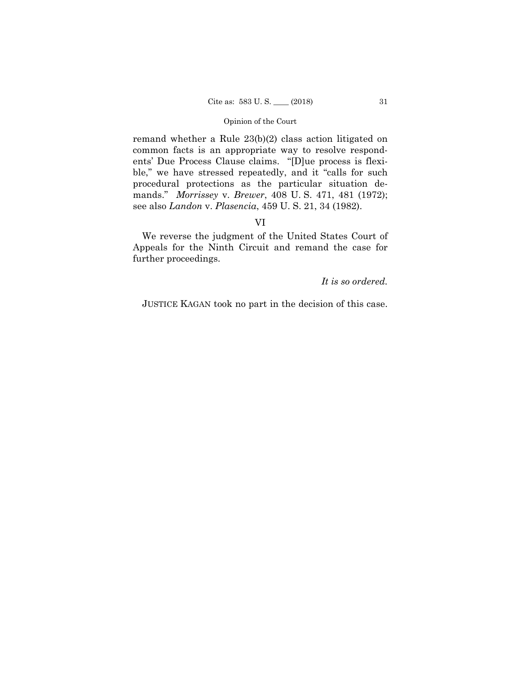remand whether a Rule 23(b)(2) class action litigated on common facts is an appropriate way to resolve respondents' Due Process Clause claims. "[D]ue process is flexible," we have stressed repeatedly, and it "calls for such procedural protections as the particular situation demands." *Morrissey* v. *Brewer*, 408 U. S. 471, 481 (1972); see also *Landon* v. *Plasencia*, 459 U. S. 21, 34 (1982).

# VI

We reverse the judgment of the United States Court of Appeals for the Ninth Circuit and remand the case for further proceedings.

# *It is so ordered.*

JUSTICE KAGAN took no part in the decision of this case.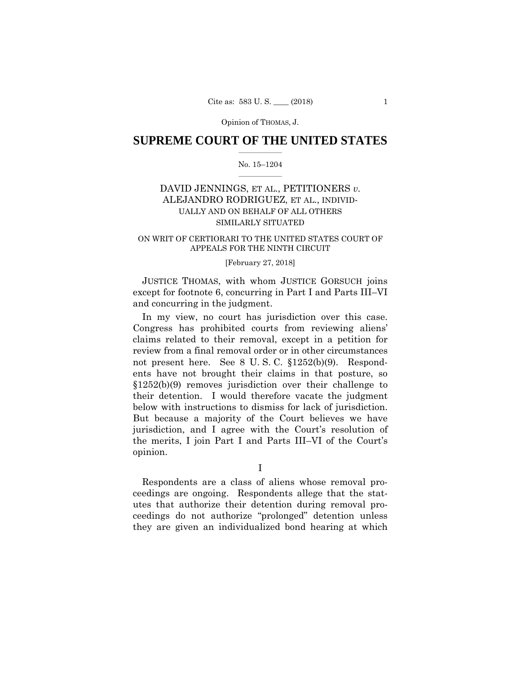Opinion of THOMAS, J.

# $\frac{1}{2}$  ,  $\frac{1}{2}$  ,  $\frac{1}{2}$  ,  $\frac{1}{2}$  ,  $\frac{1}{2}$  ,  $\frac{1}{2}$  ,  $\frac{1}{2}$ **SUPREME COURT OF THE UNITED STATES**

# $\frac{1}{2}$  ,  $\frac{1}{2}$  ,  $\frac{1}{2}$  ,  $\frac{1}{2}$  ,  $\frac{1}{2}$  ,  $\frac{1}{2}$ No. 15–1204

# DAVID JENNINGS, ET AL., PETITIONERS *v.* ALEJANDRO RODRIGUEZ, ET AL., INDIVID-UALLY AND ON BEHALF OF ALL OTHERS SIMILARLY SITUATED

# ON WRIT OF CERTIORARI TO THE UNITED STATES COURT OF APPEALS FOR THE NINTH CIRCUIT

# [February 27, 2018]

 JUSTICE THOMAS, with whom JUSTICE GORSUCH joins except for footnote 6, concurring in Part I and Parts III–VI and concurring in the judgment.

 below with instructions to dismiss for lack of jurisdiction. jurisdiction, and I agree with the Court's resolution of In my view, no court has jurisdiction over this case. Congress has prohibited courts from reviewing aliens' claims related to their removal, except in a petition for review from a final removal order or in other circumstances not present here. See 8 U. S. C. §1252(b)(9). Respondents have not brought their claims in that posture, so §1252(b)(9) removes jurisdiction over their challenge to their detention. I would therefore vacate the judgment But because a majority of the Court believes we have the merits, I join Part I and Parts III–VI of the Court's opinion.

I

Respondents are a class of aliens whose removal proceedings are ongoing. Respondents allege that the statutes that authorize their detention during removal proceedings do not authorize "prolonged" detention unless they are given an individualized bond hearing at which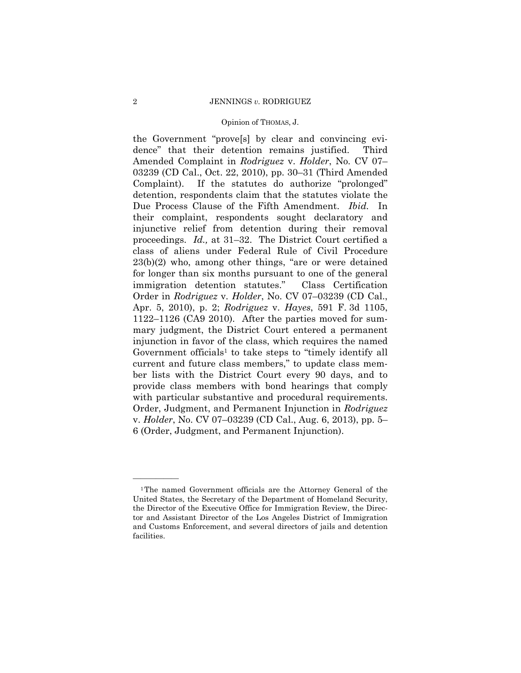### 2 JENNINGS *v.* RODRIGUEZ

### Opinion of THOMAS, J.

Complaint). ber lists with the District Court every 90 days, and to the Government "prove[s] by clear and convincing evidence" that their detention remains justified. Third Amended Complaint in *Rodriguez* v. *Holder*, No. CV 07– 03239 (CD Cal., Oct. 22, 2010), pp. 30–31 (Third Amended If the statutes do authorize "prolonged" detention, respondents claim that the statutes violate the Due Process Clause of the Fifth Amendment. *Ibid.* In their complaint, respondents sought declaratory and injunctive relief from detention during their removal proceedings. *Id.,* at 31–32. The District Court certified a class of aliens under Federal Rule of Civil Procedure 23(b)(2) who, among other things, "are or were detained for longer than six months pursuant to one of the general immigration detention statutes." Class Certification Order in *Rodriguez* v. *Holder*, No. CV 07–03239 (CD Cal., Apr. 5, 2010), p. 2; *Rodriguez* v. *Hayes*, 591 F. 3d 1105, 1122–1126 (CA9 2010). After the parties moved for summary judgment, the District Court entered a permanent injunction in favor of the class, which requires the named Government officials<sup>1</sup> to take steps to "timely identify all current and future class members," to update class memprovide class members with bond hearings that comply with particular substantive and procedural requirements. Order, Judgment, and Permanent Injunction in *Rodriguez*  v. *Holder*, No. CV 07–03239 (CD Cal., Aug. 6, 2013), pp. 5– 6 (Order, Judgment, and Permanent Injunction).

——————

<sup>1</sup>The named Government officials are the Attorney General of the United States, the Secretary of the Department of Homeland Security, the Director of the Executive Office for Immigration Review, the Director and Assistant Director of the Los Angeles District of Immigration and Customs Enforcement, and several directors of jails and detention facilities.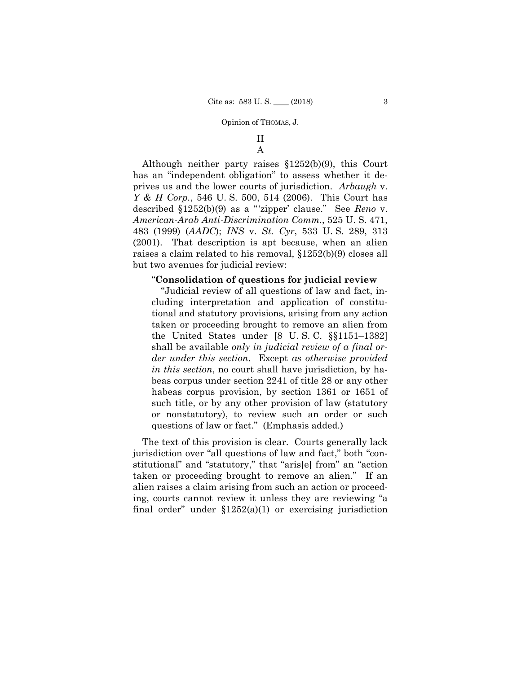# II

A

Although neither party raises §1252(b)(9), this Court has an "independent obligation" to assess whether it deprives us and the lower courts of jurisdiction. *Arbaugh* v. *Y & H Corp.*, 546 U. S. 500, 514 (2006). This Court has described §1252(b)(9) as a "'zipper' clause." See *Reno* v. *American-Arab Anti-Discrimination Comm.*, 525 U. S. 471, 483 (1999) (*AADC*); *INS* v. *St. Cyr*, 533 U. S. 289, 313 (2001). That description is apt because, when an alien raises a claim related to his removal, §1252(b)(9) closes all but two avenues for judicial review:

### "**Consolidation of questions for judicial review**

"Judicial review of all questions of law and fact, including interpretation and application of constitutional and statutory provisions, arising from any action taken or proceeding brought to remove an alien from the United States under [8 U. S. C. §§1151–1382] shall be available *only in judicial review of a final order under this section*. Except *as otherwise provided in this section*, no court shall have jurisdiction, by habeas corpus under section 2241 of title 28 or any other habeas corpus provision, by section 1361 or 1651 of such title, or by any other provision of law (statutory or nonstatutory), to review such an order or such questions of law or fact." (Emphasis added.)

The text of this provision is clear. Courts generally lack jurisdiction over "all questions of law and fact," both "constitutional" and "statutory," that "aris[e] from" an "action taken or proceeding brought to remove an alien." If an alien raises a claim arising from such an action or proceeding, courts cannot review it unless they are reviewing "a final order" under  $$1252(a)(1)$  or exercising jurisdiction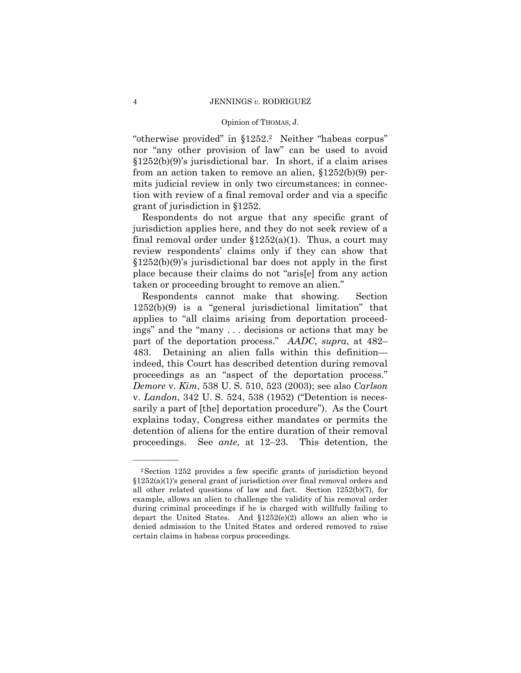"otherwise provided" in §1252.2 Neither "habeas corpus" nor "any other provision of law" can be used to avoid §1252(b)(9)'s jurisdictional bar. In short, if a claim arises from an action taken to remove an alien, §1252(b)(9) permits judicial review in only two circumstances: in connection with review of a final removal order and via a specific grant of jurisdiction in §1252.

Respondents do not argue that any specific grant of jurisdiction applies here, and they do not seek review of a final removal order under  $$1252(a)(1)$ . Thus, a court may review respondents' claims only if they can show that §1252(b)(9)'s jurisdictional bar does not apply in the first place because their claims do not "aris[e] from any action taken or proceeding brought to remove an alien."

 part of the deportation process." *AADC, supra*, at 482– Respondents cannot make that showing. Section 1252(b)(9) is a "general jurisdictional limitation" that applies to "all claims arising from deportation proceedings" and the "many . . . decisions or actions that may be 483. Detaining an alien falls within this definition indeed, this Court has described detention during removal proceedings as an "aspect of the deportation process." *Demore* v. *Kim*, 538 U. S. 510, 523 (2003); see also *Carlson*  v. *Landon*, 342 U. S. 524, 538 (1952) ("Detention is necessarily a part of [the] deportation procedure"). As the Court explains today, Congress either mandates or permits the detention of aliens for the entire duration of their removal proceedings. See *ante*, at 12–23. This detention, the

——————

<sup>2</sup>Section 1252 provides a few specific grants of jurisdiction beyond §1252(a)(1)'s general grant of jurisdiction over final removal orders and all other related questions of law and fact. Section 1252(b)(7), for example, allows an alien to challenge the validity of his removal order during criminal proceedings if he is charged with willfully failing to depart the United States. And §1252(e)(2) allows an alien who is denied admission to the United States and ordered removed to raise certain claims in habeas corpus proceedings.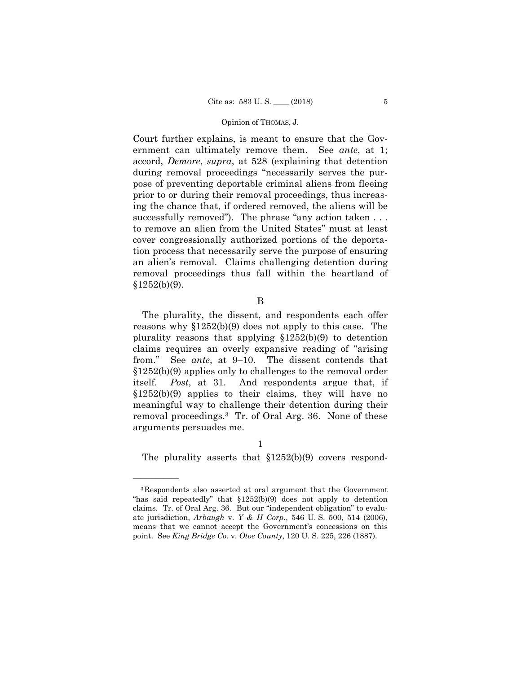Court further explains, is meant to ensure that the Government can ultimately remove them. See *ante*, at 1; accord, *Demore*, *supra*, at 528 (explaining that detention during removal proceedings "necessarily serves the purpose of preventing deportable criminal aliens from fleeing prior to or during their removal proceedings, thus increasing the chance that, if ordered removed, the aliens will be successfully removed"). The phrase "any action taken . . . to remove an alien from the United States" must at least cover congressionally authorized portions of the deportation process that necessarily serve the purpose of ensuring an alien's removal. Claims challenging detention during removal proceedings thus fall within the heartland of  $§1252(b)(9).$ 

### B

The plurality, the dissent, and respondents each offer reasons why §1252(b)(9) does not apply to this case. The plurality reasons that applying §1252(b)(9) to detention claims requires an overly expansive reading of "arising from." See *ante*, at 9–10. The dissent contends that §1252(b)(9) applies only to challenges to the removal order itself. *Post*, at 31. And respondents argue that, if §1252(b)(9) applies to their claims, they will have no meaningful way to challenge their detention during their removal proceedings.3 Tr. of Oral Arg. 36. None of these arguments persuades me.

——————

The plurality asserts that  $$1252(b)(9)$  covers respond-

<sup>3</sup>Respondents also asserted at oral argument that the Government "has said repeatedly" that §1252(b)(9) does not apply to detention claims. Tr. of Oral Arg. 36. But our "independent obligation" to evaluate jurisdiction, *Arbaugh* v. *Y & H Corp.*, 546 U. S. 500, 514 (2006), means that we cannot accept the Government's concessions on this point. See *King Bridge Co.* v. *Otoe County*, 120 U. S. 225, 226 (1887).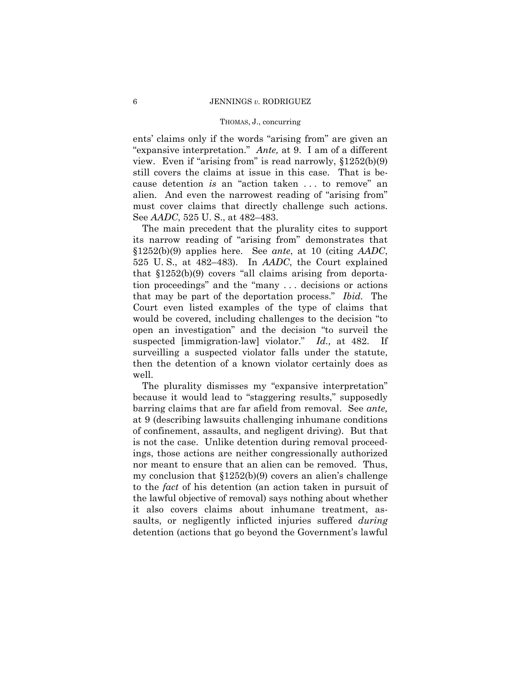### THOMAS, J., concurring

 "expansive interpretation." *Ante,* at 9. I am of a different ents' claims only if the words "arising from" are given an view. Even if "arising from" is read narrowly, §1252(b)(9) still covers the claims at issue in this case. That is because detention *is* an "action taken . . . to remove" an alien. And even the narrowest reading of "arising from" must cover claims that directly challenge such actions. See *AADC*, 525 U. S., at 482–483.

The main precedent that the plurality cites to support its narrow reading of "arising from" demonstrates that §1252(b)(9) applies here. See *ante*, at 10 (citing *AADC*, 525 U. S., at 482–483). In *AADC*, the Court explained that §1252(b)(9) covers "all claims arising from deportation proceedings" and the "many . . . decisions or actions that may be part of the deportation process." *Ibid.* The Court even listed examples of the type of claims that would be covered, including challenges to the decision "to open an investigation" and the decision "to surveil the suspected [immigration-law] violator." *Id.,* at 482. If surveilling a suspected violator falls under the statute, then the detention of a known violator certainly does as well.

The plurality dismisses my "expansive interpretation" because it would lead to "staggering results," supposedly barring claims that are far afield from removal. See *ante,*  at 9 (describing lawsuits challenging inhumane conditions of confinement, assaults, and negligent driving). But that is not the case. Unlike detention during removal proceedings, those actions are neither congressionally authorized nor meant to ensure that an alien can be removed. Thus, my conclusion that §1252(b)(9) covers an alien's challenge to the *fact* of his detention (an action taken in pursuit of the lawful objective of removal) says nothing about whether it also covers claims about inhumane treatment, assaults, or negligently inflicted injuries suffered *during*  detention (actions that go beyond the Government's lawful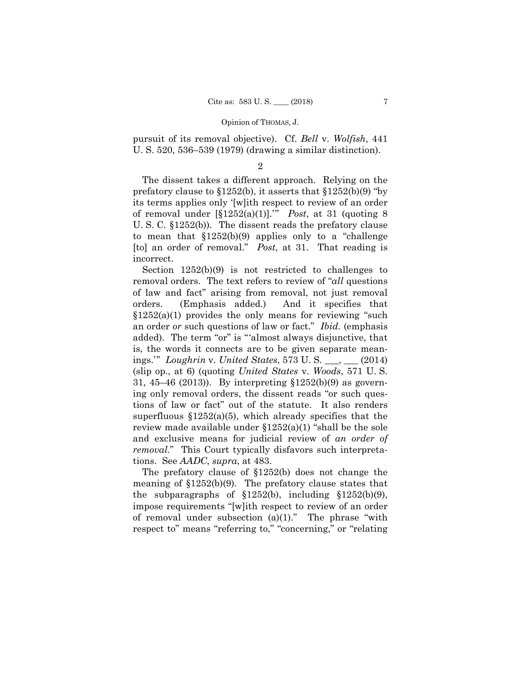pursuit of its removal objective). Cf. *Bell* v. *Wolfish*, 441 U. S. 520, 536–539 (1979) (drawing a similar distinction).

### 2

The dissent takes a different approach. Relying on the prefatory clause to §1252(b), it asserts that §1252(b)(9) "by its terms applies only '[w]ith respect to review of an order of removal under [§1252(a)(1)].'" *Post*, at 31 (quoting 8 U. S. C. §1252(b)). The dissent reads the prefatory clause to mean that  $$1252(b)(9)$  applies only to a "challenge" [to] an order of removal." *Post*, at 31. That reading is incorrect.

Section 1252(b)(9) is not restricted to challenges to removal orders. The text refers to review of "*all* questions of law and fact" arising from removal, not just removal orders. (Emphasis added.) And it specifies that  $$1252(a)(1)$  provides the only means for reviewing "such an order *or* such questions of law or fact." *Ibid.* (emphasis added). The term "or" is "'almost always disjunctive, that is, the words it connects are to be given separate meanings.'" *Loughrin* v. *United States*, 573 U. S. \_\_\_, \_\_\_ (2014) (slip op., at 6) (quoting *United States* v. *Woods*, 571 U. S. 31, 45–46 (2013)). By interpreting §1252(b)(9) as governing only removal orders, the dissent reads "or such questions of law or fact" out of the statute. It also renders superfluous  $$1252(a)(5)$ , which already specifies that the review made available under  $$1252(a)(1)$  "shall be the sole and exclusive means for judicial review of *an order of removal*." This Court typically disfavors such interpretations. See *AADC*, *supra*, at 483.

The prefatory clause of §1252(b) does not change the meaning of §1252(b)(9). The prefatory clause states that the subparagraphs of  $$1252(b)$ , including  $$1252(b)(9)$ , impose requirements "[w]ith respect to review of an order of removal under subsection  $(a)(1)$ ." The phrase "with respect to" means "referring to," "concerning," or "relating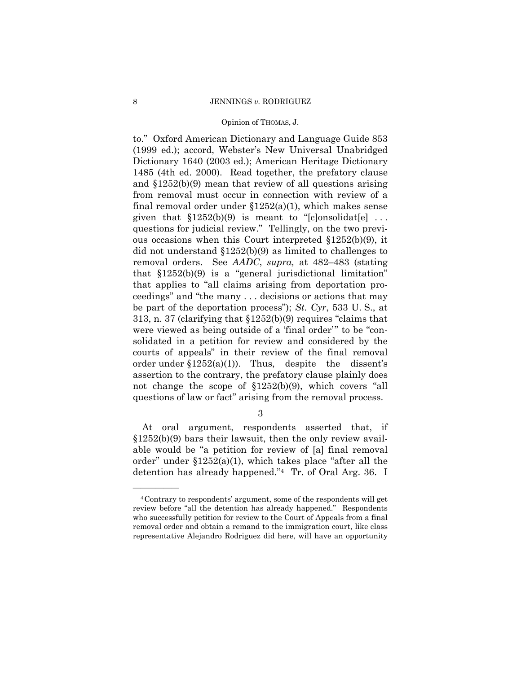### 8 JENNINGS *v.* RODRIGUEZ

### Opinion of THOMAS, J.

to." Oxford American Dictionary and Language Guide 853 (1999 ed.); accord, Webster's New Universal Unabridged Dictionary 1640 (2003 ed.); American Heritage Dictionary 1485 (4th ed. 2000). Read together, the prefatory clause and §1252(b)(9) mean that review of all questions arising from removal must occur in connection with review of a final removal order under  $$1252(a)(1)$ , which makes sense given that  $$1252(b)(9)$  is meant to "[c]onsolidat[e] ... questions for judicial review." Tellingly, on the two previous occasions when this Court interpreted §1252(b)(9), it did not understand §1252(b)(9) as limited to challenges to removal orders. See *AADC*, *supra,* at 482–483 (stating that §1252(b)(9) is a "general jurisdictional limitation" that applies to "all claims arising from deportation proceedings" and "the many . . . decisions or actions that may be part of the deportation process"); *St. Cyr*, 533 U. S., at 313, n. 37 (clarifying that §1252(b)(9) requires "claims that were viewed as being outside of a 'final order'" to be "consolidated in a petition for review and considered by the courts of appeals" in their review of the final removal order under  $$1252(a)(1)$ . Thus, despite the dissent's assertion to the contrary, the prefatory clause plainly does not change the scope of §1252(b)(9), which covers "all questions of law or fact" arising from the removal process.

3

At oral argument, respondents asserted that, if §1252(b)(9) bars their lawsuit, then the only review available would be "a petition for review of [a] final removal order" under  $$1252(a)(1)$ , which takes place "after all the detention has already happened."4 Tr. of Oral Arg. 36. I

——————

<sup>4</sup>Contrary to respondents' argument, some of the respondents will get review before "all the detention has already happened." Respondents who successfully petition for review to the Court of Appeals from a final removal order and obtain a remand to the immigration court, like class representative Alejandro Rodriguez did here, will have an opportunity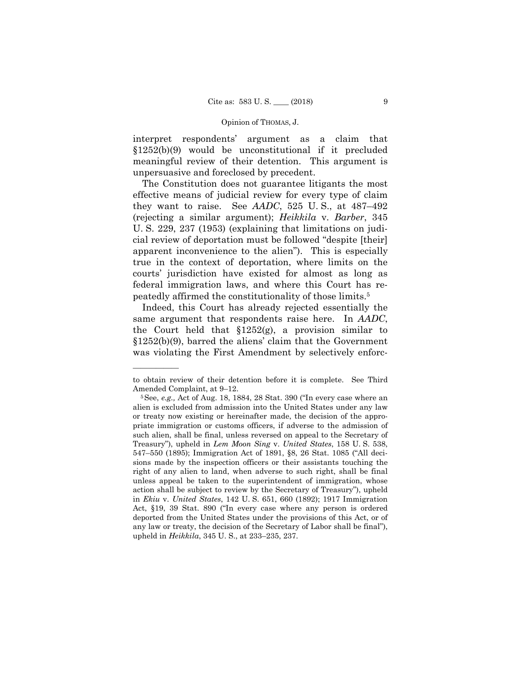interpret respondents' argument as a claim that §1252(b)(9) would be unconstitutional if it precluded meaningful review of their detention. This argument is unpersuasive and foreclosed by precedent.

The Constitution does not guarantee litigants the most effective means of judicial review for every type of claim they want to raise. See *AADC*, 525 U. S., at 487–492 (rejecting a similar argument); *Heikkila* v. *Barber*, 345 U. S. 229, 237 (1953) (explaining that limitations on judicial review of deportation must be followed "despite [their] apparent inconvenience to the alien"). This is especially true in the context of deportation, where limits on the courts' jurisdiction have existed for almost as long as federal immigration laws, and where this Court has repeatedly affirmed the constitutionality of those limits.5

Indeed, this Court has already rejected essentially the same argument that respondents raise here. In *AADC*, the Court held that  $$1252(g)$ , a provision similar to §1252(b)(9), barred the aliens' claim that the Government was violating the First Amendment by selectively enforc-

——————

to obtain review of their detention before it is complete. See Third

Amended Complaint, at 9–12.<br><sup>5</sup>See, *e.g.*, Act of Aug. 18, 1884, 28 Stat. 390 ("In every case where an alien is excluded from admission into the United States under any law or treaty now existing or hereinafter made, the decision of the appropriate immigration or customs officers, if adverse to the admission of such alien, shall be final, unless reversed on appeal to the Secretary of Treasury"), upheld in *Lem Moon Sing* v. *United States*, 158 U. S. 538, 547–550 (1895); Immigration Act of 1891, §8, 26 Stat. 1085 ("All decisions made by the inspection officers or their assistants touching the right of any alien to land, when adverse to such right, shall be final unless appeal be taken to the superintendent of immigration, whose action shall be subject to review by the Secretary of Treasury"), upheld in *Ekiu* v. *United States*, 142 U. S. 651, 660 (1892); 1917 Immigration Act, §19, 39 Stat. 890 ("In every case where any person is ordered deported from the United States under the provisions of this Act, or of any law or treaty, the decision of the Secretary of Labor shall be final"), upheld in *Heikkila*, 345 U. S., at 233–235, 237.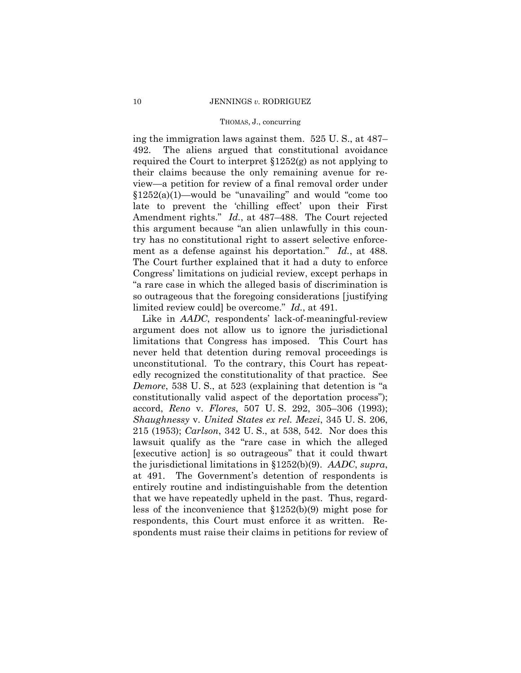### THOMAS, J., concurring

 limited review could] be overcome." *Id.*, at 491. ing the immigration laws against them. 525 U. S., at 487– 492. The aliens argued that constitutional avoidance required the Court to interpret §1252(g) as not applying to their claims because the only remaining avenue for review—a petition for review of a final removal order under  $$1252(a)(1)$ —would be "unavailing" and would "come too late to prevent the 'chilling effect' upon their First Amendment rights." *Id.*, at 487–488. The Court rejected this argument because "an alien unlawfully in this country has no constitutional right to assert selective enforcement as a defense against his deportation." *Id.*, at 488. The Court further explained that it had a duty to enforce Congress' limitations on judicial review, except perhaps in "a rare case in which the alleged basis of discrimination is so outrageous that the foregoing considerations [justifying

 Like in *AADC*, respondents' lack-of-meaningful-review argument does not allow us to ignore the jurisdictional limitations that Congress has imposed. This Court has never held that detention during removal proceedings is unconstitutional. To the contrary, this Court has repeatedly recognized the constitutionality of that practice. See *Demore*, 538 U. S., at 523 (explaining that detention is "a constitutionally valid aspect of the deportation process"); accord, *Reno* v. *Flores*, 507 U. S. 292, 305–306 (1993); *Shaughnessy* v. *United States ex rel. Mezei*, 345 U. S. 206, 215 (1953); *Carlson*, 342 U. S., at 538, 542. Nor does this lawsuit qualify as the "rare case in which the alleged [executive action] is so outrageous" that it could thwart the jurisdictional limitations in §1252(b)(9). *AADC*, *supra*, at 491. The Government's detention of respondents is entirely routine and indistinguishable from the detention that we have repeatedly upheld in the past. Thus, regardless of the inconvenience that §1252(b)(9) might pose for respondents, this Court must enforce it as written. Respondents must raise their claims in petitions for review of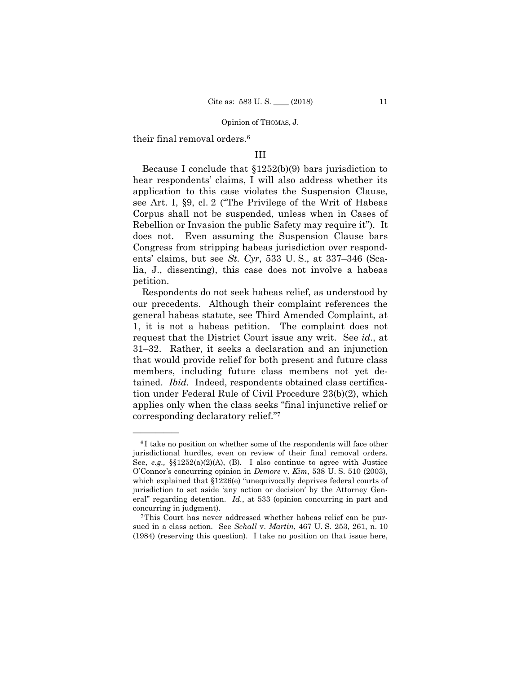their final removal orders.6

——————

### III

Because I conclude that §1252(b)(9) bars jurisdiction to hear respondents' claims, I will also address whether its application to this case violates the Suspension Clause, see Art. I, §9, cl. 2 ("The Privilege of the Writ of Habeas Corpus shall not be suspended, unless when in Cases of Rebellion or Invasion the public Safety may require it"). It does not. Even assuming the Suspension Clause bars Congress from stripping habeas jurisdiction over respondents' claims, but see *St. Cyr*, 533 U. S., at 337–346 (Scalia, J., dissenting), this case does not involve a habeas petition.

Respondents do not seek habeas relief, as understood by our precedents. Although their complaint references the general habeas statute, see Third Amended Complaint, at 1, it is not a habeas petition. The complaint does not request that the District Court issue any writ. See *id.*, at 31–32. Rather, it seeks a declaration and an injunction that would provide relief for both present and future class members, including future class members not yet detained. *Ibid.* Indeed, respondents obtained class certification under Federal Rule of Civil Procedure 23(b)(2), which applies only when the class seeks "final injunctive relief or corresponding declaratory relief."7

<sup>&</sup>lt;sup>6</sup>I take no position on whether some of the respondents will face other jurisdictional hurdles, even on review of their final removal orders. See, *e.g.,* §§1252(a)(2)(A), (B). I also continue to agree with Justice O'Connor's concurring opinion in *Demore* v. *Kim*, 538 U. S. 510 (2003), which explained that §1226(e) "unequivocally deprives federal courts of jurisdiction to set aside 'any action or decision' by the Attorney General" regarding detention. *Id.*, at 533 (opinion concurring in part and concurring in judgment). 7This Court has never addressed whether habeas relief can be pur-

 sued in a class action. See *Schall* v. *Martin*, 467 U. S. 253, 261, n. 10 (1984) (reserving this question). I take no position on that issue here,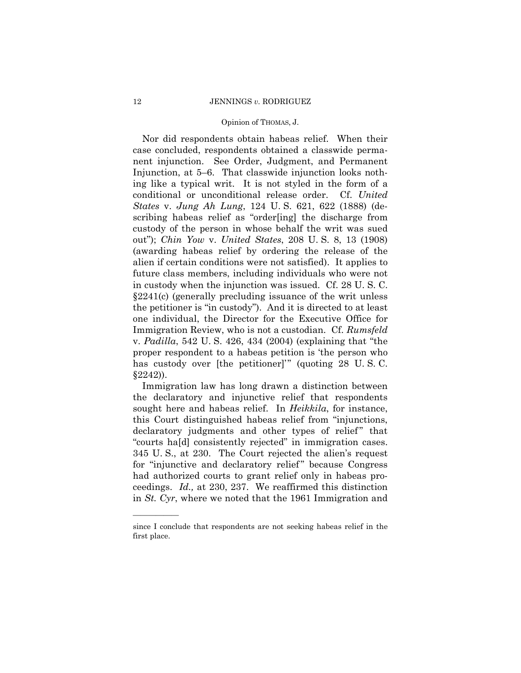Nor did respondents obtain habeas relief. When their case concluded, respondents obtained a classwide permanent injunction. See Order, Judgment, and Permanent Injunction, at 5–6. That classwide injunction looks nothing like a typical writ. It is not styled in the form of a conditional or unconditional release order. Cf. *United States* v. *Jung Ah Lung*, 124 U. S. 621, 622 (1888) (describing habeas relief as "order[ing] the discharge from custody of the person in whose behalf the writ was sued out"); *Chin Yow* v. *United States*, 208 U. S. 8, 13 (1908) (awarding habeas relief by ordering the release of the alien if certain conditions were not satisfied). It applies to future class members, including individuals who were not in custody when the injunction was issued. Cf. 28 U. S. C. §2241(c) (generally precluding issuance of the writ unless the petitioner is "in custody"). And it is directed to at least one individual, the Director for the Executive Office for Immigration Review, who is not a custodian. Cf. *Rumsfeld*  v. *Padilla*, 542 U. S. 426, 434 (2004) (explaining that "the proper respondent to a habeas petition is 'the person who has custody over [the petitioner]'" (quoting 28 U. S. C. §2242)).

 "courts ha[d] consistently rejected" in immigration cases. Immigration law has long drawn a distinction between the declaratory and injunctive relief that respondents sought here and habeas relief. In *Heikkila*, for instance, this Court distinguished habeas relief from "injunctions, declaratory judgments and other types of relief" that 345 U. S., at 230. The Court rejected the alien's request for "injunctive and declaratory relief" because Congress had authorized courts to grant relief only in habeas proceedings. *Id.,* at 230, 237. We reaffirmed this distinction in *St. Cyr*, where we noted that the 1961 Immigration and

——————

since I conclude that respondents are not seeking habeas relief in the first place.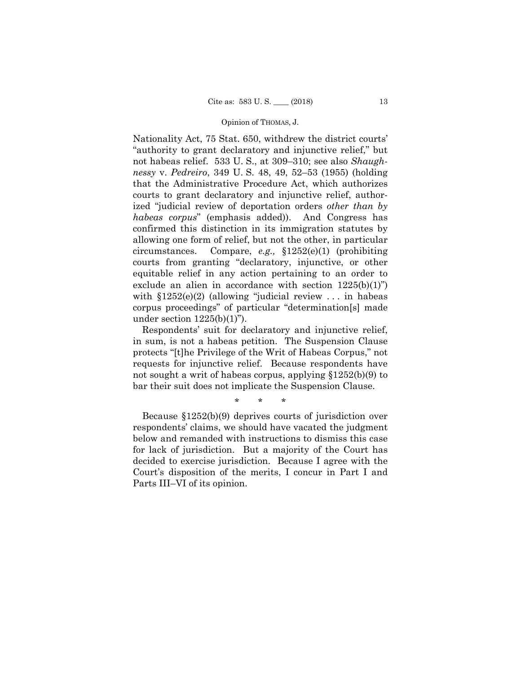Nationality Act, 75 Stat. 650, withdrew the district courts' "authority to grant declaratory and injunctive relief," but not habeas relief. 533 U. S., at 309–310; see also *Shaughnessy* v. *Pedreiro*, 349 U. S. 48, 49, 52–53 (1955) (holding that the Administrative Procedure Act, which authorizes courts to grant declaratory and injunctive relief, authorized "judicial review of deportation orders *other than by habeas corpus*" (emphasis added)). And Congress has confirmed this distinction in its immigration statutes by allowing one form of relief, but not the other, in particular circumstances. Compare, *e.g.,* §1252(e)(1) (prohibiting courts from granting "declaratory, injunctive, or other equitable relief in any action pertaining to an order to exclude an alien in accordance with section  $1225(b)(1)$ ") with §1252(e)(2) (allowing "judicial review . . . in habeas corpus proceedings" of particular "determination[s] made under section  $1225(b)(1)$ ").

Respondents' suit for declaratory and injunctive relief, in sum, is not a habeas petition. The Suspension Clause protects "[t]he Privilege of the Writ of Habeas Corpus," not requests for injunctive relief. Because respondents have not sought a writ of habeas corpus, applying §1252(b)(9) to bar their suit does not implicate the Suspension Clause.

\* \* \*

Because §1252(b)(9) deprives courts of jurisdiction over respondents' claims, we should have vacated the judgment below and remanded with instructions to dismiss this case for lack of jurisdiction. But a majority of the Court has decided to exercise jurisdiction. Because I agree with the Court's disposition of the merits, I concur in Part I and Parts III–VI of its opinion.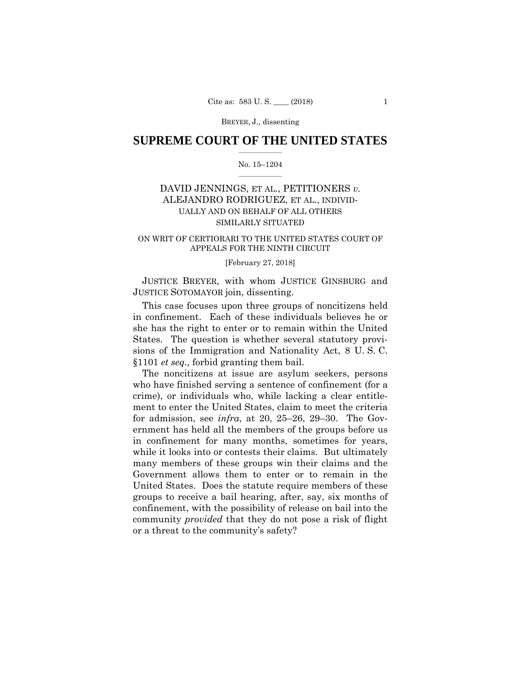### $\frac{1}{2}$  ,  $\frac{1}{2}$  ,  $\frac{1}{2}$  ,  $\frac{1}{2}$  ,  $\frac{1}{2}$  ,  $\frac{1}{2}$  ,  $\frac{1}{2}$ **SUPREME COURT OF THE UNITED STATES**

### $\frac{1}{2}$  ,  $\frac{1}{2}$  ,  $\frac{1}{2}$  ,  $\frac{1}{2}$  ,  $\frac{1}{2}$  ,  $\frac{1}{2}$ No. 15–1204

# DAVID JENNINGS, ET AL., PETITIONERS *v.* ALEJANDRO RODRIGUEZ, ET AL., INDIVID-UALLY AND ON BEHALF OF ALL OTHERS SIMILARLY SITUATED

### ON WRIT OF CERTIORARI TO THE UNITED STATES COURT OF APPEALS FOR THE NINTH CIRCUIT

### [February 27, 2018]

 JUSTICE BREYER, with whom JUSTICE GINSBURG and JUSTICE SOTOMAYOR join, dissenting.

This case focuses upon three groups of noncitizens held in confinement. Each of these individuals believes he or she has the right to enter or to remain within the United States. The question is whether several statutory provisions of the Immigration and Nationality Act, 8 U. S. C. §1101 *et seq.,* forbid granting them bail.

The noncitizens at issue are asylum seekers, persons who have finished serving a sentence of confinement (for a crime), or individuals who, while lacking a clear entitlement to enter the United States, claim to meet the criteria for admission, see *infra*, at 20, 25–26, 29–30. The Government has held all the members of the groups before us in confinement for many months, sometimes for years, while it looks into or contests their claims. But ultimately many members of these groups win their claims and the Government allows them to enter or to remain in the United States. Does the statute require members of these groups to receive a bail hearing, after, say, six months of confinement, with the possibility of release on bail into the community *provided* that they do not pose a risk of flight or a threat to the community's safety?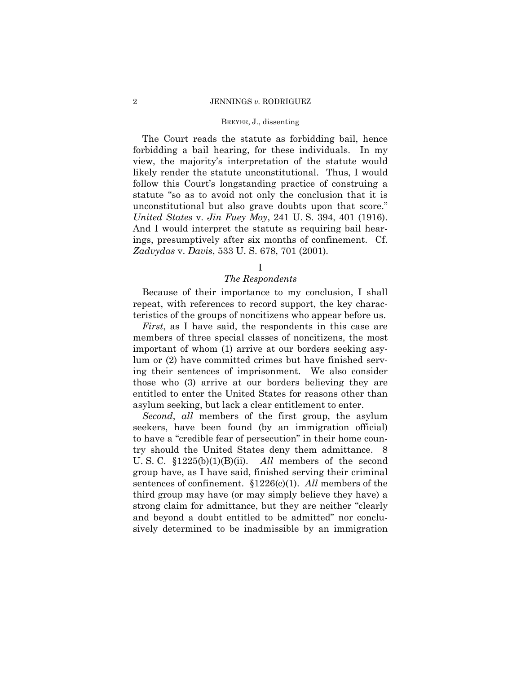### 2 JENNINGS *v.* RODRIGUEZ

### BREYER, J., dissenting

The Court reads the statute as forbidding bail, hence forbidding a bail hearing, for these individuals. In my view, the majority's interpretation of the statute would likely render the statute unconstitutional. Thus, I would follow this Court's longstanding practice of construing a statute "so as to avoid not only the conclusion that it is unconstitutional but also grave doubts upon that score." *United States* v. *Jin Fuey Moy*, 241 U. S. 394, 401 (1916). And I would interpret the statute as requiring bail hearings, presumptively after six months of confinement. Cf. *Zadvydas* v. *Davis*, 533 U. S. 678, 701 (2001)*.* 

# I

# *The Respondents*

Because of their importance to my conclusion, I shall repeat, with references to record support, the key characteristics of the groups of noncitizens who appear before us.

*First*, as I have said, the respondents in this case are members of three special classes of noncitizens, the most important of whom (1) arrive at our borders seeking asylum or (2) have committed crimes but have finished serving their sentences of imprisonment. We also consider those who (3) arrive at our borders believing they are entitled to enter the United States for reasons other than asylum seeking, but lack a clear entitlement to enter.

*Second*, *all* members of the first group, the asylum seekers, have been found (by an immigration official) to have a "credible fear of persecution" in their home country should the United States deny them admittance. 8 U. S. C. §1225(b)(1)(B)(ii). *All* members of the second group have, as I have said, finished serving their criminal sentences of confinement. §1226(c)(1). *All* members of the third group may have (or may simply believe they have) a strong claim for admittance, but they are neither "clearly and beyond a doubt entitled to be admitted" nor conclusively determined to be inadmissible by an immigration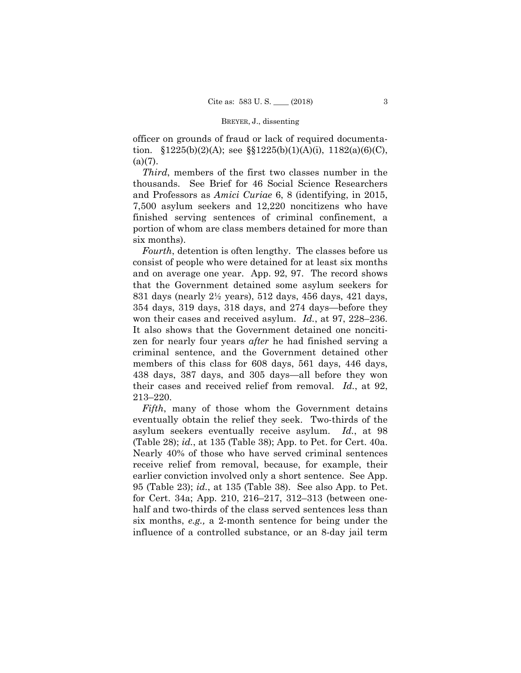officer on grounds of fraud or lack of required documentation.  $$1225(b)(2)(A);$  see  $$1225(b)(1)(A)(i), 1182(a)(6)(C),$  $(a)(7)$ .

*Third*, members of the first two classes number in the thousands. See Brief for 46 Social Science Researchers and Professors as *Amici Curiae* 6, 8 (identifying, in 2015, 7,500 asylum seekers and 12,220 noncitizens who have finished serving sentences of criminal confinement, a portion of whom are class members detained for more than six months).

*Fourth*, detention is often lengthy. The classes before us consist of people who were detained for at least six months and on average one year. App. 92, 97. The record shows that the Government detained some asylum seekers for 831 days (nearly 2½ years), 512 days, 456 days, 421 days, 354 days, 319 days, 318 days, and 274 days—before they won their cases and received asylum. *Id.*, at 97, 228–236. It also shows that the Government detained one noncitizen for nearly four years *after* he had finished serving a criminal sentence, and the Government detained other members of this class for 608 days, 561 days, 446 days, 438 days, 387 days, and 305 days—all before they won their cases and received relief from removal. *Id.*, at 92, 213–220.

*Fifth*, many of those whom the Government detains eventually obtain the relief they seek. Two-thirds of the asylum seekers eventually receive asylum. *Id.*, at 98 (Table 28); *id.*, at 135 (Table 38); App. to Pet. for Cert. 40a. Nearly 40% of those who have served criminal sentences receive relief from removal, because, for example, their earlier conviction involved only a short sentence. See App. 95 (Table 23); *id.*, at 135 (Table 38). See also App. to Pet. for Cert. 34a; App. 210, 216–217, 312–313 (between onehalf and two-thirds of the class served sentences less than six months, *e.g.,* a 2-month sentence for being under the influence of a controlled substance, or an 8-day jail term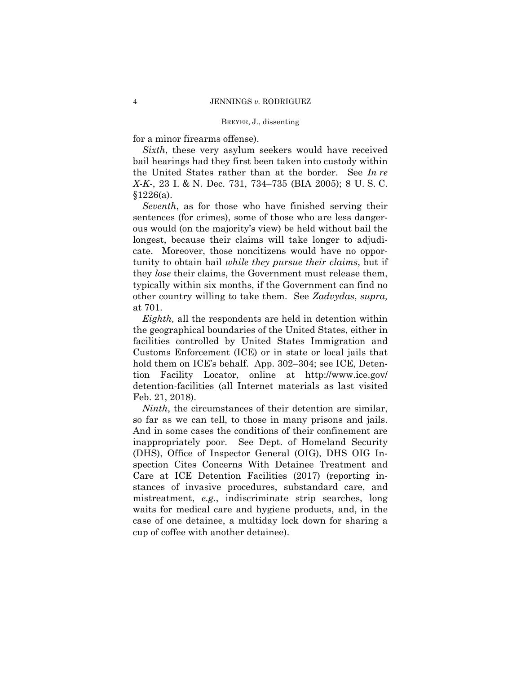for a minor firearms offense).

*Sixth*, these very asylum seekers would have received bail hearings had they first been taken into custody within the United States rather than at the border. See *In re X-K-*, 23 I. & N. Dec. 731, 734–735 (BIA 2005); 8 U. S. C.  $§1226(a).$ 

*Seventh*, as for those who have finished serving their sentences (for crimes), some of those who are less dangerous would (on the majority's view) be held without bail the longest, because their claims will take longer to adjudicate. Moreover, those noncitizens would have no opportunity to obtain bail *while they pursue their claims*, but if they *lose* their claims, the Government must release them, typically within six months, if the Government can find no other country willing to take them. See *Zadvydas*, *supra,*  at 701.

*Eighth,* all the respondents are held in detention within the geographical boundaries of the United States, either in facilities controlled by United States Immigration and Customs Enforcement (ICE) or in state or local jails that hold them on ICE's behalf. App. 302–304; see ICE, Detention Facility Locator, online at http://www.ice.gov/ detention-facilities (all Internet materials as last visited Feb. 21, 2018).

 so far as we can tell, to those in many prisons and jails. *Ninth*, the circumstances of their detention are similar, And in some cases the conditions of their confinement are inappropriately poor. See Dept. of Homeland Security (DHS), Office of Inspector General (OIG), DHS OIG Inspection Cites Concerns With Detainee Treatment and Care at ICE Detention Facilities (2017) (reporting instances of invasive procedures, substandard care, and mistreatment, *e.g.*, indiscriminate strip searches, long waits for medical care and hygiene products, and, in the case of one detainee, a multiday lock down for sharing a cup of coffee with another detainee).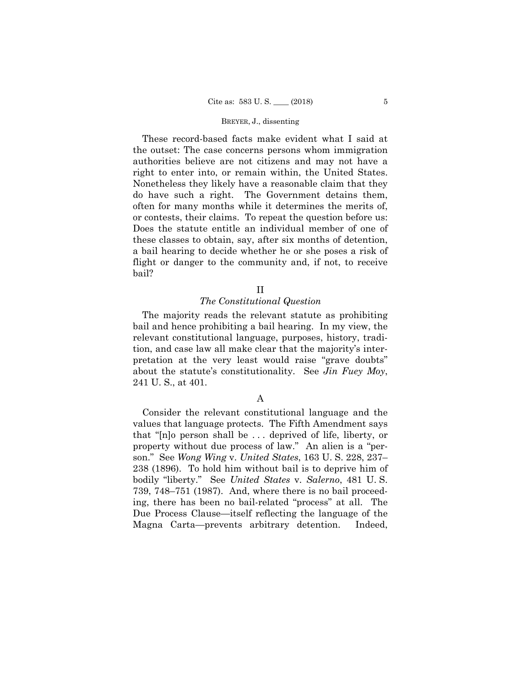These record-based facts make evident what I said at the outset: The case concerns persons whom immigration authorities believe are not citizens and may not have a right to enter into, or remain within, the United States. Nonetheless they likely have a reasonable claim that they do have such a right. The Government detains them, often for many months while it determines the merits of, or contests, their claims. To repeat the question before us: Does the statute entitle an individual member of one of these classes to obtain, say, after six months of detention, a bail hearing to decide whether he or she poses a risk of flight or danger to the community and, if not, to receive bail?

# II

### *The Constitutional Question*

The majority reads the relevant statute as prohibiting bail and hence prohibiting a bail hearing. In my view, the relevant constitutional language, purposes, history, tradition, and case law all make clear that the majority's interpretation at the very least would raise "grave doubts" about the statute's constitutionality. See *Jin Fuey Moy*, 241 U. S., at 401.

# A

Consider the relevant constitutional language and the values that language protects. The Fifth Amendment says that "[n]o person shall be . . . deprived of life, liberty, or property without due process of law." An alien is a "person." See *Wong Wing* v. *United States*, 163 U. S. 228, 237– 238 (1896). To hold him without bail is to deprive him of bodily "liberty." See *United States* v. *Salerno*, 481 U. S. 739, 748–751 (1987). And, where there is no bail proceeding, there has been no bail-related "process" at all. The Due Process Clause—itself reflecting the language of the Magna Carta—prevents arbitrary detention. Indeed,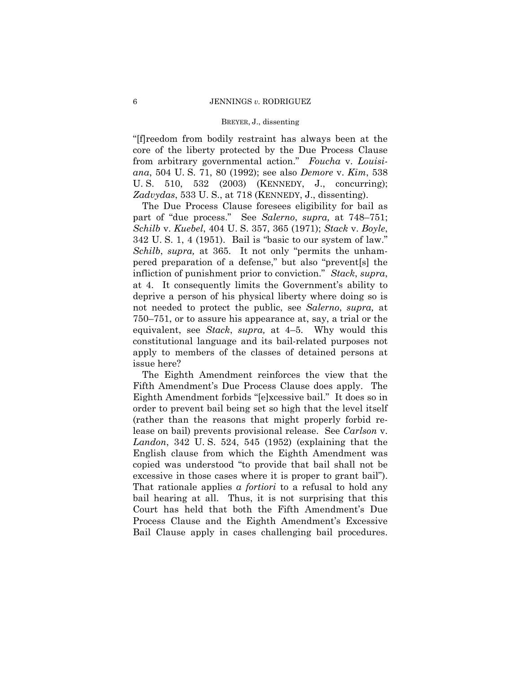"[f]reedom from bodily restraint has always been at the core of the liberty protected by the Due Process Clause from arbitrary governmental action." *Foucha* v. *Louisiana*, 504 U. S. 71, 80 (1992); see also *Demore* v. *Kim*, 538 U. S. 510, 532 (2003) (KENNEDY, J., concurring); *Zadvydas*, 533 U. S., at 718 (KENNEDY, J., dissenting).

The Due Process Clause foresees eligibility for bail as part of "due process." See *Salerno*, *supra,* at 748–751; *Schilb* v. *Kuebel*, 404 U. S. 357, 365 (1971); *Stack* v. *Boyle*, 342 U. S. 1, 4 (1951). Bail is "basic to our system of law." *Schilb*, *supra,* at 365. It not only "permits the unhampered preparation of a defense," but also "prevent[s] the infliction of punishment prior to conviction." *Stack*, *supra*, at 4. It consequently limits the Government's ability to deprive a person of his physical liberty where doing so is not needed to protect the public, see *Salerno*, *supra,* at 750–751, or to assure his appearance at, say, a trial or the equivalent, see *Stack*, *supra,* at 4–5. Why would this constitutional language and its bail-related purposes not apply to members of the classes of detained persons at issue here?

The Eighth Amendment reinforces the view that the Fifth Amendment's Due Process Clause does apply. The Eighth Amendment forbids "[e]xcessive bail." It does so in order to prevent bail being set so high that the level itself (rather than the reasons that might properly forbid release on bail) prevents provisional release. See *Carlson* v. *Landon*, 342 U. S. 524, 545 (1952) (explaining that the English clause from which the Eighth Amendment was copied was understood "to provide that bail shall not be excessive in those cases where it is proper to grant bail"). That rationale applies *a fortiori* to a refusal to hold any bail hearing at all. Thus, it is not surprising that this Court has held that both the Fifth Amendment's Due Process Clause and the Eighth Amendment's Excessive Bail Clause apply in cases challenging bail procedures.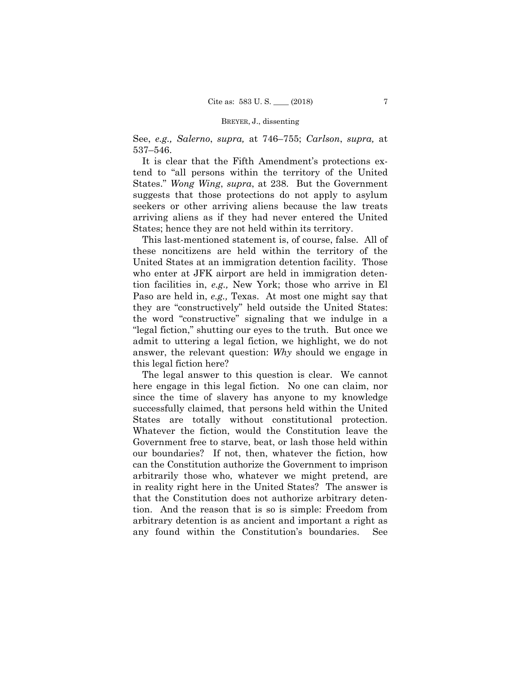See, *e.g., Salerno*, *supra,* at 746–755; *Carlson*, *supra,* at 537–546.

It is clear that the Fifth Amendment's protections extend to "all persons within the territory of the United States." *Wong Wing*, *supra*, at 238. But the Government suggests that those protections do not apply to asylum seekers or other arriving aliens because the law treats arriving aliens as if they had never entered the United States; hence they are not held within its territory.

This last-mentioned statement is, of course, false. All of these noncitizens are held within the territory of the United States at an immigration detention facility. Those who enter at JFK airport are held in immigration detention facilities in, *e.g.,* New York; those who arrive in El Paso are held in, *e.g.,* Texas. At most one might say that they are "constructively" held outside the United States: the word "constructive" signaling that we indulge in a "legal fiction," shutting our eyes to the truth. But once we admit to uttering a legal fiction, we highlight, we do not answer, the relevant question: *Why* should we engage in this legal fiction here?

The legal answer to this question is clear. We cannot here engage in this legal fiction. No one can claim, nor since the time of slavery has anyone to my knowledge successfully claimed, that persons held within the United States are totally without constitutional protection. Whatever the fiction, would the Constitution leave the Government free to starve, beat, or lash those held within our boundaries? If not, then, whatever the fiction, how can the Constitution authorize the Government to imprison arbitrarily those who, whatever we might pretend, are in reality right here in the United States? The answer is that the Constitution does not authorize arbitrary detention. And the reason that is so is simple: Freedom from arbitrary detention is as ancient and important a right as any found within the Constitution's boundaries. See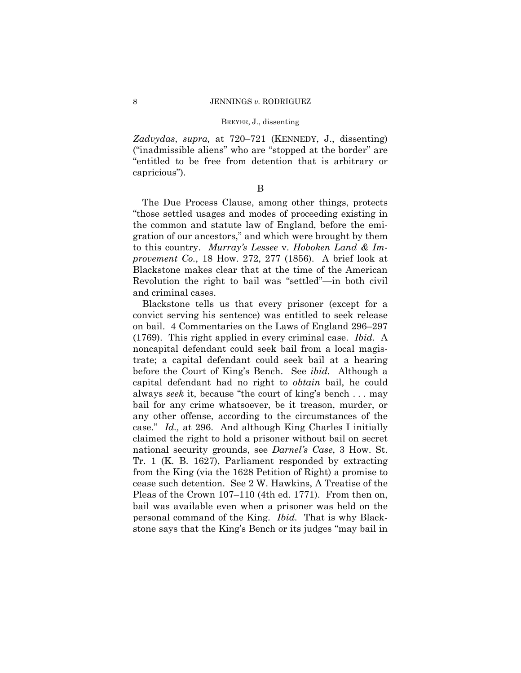*Zadvydas*, *supra,* at 720–721 (KENNEDY, J., dissenting) ("inadmissible aliens" who are "stopped at the border" are "entitled to be free from detention that is arbitrary or capricious").

### B

The Due Process Clause, among other things, protects "those settled usages and modes of proceeding existing in the common and statute law of England, before the emigration of our ancestors," and which were brought by them to this country. *Murray's Lessee* v. *Hoboken Land & Improvement Co.*, 18 How. 272, 277 (1856). A brief look at Blackstone makes clear that at the time of the American Revolution the right to bail was "settled"—in both civil and criminal cases.

Blackstone tells us that every prisoner (except for a convict serving his sentence) was entitled to seek release on bail. 4 Commentaries on the Laws of England 296–297 (1769). This right applied in every criminal case. *Ibid.* A noncapital defendant could seek bail from a local magistrate; a capital defendant could seek bail at a hearing before the Court of King's Bench. See *ibid.* Although a capital defendant had no right to *obtain* bail, he could always *seek* it, because "the court of king's bench . . . may bail for any crime whatsoever, be it treason, murder, or any other offense, according to the circumstances of the case." *Id.,* at 296. And although King Charles I initially claimed the right to hold a prisoner without bail on secret national security grounds, see *Darnel's Case*, 3 How. St. Tr. 1 (K. B. 1627), Parliament responded by extracting from the King (via the 1628 Petition of Right) a promise to cease such detention. See 2 W. Hawkins, A Treatise of the Pleas of the Crown 107–110 (4th ed. 1771). From then on, bail was available even when a prisoner was held on the personal command of the King. *Ibid.* That is why Blackstone says that the King's Bench or its judges "may bail in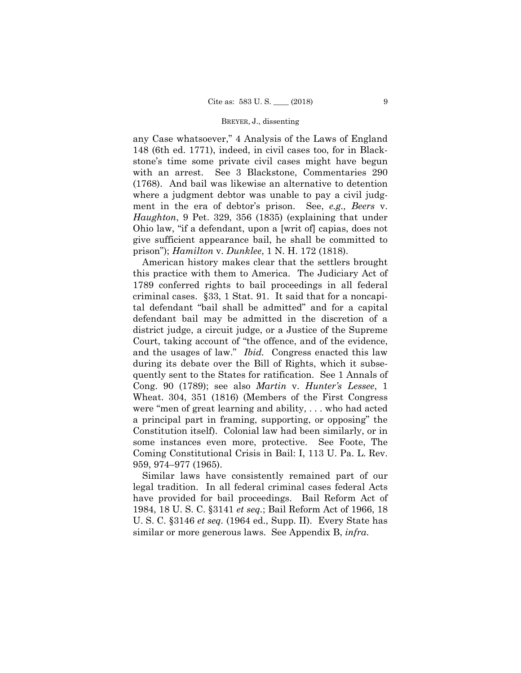any Case whatsoever," 4 Analysis of the Laws of England 148 (6th ed. 1771), indeed, in civil cases too, for in Blackstone's time some private civil cases might have begun with an arrest. See 3 Blackstone, Commentaries 290 (1768). And bail was likewise an alternative to detention where a judgment debtor was unable to pay a civil judgment in the era of debtor's prison. See, *e.g., Beers* v. *Haughton*, 9 Pet. 329, 356 (1835) (explaining that under Ohio law, "if a defendant, upon a [writ of] capias, does not give sufficient appearance bail, he shall be committed to prison"); *Hamilton* v. *Dunklee*, 1 N. H. 172 (1818).

 and the usages of law." *Ibid.* Congress enacted this law American history makes clear that the settlers brought this practice with them to America. The Judiciary Act of 1789 conferred rights to bail proceedings in all federal criminal cases. §33, 1 Stat. 91. It said that for a noncapital defendant "bail shall be admitted" and for a capital defendant bail may be admitted in the discretion of a district judge, a circuit judge, or a Justice of the Supreme Court, taking account of "the offence, and of the evidence, during its debate over the Bill of Rights, which it subsequently sent to the States for ratification. See 1 Annals of Cong. 90 (1789); see also *Martin* v. *Hunter's Lessee*, 1 Wheat. 304, 351 (1816) (Members of the First Congress were "men of great learning and ability, . . . who had acted a principal part in framing, supporting, or opposing" the Constitution itself). Colonial law had been similarly, or in some instances even more, protective. See Foote, The Coming Constitutional Crisis in Bail: I, 113 U. Pa. L. Rev. 959, 974–977 (1965).

Similar laws have consistently remained part of our legal tradition. In all federal criminal cases federal Acts have provided for bail proceedings. Bail Reform Act of 1984, 18 U. S. C. §3141 *et seq.*; Bail Reform Act of 1966, 18 U. S. C. §3146 *et seq.* (1964 ed., Supp. II). Every State has similar or more generous laws. See Appendix B, *infra*.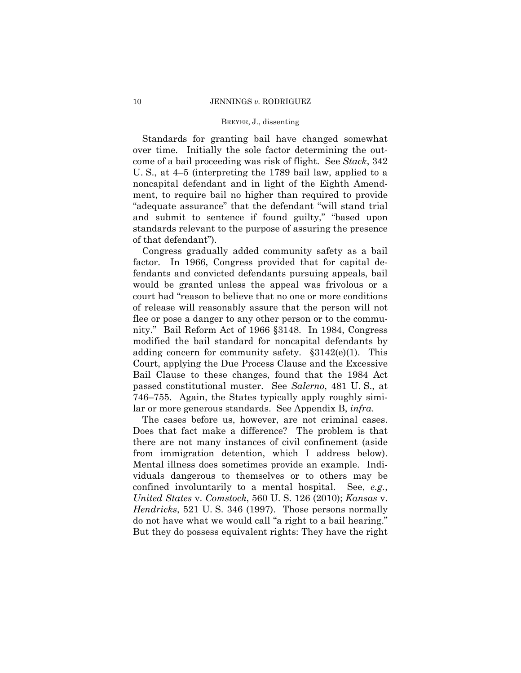Standards for granting bail have changed somewhat over time. Initially the sole factor determining the outcome of a bail proceeding was risk of flight. See *Stack*, 342 U. S., at 4–5 (interpreting the 1789 bail law, applied to a noncapital defendant and in light of the Eighth Amendment, to require bail no higher than required to provide "adequate assurance" that the defendant "will stand trial and submit to sentence if found guilty," "based upon standards relevant to the purpose of assuring the presence of that defendant").

Congress gradually added community safety as a bail factor. In 1966, Congress provided that for capital defendants and convicted defendants pursuing appeals, bail would be granted unless the appeal was frivolous or a court had "reason to believe that no one or more conditions of release will reasonably assure that the person will not flee or pose a danger to any other person or to the community." Bail Reform Act of 1966 §3148. In 1984, Congress modified the bail standard for noncapital defendants by adding concern for community safety. §3142(e)(1). This Court, applying the Due Process Clause and the Excessive Bail Clause to these changes, found that the 1984 Act passed constitutional muster. See *Salerno*, 481 U. S., at 746–755. Again, the States typically apply roughly similar or more generous standards. See Appendix B, *infra*.

The cases before us, however, are not criminal cases. Does that fact make a difference? The problem is that there are not many instances of civil confinement (aside from immigration detention, which I address below). Mental illness does sometimes provide an example. Individuals dangerous to themselves or to others may be confined involuntarily to a mental hospital. See, *e.g.*, *United States* v. *Comstock*, 560 U. S. 126 (2010); *Kansas* v. *Hendricks*, 521 U. S. 346 (1997). Those persons normally do not have what we would call "a right to a bail hearing." But they do possess equivalent rights: They have the right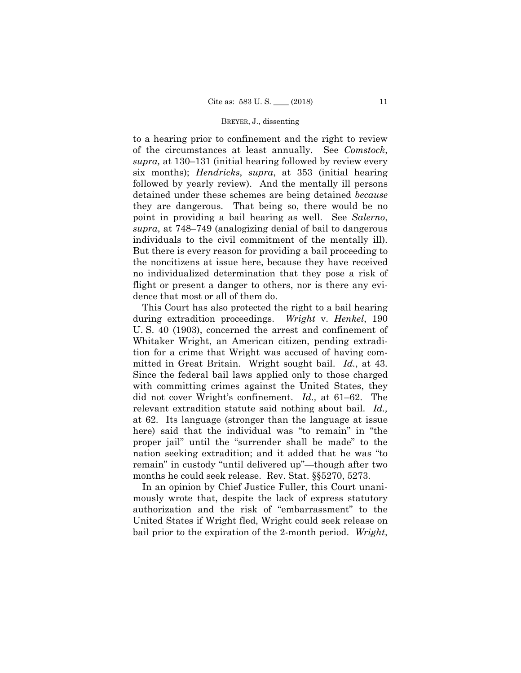to a hearing prior to confinement and the right to review of the circumstances at least annually. See *Comstock*, *supra,* at 130–131 (initial hearing followed by review every six months); *Hendricks*, *supra*, at 353 (initial hearing followed by yearly review). And the mentally ill persons detained under these schemes are being detained *because*  they are dangerous. That being so, there would be no point in providing a bail hearing as well. See *Salerno*, *supra*, at 748–749 (analogizing denial of bail to dangerous individuals to the civil commitment of the mentally ill). But there is every reason for providing a bail proceeding to the noncitizens at issue here, because they have received no individualized determination that they pose a risk of flight or present a danger to others, nor is there any evidence that most or all of them do.

 mitted in Great Britain. Wright sought bail. *Id.*, at 43. This Court has also protected the right to a bail hearing during extradition proceedings. *Wright* v. *Henkel*, 190 U. S. 40 (1903), concerned the arrest and confinement of Whitaker Wright, an American citizen, pending extradition for a crime that Wright was accused of having com-Since the federal bail laws applied only to those charged with committing crimes against the United States, they did not cover Wright's confinement. *Id.,* at 61–62. The relevant extradition statute said nothing about bail. *Id.,*  at 62. Its language (stronger than the language at issue here) said that the individual was "to remain" in "the proper jail" until the "surrender shall be made" to the nation seeking extradition; and it added that he was "to remain" in custody "until delivered up"—though after two months he could seek release. Rev. Stat. §§5270, 5273.

In an opinion by Chief Justice Fuller, this Court unanimously wrote that, despite the lack of express statutory authorization and the risk of "embarrassment" to the United States if Wright fled, Wright could seek release on bail prior to the expiration of the 2-month period. *Wright*,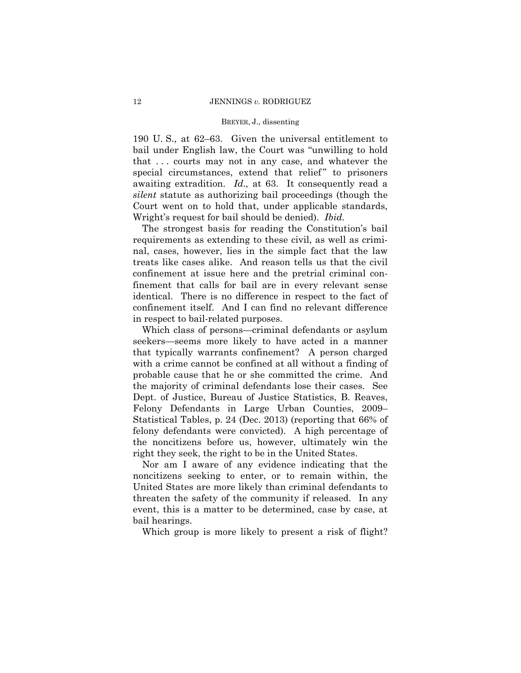190 U. S., at 62–63. Given the universal entitlement to bail under English law, the Court was "unwilling to hold that . . . courts may not in any case, and whatever the special circumstances, extend that relief" to prisoners awaiting extradition. *Id.,* at 63. It consequently read a *silent* statute as authorizing bail proceedings (though the Court went on to hold that, under applicable standards, Wright's request for bail should be denied). *Ibid.* 

The strongest basis for reading the Constitution's bail requirements as extending to these civil, as well as criminal, cases, however, lies in the simple fact that the law treats like cases alike. And reason tells us that the civil confinement at issue here and the pretrial criminal confinement that calls for bail are in every relevant sense identical. There is no difference in respect to the fact of confinement itself. And I can find no relevant difference in respect to bail-related purposes.

Which class of persons—criminal defendants or asylum seekers—seems more likely to have acted in a manner that typically warrants confinement? A person charged with a crime cannot be confined at all without a finding of probable cause that he or she committed the crime. And the majority of criminal defendants lose their cases. See Dept. of Justice, Bureau of Justice Statistics, B. Reaves, Felony Defendants in Large Urban Counties, 2009– Statistical Tables, p. 24 (Dec. 2013) (reporting that 66% of felony defendants were convicted). A high percentage of the noncitizens before us, however, ultimately win the right they seek, the right to be in the United States.

Nor am I aware of any evidence indicating that the noncitizens seeking to enter, or to remain within, the United States are more likely than criminal defendants to threaten the safety of the community if released. In any event, this is a matter to be determined, case by case, at bail hearings.

Which group is more likely to present a risk of flight?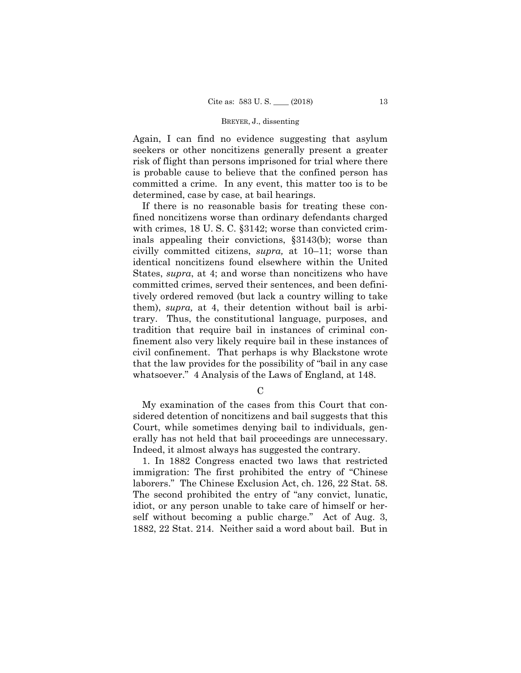Again, I can find no evidence suggesting that asylum seekers or other noncitizens generally present a greater risk of flight than persons imprisoned for trial where there is probable cause to believe that the confined person has committed a crime. In any event, this matter too is to be determined, case by case, at bail hearings.

If there is no reasonable basis for treating these confined noncitizens worse than ordinary defendants charged with crimes, 18 U.S.C. §3142; worse than convicted criminals appealing their convictions, §3143(b); worse than civilly committed citizens, *supra,* at 10–11; worse than identical noncitizens found elsewhere within the United States, *supra*, at 4; and worse than noncitizens who have committed crimes, served their sentences, and been definitively ordered removed (but lack a country willing to take them), *supra,* at 4, their detention without bail is arbitrary. Thus, the constitutional language, purposes, and tradition that require bail in instances of criminal confinement also very likely require bail in these instances of civil confinement. That perhaps is why Blackstone wrote that the law provides for the possibility of "bail in any case whatsoever." 4 Analysis of the Laws of England, at 148.

 $\mathcal{C}$ 

My examination of the cases from this Court that considered detention of noncitizens and bail suggests that this Court, while sometimes denying bail to individuals, generally has not held that bail proceedings are unnecessary. Indeed, it almost always has suggested the contrary.

1. In 1882 Congress enacted two laws that restricted immigration: The first prohibited the entry of "Chinese laborers." The Chinese Exclusion Act, ch. 126, 22 Stat. 58. The second prohibited the entry of "any convict, lunatic, idiot, or any person unable to take care of himself or herself without becoming a public charge." Act of Aug. 3, 1882, 22 Stat. 214. Neither said a word about bail. But in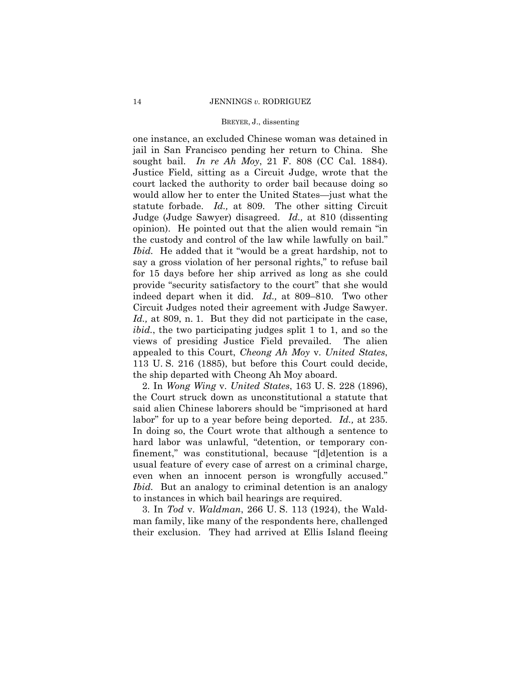one instance, an excluded Chinese woman was detained in jail in San Francisco pending her return to China. She sought bail. *In re Ah Moy*, 21 F. 808 (CC Cal. 1884). Justice Field, sitting as a Circuit Judge, wrote that the court lacked the authority to order bail because doing so would allow her to enter the United States—just what the statute forbade. *Id.,* at 809. The other sitting Circuit Judge (Judge Sawyer) disagreed. *Id.,* at 810 (dissenting opinion). He pointed out that the alien would remain "in the custody and control of the law while lawfully on bail." *Ibid.* He added that it "would be a great hardship, not to say a gross violation of her personal rights," to refuse bail for 15 days before her ship arrived as long as she could provide "security satisfactory to the court" that she would indeed depart when it did. *Id.,* at 809–810. Two other Circuit Judges noted their agreement with Judge Sawyer. *Id.,* at 809, n. 1. But they did not participate in the case, *ibid.*, the two participating judges split 1 to 1, and so the views of presiding Justice Field prevailed. The alien appealed to this Court, *Cheong Ah Moy* v. *United States*, 113 U. S. 216 (1885), but before this Court could decide, the ship departed with Cheong Ah Moy aboard.

 labor" for up to a year before being deported. *Id.,* at 235. 2. In *Wong Wing* v. *United States*, 163 U. S. 228 (1896), the Court struck down as unconstitutional a statute that said alien Chinese laborers should be "imprisoned at hard In doing so, the Court wrote that although a sentence to hard labor was unlawful, "detention, or temporary confinement," was constitutional, because "[d]etention is a usual feature of every case of arrest on a criminal charge, even when an innocent person is wrongfully accused." *Ibid.* But an analogy to criminal detention is an analogy to instances in which bail hearings are required.

3. In *Tod* v. *Waldman*, 266 U. S. 113 (1924), the Waldman family, like many of the respondents here, challenged their exclusion. They had arrived at Ellis Island fleeing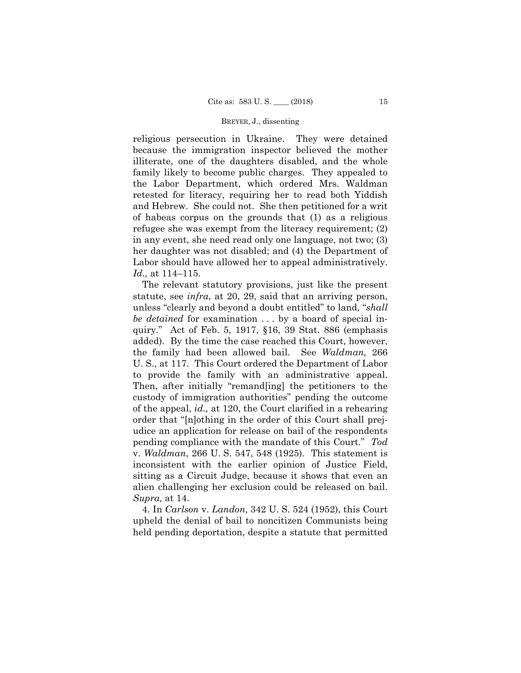religious persecution in Ukraine. They were detained because the immigration inspector believed the mother illiterate, one of the daughters disabled, and the whole family likely to become public charges. They appealed to the Labor Department, which ordered Mrs. Waldman retested for literacy, requiring her to read both Yiddish and Hebrew. She could not. She then petitioned for a writ of habeas corpus on the grounds that (1) as a religious refugee she was exempt from the literacy requirement; (2) in any event, she need read only one language, not two; (3) her daughter was not disabled; and (4) the Department of Labor should have allowed her to appeal administratively. *Id.,* at 114–115.

The relevant statutory provisions, just like the present statute, see *infra*, at 20, 29, said that an arriving person, unless "clearly and beyond a doubt entitled" to land, "*shall be detained* for examination . . . by a board of special inquiry." Act of Feb. 5, 1917, §16, 39 Stat. 886 (emphasis added). By the time the case reached this Court, however, the family had been allowed bail. See *Waldman,* 266 U. S., at 117. This Court ordered the Department of Labor to provide the family with an administrative appeal. Then, after initially "remand[ing] the petitioners to the custody of immigration authorities" pending the outcome of the appeal, *id.,* at 120, the Court clarified in a rehearing order that "[n]othing in the order of this Court shall prejudice an application for release on bail of the respondents pending compliance with the mandate of this Court." *Tod*  v. *Waldman*, 266 U. S. 547, 548 (1925). This statement is inconsistent with the earlier opinion of Justice Field, sitting as a Circuit Judge, because it shows that even an alien challenging her exclusion could be released on bail. *Supra,* at 14.

4. In *Carlson* v. *Landon*, 342 U. S. 524 (1952), this Court upheld the denial of bail to noncitizen Communists being held pending deportation, despite a statute that permitted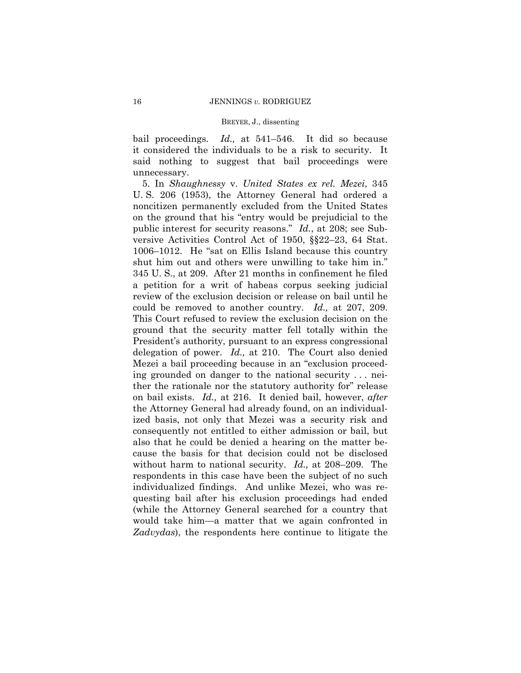bail proceedings. *Id.,* at 541–546. It did so because it considered the individuals to be a risk to security. It said nothing to suggest that bail proceedings were unnecessary.

 could be removed to another country. *Id.,* at 207, 209. This Court refused to review the exclusion decision on the 5. In *Shaughnessy* v. *United States ex rel. Mezei*, 345 U. S. 206 (1953), the Attorney General had ordered a noncitizen permanently excluded from the United States on the ground that his "entry would be prejudicial to the public interest for security reasons." *Id.*, at 208; see Subversive Activities Control Act of 1950, §§22–23, 64 Stat. 1006–1012. He "sat on Ellis Island because this country shut him out and others were unwilling to take him in." 345 U. S., at 209. After 21 months in confinement he filed a petition for a writ of habeas corpus seeking judicial review of the exclusion decision or release on bail until he ground that the security matter fell totally within the President's authority, pursuant to an express congressional delegation of power. *Id.,* at 210. The Court also denied Mezei a bail proceeding because in an "exclusion proceeding grounded on danger to the national security . . . neither the rationale nor the statutory authority for" release on bail exists. *Id.,* at 216. It denied bail, however, *after*  the Attorney General had already found, on an individualized basis, not only that Mezei was a security risk and consequently not entitled to either admission or bail, but also that he could be denied a hearing on the matter because the basis for that decision could not be disclosed without harm to national security. *Id.,* at 208–209. The respondents in this case have been the subject of no such individualized findings. And unlike Mezei, who was requesting bail after his exclusion proceedings had ended (while the Attorney General searched for a country that would take him—a matter that we again confronted in *Zadvydas*), the respondents here continue to litigate the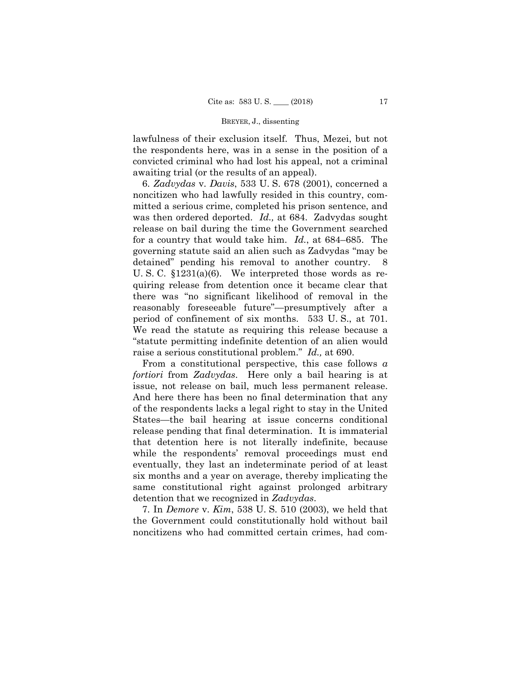lawfulness of their exclusion itself. Thus, Mezei, but not the respondents here, was in a sense in the position of a convicted criminal who had lost his appeal, not a criminal awaiting trial (or the results of an appeal).

 for a country that would take him. *Id.*, at 684–685. The 6. *Zadvydas* v. *Davis*, 533 U. S. 678 (2001), concerned a noncitizen who had lawfully resided in this country, committed a serious crime, completed his prison sentence, and was then ordered deported. *Id.,* at 684. Zadvydas sought release on bail during the time the Government searched governing statute said an alien such as Zadvydas "may be detained" pending his removal to another country. U. S. C. §1231(a)(6). We interpreted those words as requiring release from detention once it became clear that there was "no significant likelihood of removal in the reasonably foreseeable future"—presumptively after a period of confinement of six months. 533 U. S., at 701. We read the statute as requiring this release because a "statute permitting indefinite detention of an alien would raise a serious constitutional problem." *Id.,* at 690.

 issue, not release on bail, much less permanent release. From a constitutional perspective, this case follows *a fortiori* from *Zadvydas*. Here only a bail hearing is at And here there has been no final determination that any of the respondents lacks a legal right to stay in the United States—the bail hearing at issue concerns conditional release pending that final determination. It is immaterial that detention here is not literally indefinite, because while the respondents' removal proceedings must end eventually, they last an indeterminate period of at least six months and a year on average, thereby implicating the same constitutional right against prolonged arbitrary detention that we recognized in *Zadvydas*.

7. In *Demore* v. *Kim*, 538 U. S. 510 (2003), we held that the Government could constitutionally hold without bail noncitizens who had committed certain crimes, had com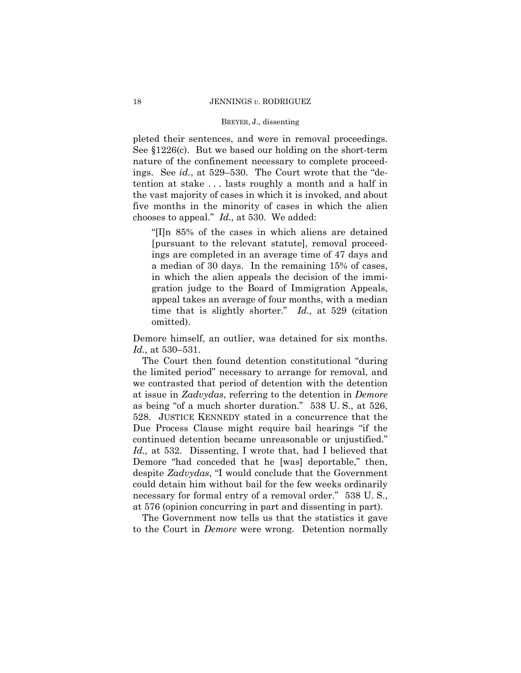pleted their sentences, and were in removal proceedings. See §1226(c). But we based our holding on the short-term nature of the confinement necessary to complete proceedings. See *id.*, at 529–530. The Court wrote that the "detention at stake . . . lasts roughly a month and a half in the vast majority of cases in which it is invoked, and about five months in the minority of cases in which the alien chooses to appeal." *Id.,* at 530. We added:

 "[I]n 85% of the cases in which aliens are detained [pursuant to the relevant statute], removal proceedings are completed in an average time of 47 days and a median of 30 days. In the remaining 15% of cases, in which the alien appeals the decision of the immigration judge to the Board of Immigration Appeals, appeal takes an average of four months, with a median time that is slightly shorter." *Id.,* at 529 (citation omitted).

Demore himself, an outlier, was detained for six months. *Id.,* at 530–531.

The Court then found detention constitutional "during the limited period" necessary to arrange for removal, and we contrasted that period of detention with the detention at issue in *Zadvydas*, referring to the detention in *Demore*  as being "of a much shorter duration." 538 U. S., at 526, 528. JUSTICE KENNEDY stated in a concurrence that the Due Process Clause might require bail hearings "if the continued detention became unreasonable or unjustified." *Id.,* at 532. Dissenting, I wrote that, had I believed that Demore "had conceded that he [was] deportable," then, despite *Zadvydas*, "I would conclude that the Government could detain him without bail for the few weeks ordinarily necessary for formal entry of a removal order." 538 U.S., at 576 (opinion concurring in part and dissenting in part).

The Government now tells us that the statistics it gave to the Court in *Demore* were wrong. Detention normally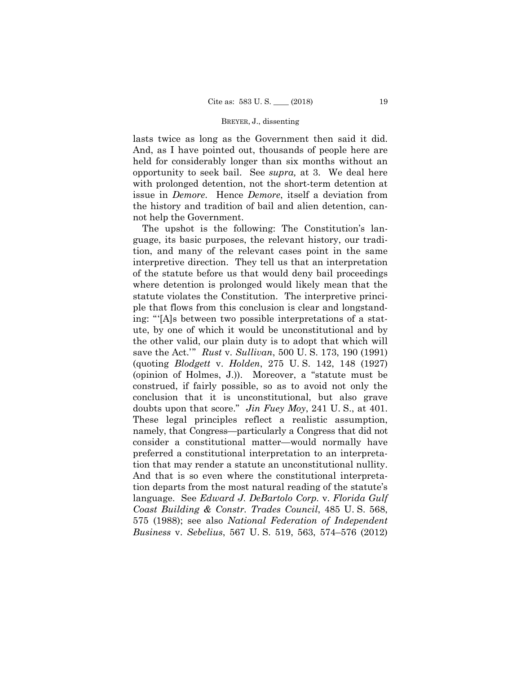lasts twice as long as the Government then said it did. And, as I have pointed out, thousands of people here are held for considerably longer than six months without an opportunity to seek bail. See *supra,* at 3. We deal here with prolonged detention, not the short-term detention at issue in *Demore*. Hence *Demore*, itself a deviation from the history and tradition of bail and alien detention, cannot help the Government.

The upshot is the following: The Constitution's language, its basic purposes, the relevant history, our tradition, and many of the relevant cases point in the same interpretive direction. They tell us that an interpretation of the statute before us that would deny bail proceedings where detention is prolonged would likely mean that the statute violates the Constitution. The interpretive principle that flows from this conclusion is clear and longstanding: "'[A]s between two possible interpretations of a statute, by one of which it would be unconstitutional and by the other valid, our plain duty is to adopt that which will save the Act.'" *Rust* v. *Sullivan*, 500 U. S. 173, 190 (1991) (quoting *Blodgett* v. *Holden*, 275 U. S. 142, 148 (1927) (opinion of Holmes, J.)). Moreover, a "statute must be construed, if fairly possible, so as to avoid not only the conclusion that it is unconstitutional, but also grave doubts upon that score." *Jin Fuey Moy*, 241 U. S., at 401. These legal principles reflect a realistic assumption, namely, that Congress—particularly a Congress that did not consider a constitutional matter—would normally have preferred a constitutional interpretation to an interpretation that may render a statute an unconstitutional nullity. And that is so even where the constitutional interpretation departs from the most natural reading of the statute's language. See *Edward J. DeBartolo Corp.* v. *Florida Gulf Coast Building & Constr. Trades Council*, 485 U. S. 568, 575 (1988); see also *National Federation of Independent Business* v. *Sebelius*, 567 U. S. 519, 563, 574–576 (2012)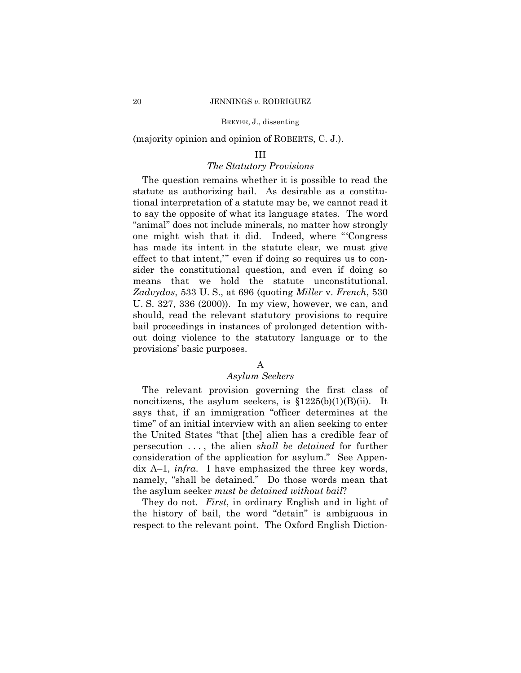(majority opinion and opinion of ROBERTS, C. J.).

# III

# *The Statutory Provisions*

 means that we hold the statute unconstitutional. The question remains whether it is possible to read the statute as authorizing bail. As desirable as a constitutional interpretation of a statute may be, we cannot read it to say the opposite of what its language states. The word "animal" does not include minerals, no matter how strongly one might wish that it did. Indeed, where "'Congress has made its intent in the statute clear, we must give effect to that intent,'" even if doing so requires us to consider the constitutional question, and even if doing so *Zadvydas*, 533 U. S., at 696 (quoting *Miller* v. *French*, 530 U. S. 327, 336 (2000)). In my view, however, we can, and should, read the relevant statutory provisions to require bail proceedings in instances of prolonged detention without doing violence to the statutory language or to the provisions' basic purposes.

# A

### *Asylum Seekers*

The relevant provision governing the first class of noncitizens, the asylum seekers, is  $$1225(b)(1)(B)(ii)$ . It says that, if an immigration "officer determines at the time" of an initial interview with an alien seeking to enter the United States "that [the] alien has a credible fear of persecution . . . , the alien *shall be detained* for further consideration of the application for asylum." See Appendix A–1, *infra*. I have emphasized the three key words, namely, "shall be detained." Do those words mean that the asylum seeker *must be detained without bail*?

 They do not. *First*, in ordinary English and in light of the history of bail, the word "detain" is ambiguous in respect to the relevant point. The Oxford English Diction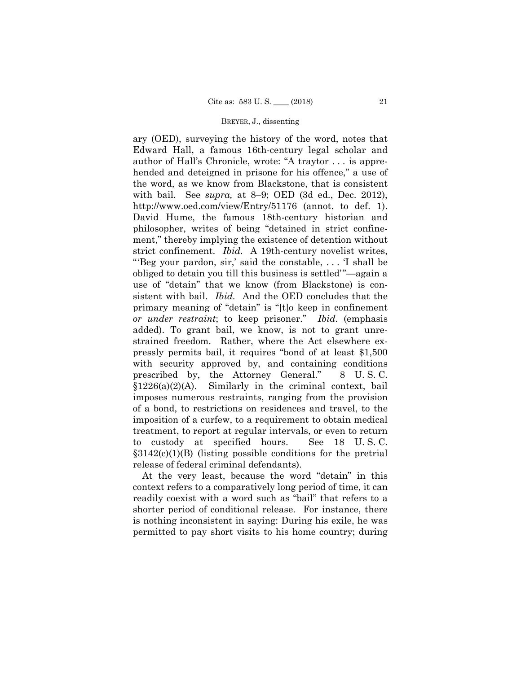added). To grant bail, we know, is not to grant unreary (OED), surveying the history of the word, notes that Edward Hall, a famous 16th-century legal scholar and author of Hall's Chronicle, wrote: "A traytor . . . is apprehended and deteigned in prisone for his offence," a use of the word, as we know from Blackstone, that is consistent with bail. See *supra,* at 8–9; OED (3d ed., Dec. 2012), http://www.oed.com/view/Entry/51176 (annot. to def. 1). David Hume, the famous 18th-century historian and philosopher, writes of being "detained in strict confinement," thereby implying the existence of detention without strict confinement. *Ibid.* A 19th-century novelist writes, "'Beg your pardon, sir,' said the constable, . . . 'I shall be obliged to detain you till this business is settled'"—again a use of "detain" that we know (from Blackstone) is consistent with bail. *Ibid.* And the OED concludes that the primary meaning of "detain" is "[t]o keep in confinement *or under restraint*; to keep prisoner." *Ibid.* (emphasis strained freedom. Rather, where the Act elsewhere expressly permits bail, it requires "bond of at least \$1,500 with security approved by, and containing conditions prescribed by, the Attorney General." 8 U. S. C. §1226(a)(2)(A). Similarly in the criminal context, bail imposes numerous restraints, ranging from the provision of a bond, to restrictions on residences and travel, to the imposition of a curfew, to a requirement to obtain medical treatment, to report at regular intervals, or even to return to custody at specified hours. See 18 U. S. C.  $§3142(c)(1)(B)$  (listing possible conditions for the pretrial release of federal criminal defendants).

At the very least, because the word "detain" in this context refers to a comparatively long period of time, it can readily coexist with a word such as "bail" that refers to a shorter period of conditional release. For instance, there is nothing inconsistent in saying: During his exile, he was permitted to pay short visits to his home country; during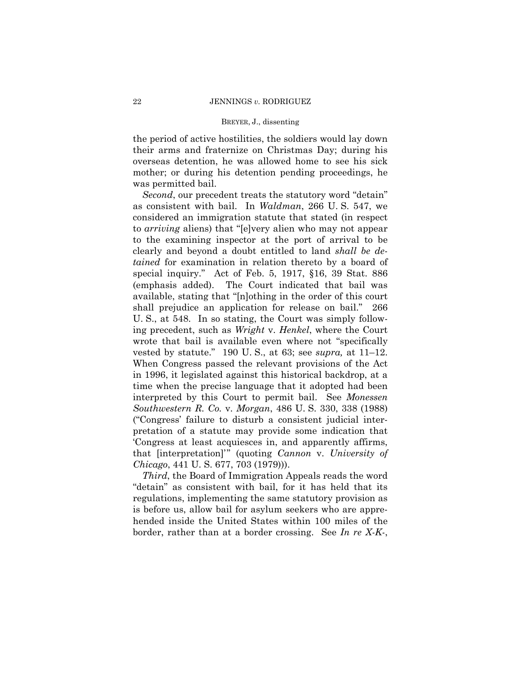the period of active hostilities, the soldiers would lay down their arms and fraternize on Christmas Day; during his overseas detention, he was allowed home to see his sick mother; or during his detention pending proceedings, he was permitted bail.

*Second*, our precedent treats the statutory word "detain" as consistent with bail. In *Waldman*, 266 U. S. 547, we considered an immigration statute that stated (in respect to *arriving* aliens) that "[e]very alien who may not appear to the examining inspector at the port of arrival to be clearly and beyond a doubt entitled to land *shall be detained* for examination in relation thereto by a board of special inquiry." Act of Feb. 5, 1917, §16, 39 Stat. 886 (emphasis added). The Court indicated that bail was available, stating that "[n]othing in the order of this court shall prejudice an application for release on bail." 266 U. S., at 548. In so stating, the Court was simply following precedent, such as *Wright* v. *Henkel*, where the Court wrote that bail is available even where not "specifically vested by statute." 190 U. S., at 63; see *supra,* at 11–12. When Congress passed the relevant provisions of the Act in 1996, it legislated against this historical backdrop, at a time when the precise language that it adopted had been interpreted by this Court to permit bail. See *Monessen Southwestern R. Co.* v. *Morgan*, 486 U. S. 330, 338 (1988) ("Congress' failure to disturb a consistent judicial interpretation of a statute may provide some indication that 'Congress at least acquiesces in, and apparently affirms, that [interpretation]'" (quoting *Cannon* v. *University of Chicago*, 441 U. S. 677, 703 (1979))).

*Third*, the Board of Immigration Appeals reads the word "detain" as consistent with bail, for it has held that its regulations, implementing the same statutory provision as is before us, allow bail for asylum seekers who are apprehended inside the United States within 100 miles of the border, rather than at a border crossing. See *In re X-K-*,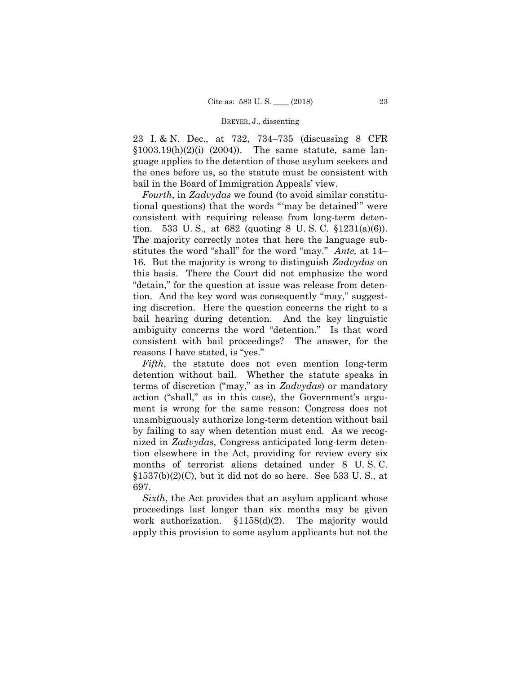23 I. & N. Dec., at 732, 734–735 (discussing 8 CFR  $$1003.19(h)(2)(i)$  (2004)). The same statute, same language applies to the detention of those asylum seekers and the ones before us, so the statute must be consistent with bail in the Board of Immigration Appeals' view.

*Fourth*, in *Zadvydas* we found (to avoid similar constitutional questions) that the words "'may be detained'" were consistent with requiring release from long-term detention. 533 U. S.*,* at 682 (quoting 8 U. S. C. §1231(a)(6)). The majority correctly notes that here the language substitutes the word "shall" for the word "may." *Ante,* at 14– 16. But the majority is wrong to distinguish *Zadvydas* on this basis. There the Court did not emphasize the word "detain," for the question at issue was release from detention. And the key word was consequently "may," suggesting discretion. Here the question concerns the right to a bail hearing during detention. And the key linguistic ambiguity concerns the word "detention." Is that word consistent with bail proceedings? The answer, for the reasons I have stated, is "yes."

*Fifth*, the statute does not even mention long-term detention without bail. Whether the statute speaks in terms of discretion ("may," as in *Zadvydas*) or mandatory action ("shall," as in this case), the Government's argument is wrong for the same reason: Congress does not unambiguously authorize long-term detention without bail by failing to say when detention must end. As we recognized in *Zadvydas*, Congress anticipated long-term detention elsewhere in the Act, providing for review every six months of terrorist aliens detained under 8 U. S. C.  $$1537(b)(2)(C)$ , but it did not do so here. See 533 U.S., at 697.

*Sixth*, the Act provides that an asylum applicant whose proceedings last longer than six months may be given work authorization. §1158(d)(2). The majority would apply this provision to some asylum applicants but not the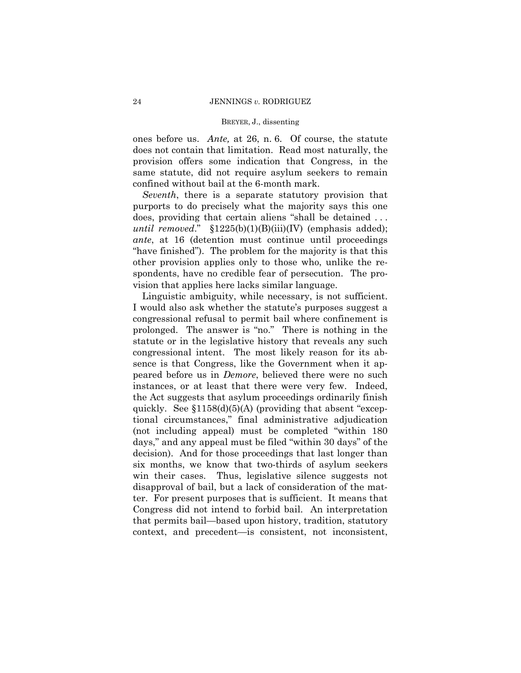ones before us. *Ante,* at 26, n. 6. Of course, the statute does not contain that limitation. Read most naturally, the provision offers some indication that Congress, in the same statute, did not require asylum seekers to remain confined without bail at the 6-month mark.

*Seventh*, there is a separate statutory provision that purports to do precisely what the majority says this one does, providing that certain aliens "shall be detained . . . *until removed*." §1225(b)(1)(B)(iii)(IV) (emphasis added); *ante*, at 16 (detention must continue until proceedings "have finished"). The problem for the majority is that this other provision applies only to those who, unlike the respondents, have no credible fear of persecution. The provision that applies here lacks similar language.

 Linguistic ambiguity, while necessary, is not sufficient. I would also ask whether the statute's purposes suggest a congressional refusal to permit bail where confinement is prolonged. The answer is "no." There is nothing in the statute or in the legislative history that reveals any such congressional intent. The most likely reason for its absence is that Congress, like the Government when it appeared before us in *Demore*, believed there were no such instances, or at least that there were very few. Indeed, the Act suggests that asylum proceedings ordinarily finish quickly. See  $$1158(d)(5)(A)$  (providing that absent "exceptional circumstances," final administrative adjudication (not including appeal) must be completed "within 180 days," and any appeal must be filed "within 30 days" of the decision). And for those proceedings that last longer than six months, we know that two-thirds of asylum seekers win their cases. Thus, legislative silence suggests not disapproval of bail, but a lack of consideration of the matter. For present purposes that is sufficient. It means that Congress did not intend to forbid bail. An interpretation that permits bail—based upon history, tradition, statutory context, and precedent—is consistent, not inconsistent,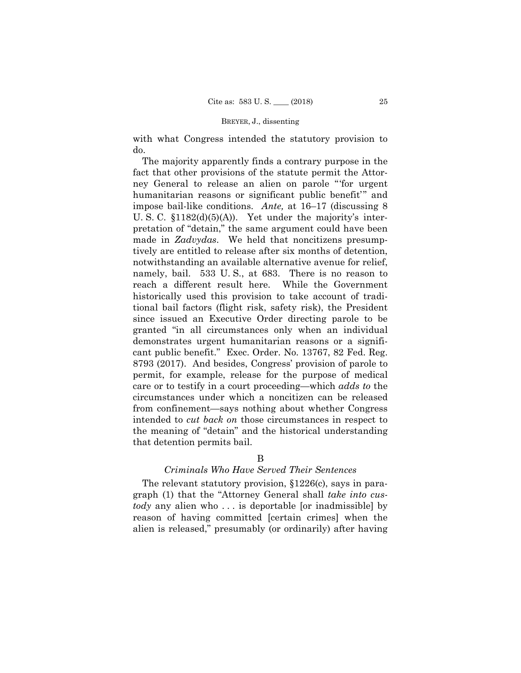with what Congress intended the statutory provision to do.

The majority apparently finds a contrary purpose in the fact that other provisions of the statute permit the Attorney General to release an alien on parole "'for urgent humanitarian reasons or significant public benefit'" and impose bail-like conditions. *Ante,* at 16–17 (discussing 8 U. S. C. §1182(d)(5)(A)). Yet under the majority's interpretation of "detain," the same argument could have been made in *Zadvydas*. We held that noncitizens presumptively are entitled to release after six months of detention, notwithstanding an available alternative avenue for relief, namely, bail. 533 U. S., at 683. There is no reason to reach a different result here. While the Government historically used this provision to take account of traditional bail factors (flight risk, safety risk), the President since issued an Executive Order directing parole to be granted "in all circumstances only when an individual demonstrates urgent humanitarian reasons or a significant public benefit." Exec. Order. No. 13767, 82 Fed. Reg. 8793 (2017). And besides, Congress' provision of parole to permit, for example, release for the purpose of medical care or to testify in a court proceeding—which *adds to* the circumstances under which a noncitizen can be released from confinement—says nothing about whether Congress intended to *cut back on* those circumstances in respect to the meaning of "detain" and the historical understanding that detention permits bail.

## B

### *Criminals Who Have Served Their Sentences*

The relevant statutory provision, §1226(c), says in paragraph (1) that the "Attorney General shall *take into custody* any alien who . . . is deportable [or inadmissible] by reason of having committed [certain crimes] when the alien is released," presumably (or ordinarily) after having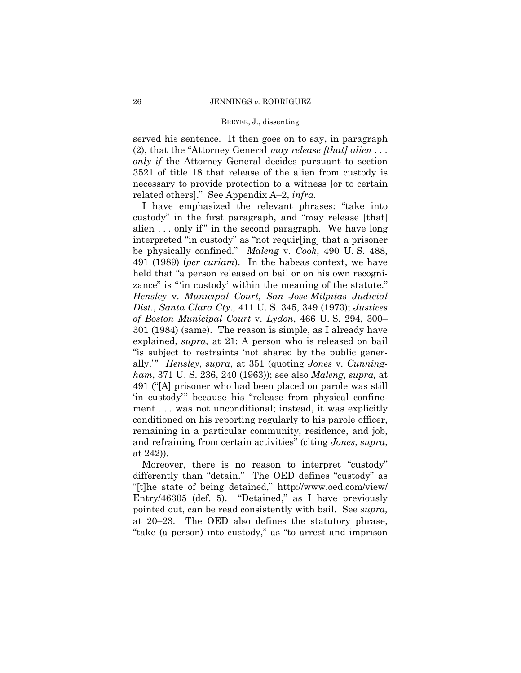served his sentence. It then goes on to say, in paragraph (2), that the "Attorney General *may release [that] alien . . . only if* the Attorney General decides pursuant to section 3521 of title 18 that release of the alien from custody is necessary to provide protection to a witness [or to certain related others]." See Appendix A–2, *infra*.

I have emphasized the relevant phrases: "take into custody" in the first paragraph, and "may release [that] alien ... only if" in the second paragraph. We have long interpreted "in custody" as "not requir[ing] that a prisoner be physically confined." *Maleng* v. *Cook*, 490 U. S. 488, 491 (1989) (*per curiam*). In the habeas context, we have held that "a person released on bail or on his own recognizance" is "'in custody' within the meaning of the statute." *Hensley* v. *Municipal Court, San Jose-Milpitas Judicial Dist.*, *Santa Clara Cty*., 411 U. S. 345, 349 (1973); *Justices of Boston Municipal Court* v. *Lydon*, 466 U. S. 294, 300– 301 (1984) (same). The reason is simple, as I already have explained, *supra,* at 21: A person who is released on bail "is subject to restraints 'not shared by the public generally.'" *Hensley*, *supra*, at 351 (quoting *Jones* v. *Cunningham*, 371 U. S. 236, 240 (1963)); see also *Maleng*, *supra,* at 491 ("[A] prisoner who had been placed on parole was still 'in custody'" because his "release from physical confinement . . . was not unconditional; instead, it was explicitly conditioned on his reporting regularly to his parole officer, remaining in a particular community, residence, and job, and refraining from certain activities" (citing *Jones*, *supra*, at 242)).

Moreover, there is no reason to interpret "custody" differently than "detain." The OED defines "custody" as "[t]he state of being detained," http://www.oed.com/view/ Entry/46305 (def. 5). "Detained," as I have previously pointed out, can be read consistently with bail. See *supra,* at 20–23. The OED also defines the statutory phrase, "take (a person) into custody," as "to arrest and imprison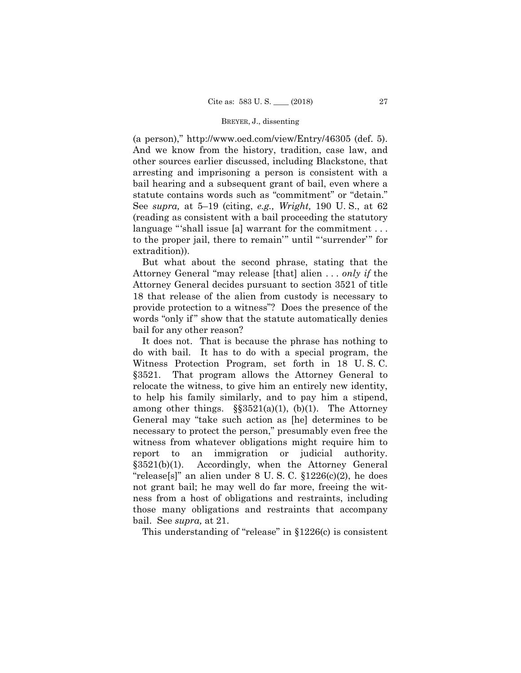(a person)," http://www.oed.com/view/Entry/46305 (def. 5). And we know from the history, tradition, case law, and other sources earlier discussed, including Blackstone, that arresting and imprisoning a person is consistent with a bail hearing and a subsequent grant of bail, even where a statute contains words such as "commitment" or "detain." See *supra,* at 5–19 (citing, *e.g., Wright,* 190 U. S., at 62 (reading as consistent with a bail proceeding the statutory language "'shall issue [a] warrant for the commitment . . . to the proper jail, there to remain'" until "'surrender'" for extradition)).

But what about the second phrase, stating that the Attorney General "may release [that] alien . . . *only if* the Attorney General decides pursuant to section 3521 of title 18 that release of the alien from custody is necessary to provide protection to a witness"? Does the presence of the words "only if" show that the statute automatically denies bail for any other reason?

 do with bail. It has to do with a special program, the It does not. That is because the phrase has nothing to Witness Protection Program, set forth in 18 U. S. C. §3521. That program allows the Attorney General to relocate the witness, to give him an entirely new identity, to help his family similarly, and to pay him a stipend, among other things.  $\S$ §3521(a)(1), (b)(1). The Attorney General may "take such action as [he] determines to be necessary to protect the person," presumably even free the witness from whatever obligations might require him to report to an immigration or judicial authority. §3521(b)(1). Accordingly, when the Attorney General "release[s]" an alien under  $8 \text{ U. S. C. } \S1226(c)(2)$ , he does not grant bail; he may well do far more, freeing the witness from a host of obligations and restraints, including those many obligations and restraints that accompany bail. See *supra,* at 21.

This understanding of "release" in §1226(c) is consistent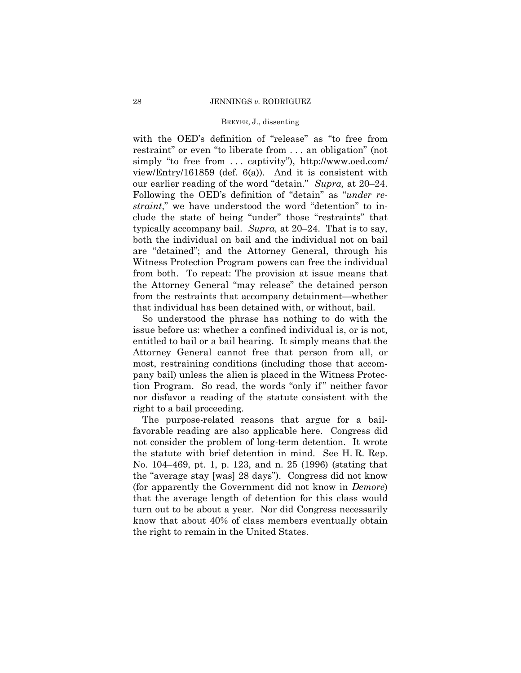with the OED's definition of "release" as "to free from restraint" or even "to liberate from . . . an obligation" (not simply "to free from ... captivity"), http://www.oed.com/ view/Entry/161859 (def. 6(a)). And it is consistent with our earlier reading of the word "detain." *Supra,* at 20–24. Following the OED's definition of "detain" as "*under restraint*," we have understood the word "detention" to include the state of being "under" those "restraints" that typically accompany bail. *Supra,* at 20–24. That is to say, both the individual on bail and the individual not on bail are "detained"; and the Attorney General, through his Witness Protection Program powers can free the individual from both. To repeat: The provision at issue means that the Attorney General "may release" the detained person from the restraints that accompany detainment—whether that individual has been detained with, or without, bail.

So understood the phrase has nothing to do with the issue before us: whether a confined individual is, or is not, entitled to bail or a bail hearing. It simply means that the Attorney General cannot free that person from all, or most, restraining conditions (including those that accompany bail) unless the alien is placed in the Witness Protection Program. So read, the words "only if " neither favor nor disfavor a reading of the statute consistent with the right to a bail proceeding.

The purpose-related reasons that argue for a bailfavorable reading are also applicable here. Congress did not consider the problem of long-term detention. It wrote the statute with brief detention in mind. See H. R. Rep. No. 104–469, pt. 1, p. 123, and n. 25 (1996) (stating that the "average stay [was] 28 days"). Congress did not know (for apparently the Government did not know in *Demore*) that the average length of detention for this class would turn out to be about a year. Nor did Congress necessarily know that about 40% of class members eventually obtain the right to remain in the United States.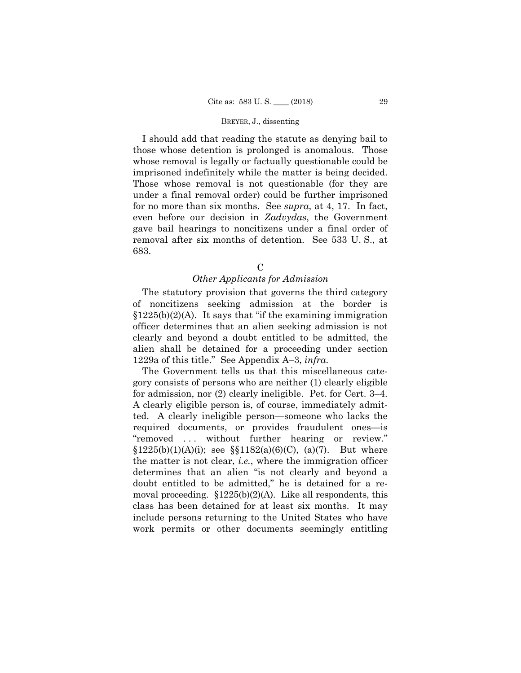for no more than six months. See *supra*, at 4, 17. In fact, I should add that reading the statute as denying bail to those whose detention is prolonged is anomalous. Those whose removal is legally or factually questionable could be imprisoned indefinitely while the matter is being decided. Those whose removal is not questionable (for they are under a final removal order) could be further imprisoned even before our decision in *Zadvydas*, the Government gave bail hearings to noncitizens under a final order of removal after six months of detention. See 533 U. S., at 683.

### $\mathcal{C}$

# *Other Applicants for Admission*

The statutory provision that governs the third category of noncitizens seeking admission at the border is  $$1225(b)(2)(A)$ . It says that "if the examining immigration" officer determines that an alien seeking admission is not clearly and beyond a doubt entitled to be admitted, the alien shall be detained for a proceeding under section 1229a of this title." See Appendix A–3, *infra*.

 moval proceeding. §1225(b)(2)(A). Like all respondents, this The Government tells us that this miscellaneous category consists of persons who are neither (1) clearly eligible for admission, nor (2) clearly ineligible. Pet. for Cert. 3–4. A clearly eligible person is, of course, immediately admitted. A clearly ineligible person—someone who lacks the required documents, or provides fraudulent ones—is "removed ... without further hearing or review."  $\S 1225(b)(1)(A)(i)$ ; see  $\S \ \ 1182(a)(6)(C)$ , (a)(7). But where the matter is not clear, *i.e.*, where the immigration officer determines that an alien "is not clearly and beyond a doubt entitled to be admitted," he is detained for a reclass has been detained for at least six months. It may include persons returning to the United States who have work permits or other documents seemingly entitling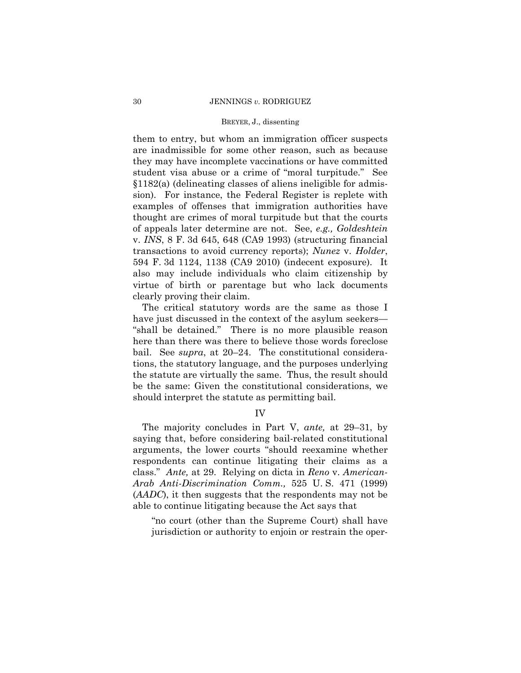them to entry, but whom an immigration officer suspects are inadmissible for some other reason, such as because they may have incomplete vaccinations or have committed student visa abuse or a crime of "moral turpitude." See §1182(a) (delineating classes of aliens ineligible for admission). For instance, the Federal Register is replete with examples of offenses that immigration authorities have thought are crimes of moral turpitude but that the courts of appeals later determine are not. See, *e.g., Goldeshtein*  v. *INS*, 8 F. 3d 645, 648 (CA9 1993) (structuring financial transactions to avoid currency reports); *Nunez* v. *Holder*, 594 F. 3d 1124, 1138 (CA9 2010) (indecent exposure). It also may include individuals who claim citizenship by virtue of birth or parentage but who lack documents clearly proving their claim.

The critical statutory words are the same as those I have just discussed in the context of the asylum seekers— "shall be detained." There is no more plausible reason here than there was there to believe those words foreclose bail. See *supra*, at 20–24. The constitutional considerations, the statutory language, and the purposes underlying the statute are virtually the same. Thus, the result should be the same: Given the constitutional considerations, we should interpret the statute as permitting bail.

IV

The majority concludes in Part V, *ante,* at 29–31, by saying that, before considering bail-related constitutional arguments, the lower courts "should reexamine whether respondents can continue litigating their claims as a class." *Ante,* at 29. Relying on dicta in *Reno* v. *American-Arab Anti-Discrimination Comm.,* 525 U. S. 471 (1999) (*AADC*), it then suggests that the respondents may not be able to continue litigating because the Act says that

"no court (other than the Supreme Court) shall have jurisdiction or authority to enjoin or restrain the oper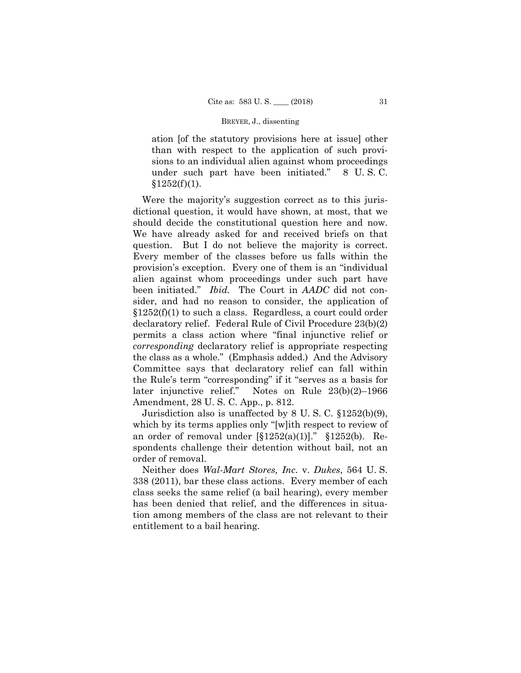ation [of the statutory provisions here at issue] other than with respect to the application of such provisions to an individual alien against whom proceedings under such part have been initiated." 8 U. S. C.  $§1252(f)(1).$ 

Were the majority's suggestion correct as to this jurisdictional question, it would have shown, at most, that we should decide the constitutional question here and now. We have already asked for and received briefs on that question. But I do not believe the majority is correct. Every member of the classes before us falls within the provision's exception. Every one of them is an "individual alien against whom proceedings under such part have been initiated." *Ibid.* The Court in *AADC* did not consider, and had no reason to consider, the application of  $$1252(f)(1)$  to such a class. Regardless, a court could order declaratory relief. Federal Rule of Civil Procedure 23(b)(2) permits a class action where "final injunctive relief or *corresponding* declaratory relief is appropriate respecting the class as a whole." (Emphasis added.) And the Advisory Committee says that declaratory relief can fall within the Rule's term "corresponding" if it "serves as a basis for later injunctive relief." Notes on Rule 23(b)(2)–1966 Amendment, 28 U. S. C. App., p. 812.

Jurisdiction also is unaffected by 8 U. S. C. §1252(b)(9), which by its terms applies only "[w]ith respect to review of an order of removal under  $[\S1252(a)(1)]$ ."  $\S1252(b)$ . Respondents challenge their detention without bail, not an order of removal.

 Neither does *Wal-Mart Stores, Inc.* v. *Dukes*, 564 U. S. 338 (2011), bar these class actions. Every member of each class seeks the same relief (a bail hearing), every member has been denied that relief, and the differences in situation among members of the class are not relevant to their entitlement to a bail hearing.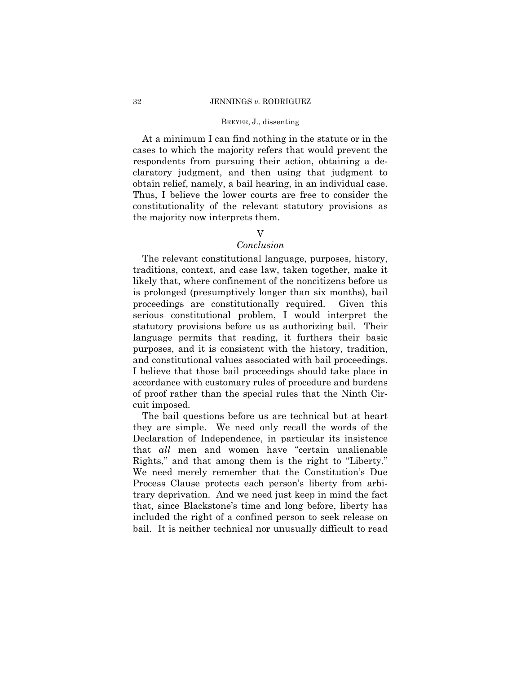### 32 JENNINGS *v.* RODRIGUEZ

### BREYER, J., dissenting

At a minimum I can find nothing in the statute or in the cases to which the majority refers that would prevent the respondents from pursuing their action, obtaining a declaratory judgment, and then using that judgment to obtain relief, namely, a bail hearing, in an individual case. Thus, I believe the lower courts are free to consider the constitutionality of the relevant statutory provisions as the majority now interprets them.

## V

## *Conclusion*

 and constitutional values associated with bail proceedings. The relevant constitutional language, purposes, history, traditions, context, and case law, taken together, make it likely that, where confinement of the noncitizens before us is prolonged (presumptively longer than six months), bail proceedings are constitutionally required. Given this serious constitutional problem, I would interpret the statutory provisions before us as authorizing bail. Their language permits that reading, it furthers their basic purposes, and it is consistent with the history, tradition, I believe that those bail proceedings should take place in accordance with customary rules of procedure and burdens of proof rather than the special rules that the Ninth Circuit imposed.

The bail questions before us are technical but at heart they are simple. We need only recall the words of the Declaration of Independence, in particular its insistence that *all* men and women have "certain unalienable Rights," and that among them is the right to "Liberty." We need merely remember that the Constitution's Due Process Clause protects each person's liberty from arbitrary deprivation. And we need just keep in mind the fact that, since Blackstone's time and long before, liberty has included the right of a confined person to seek release on bail. It is neither technical nor unusually difficult to read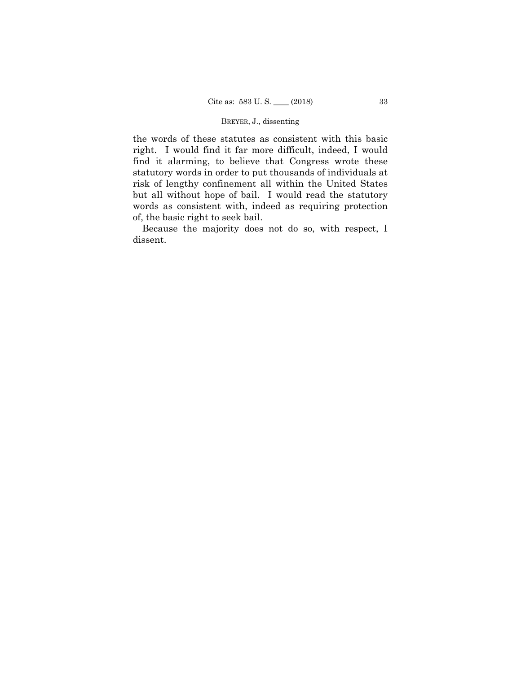the words of these statutes as consistent with this basic right. I would find it far more difficult, indeed, I would find it alarming, to believe that Congress wrote these statutory words in order to put thousands of individuals at risk of lengthy confinement all within the United States but all without hope of bail. I would read the statutory words as consistent with, indeed as requiring protection of, the basic right to seek bail.

Because the majority does not do so, with respect, I dissent.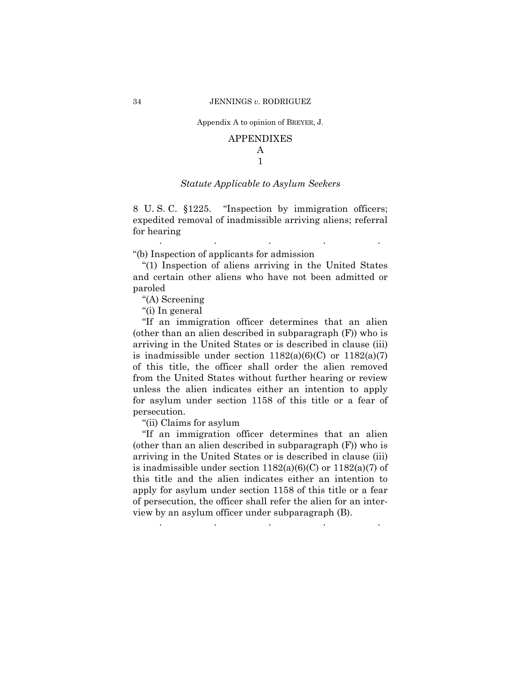### APPENDIXES A

# 1

### *Statute Applicable to Asylum Seekers*

8 U. S. C. §1225. "Inspection by immigration officers; expedited removal of inadmissible arriving aliens; referral for hearing . The contract of the contract of the contract of the contract of the contract of the contract of the contract of the contract of the contract of the contract of the contract of the contract of the contract of the contrac

"(b) Inspection of applicants for admission

"(1) Inspection of aliens arriving in the United States and certain other aliens who have not been admitted or paroled

"(A) Screening

"(i) In general

"If an immigration officer determines that an alien (other than an alien described in subparagraph (F)) who is arriving in the United States or is described in clause (iii) is inadmissible under section  $1182(a)(6)(C)$  or  $1182(a)(7)$ of this title, the officer shall order the alien removed from the United States without further hearing or review unless the alien indicates either an intention to apply for asylum under section 1158 of this title or a fear of persecution.

"(ii) Claims for asylum

"If an immigration officer determines that an alien (other than an alien described in subparagraph (F)) who is arriving in the United States or is described in clause (iii) is inadmissible under section  $1182(a)(6)(C)$  or  $1182(a)(7)$  of this title and the alien indicates either an intention to apply for asylum under section 1158 of this title or a fear of persecution, the officer shall refer the alien for an interview by an asylum officer under subparagraph (B). . . . . .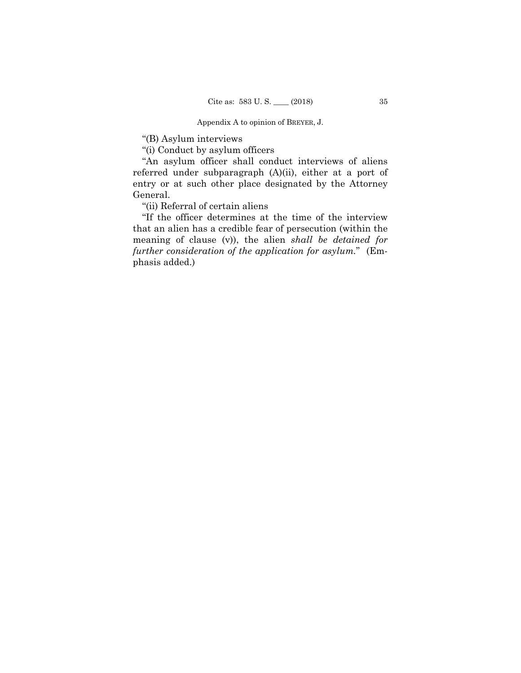"(B) Asylum interviews

"(i) Conduct by asylum officers

"An asylum officer shall conduct interviews of aliens referred under subparagraph (A)(ii), either at a port of entry or at such other place designated by the Attorney General.

"(ii) Referral of certain aliens

"If the officer determines at the time of the interview that an alien has a credible fear of persecution (within the meaning of clause (v)), the alien *shall be detained for further consideration of the application for asylum.*" (Emphasis added.)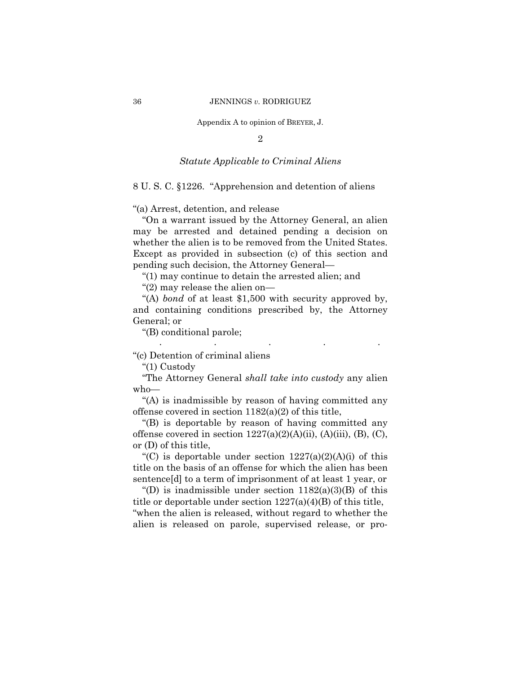2

### *Statute Applicable to Criminal Aliens*

8 U. S. C. §1226. "Apprehension and detention of aliens

"(a) Arrest, detention, and release

"On a warrant issued by the Attorney General, an alien may be arrested and detained pending a decision on whether the alien is to be removed from the United States. Except as provided in subsection (c) of this section and pending such decision, the Attorney General—

"(1) may continue to detain the arrested alien; and

"(2) may release the alien on—

"(A) *bond* of at least \$1,500 with security approved by, and containing conditions prescribed by, the Attorney General; or

. . . . .

"(B) conditional parole;

"(c) Detention of criminal aliens

"(1) Custody

"The Attorney General *shall take into custody* any alien who—

"(A) is inadmissible by reason of having committed any offense covered in section  $1182(a)(2)$  of this title,

"(B) is deportable by reason of having committed any offense covered in section  $1227(a)(2)(A)(ii)$ ,  $(A)(iii)$ ,  $(B)$ ,  $(C)$ , or (D) of this title,

"(C) is deportable under section  $1227(a)(2)(A)(i)$  of this title on the basis of an offense for which the alien has been sentence[d] to a term of imprisonment of at least 1 year, or

"(D) is inadmissible under section  $1182(a)(3)(B)$  of this title or deportable under section 1227(a)(4)(B) of this title, "when the alien is released, without regard to whether the alien is released on parole, supervised release, or pro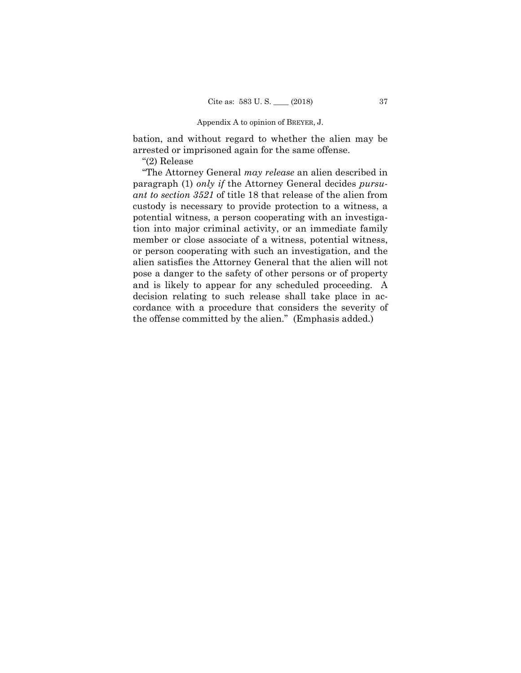bation, and without regard to whether the alien may be arrested or imprisoned again for the same offense.

"(2) Release

"The Attorney General *may release* an alien described in paragraph (1) *only if* the Attorney General decides *pursuant to section 3521* of title 18 that release of the alien from custody is necessary to provide protection to a witness, a potential witness, a person cooperating with an investigation into major criminal activity, or an immediate family member or close associate of a witness, potential witness, or person cooperating with such an investigation, and the alien satisfies the Attorney General that the alien will not pose a danger to the safety of other persons or of property and is likely to appear for any scheduled proceeding. A decision relating to such release shall take place in accordance with a procedure that considers the severity of the offense committed by the alien." (Emphasis added.)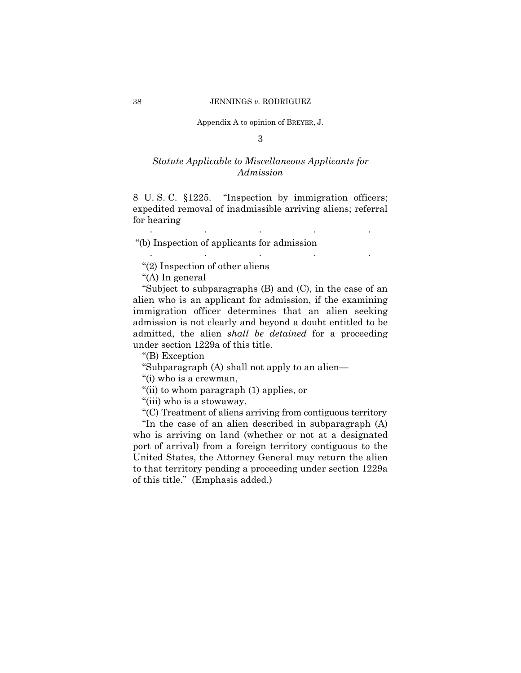3

# *Statute Applicable to Miscellaneous Applicants for Admission*

8 U. S. C. §1225. "Inspection by immigration officers; expedited removal of inadmissible arriving aliens; referral for hearing

. . . . .

. . . . .

"(b) Inspection of applicants for admission

"(2) Inspection of other aliens

"(A) In general

"Subject to subparagraphs (B) and (C), in the case of an alien who is an applicant for admission, if the examining immigration officer determines that an alien seeking admission is not clearly and beyond a doubt entitled to be admitted, the alien *shall be detained* for a proceeding under section 1229a of this title.

"(B) Exception

"Subparagraph (A) shall not apply to an alien—

"(i) who is a crewman,

"(ii) to whom paragraph (1) applies, or

"(iii) who is a stowaway.

"(C) Treatment of aliens arriving from contiguous territory

"In the case of an alien described in subparagraph (A) who is arriving on land (whether or not at a designated port of arrival) from a foreign territory contiguous to the United States, the Attorney General may return the alien to that territory pending a proceeding under section 1229a of this title." (Emphasis added.)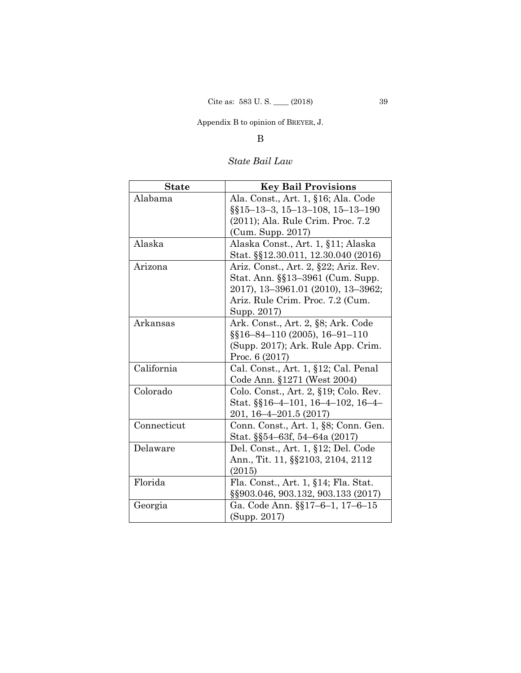# B

# *State Bail Law*

| <b>State</b> | <b>Key Bail Provisions</b>            |
|--------------|---------------------------------------|
| Alabama      | Ala. Const., Art. 1, §16; Ala. Code   |
|              | $\S$ [15-13-3, 15-13-108, 15-13-190]  |
|              | (2011); Ala. Rule Crim. Proc. 7.2     |
|              | (Cum. Supp. 2017)                     |
| Alaska       | Alaska Const., Art. 1, §11; Alaska    |
|              | Stat. §§12.30.011, 12.30.040 (2016)   |
| Arizona      | Ariz. Const., Art. 2, §22; Ariz. Rev. |
|              | Stat. Ann. §§13–3961 (Cum. Supp.      |
|              | 2017), 13–3961.01 (2010), 13–3962;    |
|              | Ariz. Rule Crim. Proc. 7.2 (Cum.      |
|              | Supp. 2017)                           |
| Arkansas     | Ark. Const., Art. 2, §8; Ark. Code    |
|              | §§16-84-110 (2005), 16-91-110         |
|              | (Supp. 2017); Ark. Rule App. Crim.    |
|              | Proc. 6 (2017)                        |
| California   | Cal. Const., Art. 1, §12; Cal. Penal  |
|              | Code Ann. §1271 (West 2004)           |
| Colorado     | Colo. Const., Art. 2, §19; Colo. Rev. |
|              | Stat. §§16–4–101, 16–4–102, 16–4–     |
|              | 201, 16–4–201.5 (2017)                |
| Connecticut  | Conn. Const., Art. 1, §8; Conn. Gen.  |
|              | Stat. §§54–63f, 54–64a (2017)         |
| Delaware     | Del. Const., Art. 1, §12; Del. Code   |
|              | Ann., Tit. 11, §§2103, 2104, 2112     |
|              | (2015)                                |
| Florida      | Fla. Const., Art. 1, §14; Fla. Stat.  |
|              | §§903.046, 903.132, 903.133 (2017)    |
| Georgia      | Ga. Code Ann. §§17–6–1, 17–6–15       |
|              | (Supp. 2017)                          |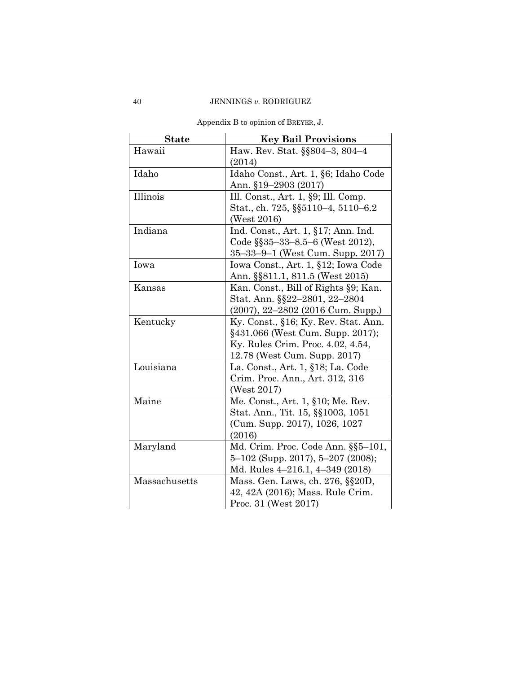| <b>State</b>  | <b>Key Bail Provisions</b>             |
|---------------|----------------------------------------|
| Hawaii        | Haw. Rev. Stat. §§804–3, 804–4         |
|               | (2014)                                 |
| Idaho         | Idaho Const., Art. 1, §6; Idaho Code   |
|               | Ann. §19–2903 (2017)                   |
| Illinois      | Ill. Const., Art. $1, §9$ ; Ill. Comp. |
|               | Stat., ch. 725, §§5110-4, 5110-6.2     |
|               | (West 2016)                            |
| Indiana       | Ind. Const., Art. 1, §17; Ann. Ind.    |
|               | Code §§35-33-8.5-6 (West 2012),        |
|               | 35–33–9–1 (West Cum. Supp. 2017)       |
| Iowa          | Iowa Const., Art. 1, §12; Iowa Code    |
|               | Ann. §§811.1, 811.5 (West 2015)        |
| Kansas        | Kan. Const., Bill of Rights §9; Kan.   |
|               | Stat. Ann. §§22–2801, 22–2804          |
|               | $(2007), 22-2802$ $(2016$ Cum. Supp.)  |
| Kentucky      | Ky. Const., §16; Ky. Rev. Stat. Ann.   |
|               | §431.066 (West Cum. Supp. 2017);       |
|               | Ky. Rules Crim. Proc. 4.02, 4.54,      |
|               | 12.78 (West Cum. Supp. 2017)           |
| Louisiana     | La. Const., Art. 1, §18; La. Code      |
|               | Crim. Proc. Ann., Art. 312, 316        |
|               | (West 2017)                            |
| Maine         | Me. Const., Art. 1, §10; Me. Rev.      |
|               | Stat. Ann., Tit. 15, §§1003, 1051      |
|               | (Cum. Supp. 2017), 1026, 1027          |
|               | (2016)                                 |
| Maryland      | Md. Crim. Proc. Code Ann. §§5-101,     |
|               | $5-102$ (Supp. 2017), $5-207$ (2008);  |
|               | Md. Rules $4-216.1$ , $4-349$ (2018)   |
| Massachusetts | Mass. Gen. Laws, ch. 276, §§20D,       |
|               | 42, 42A (2016); Mass. Rule Crim.       |
|               | Proc. 31 (West 2017)                   |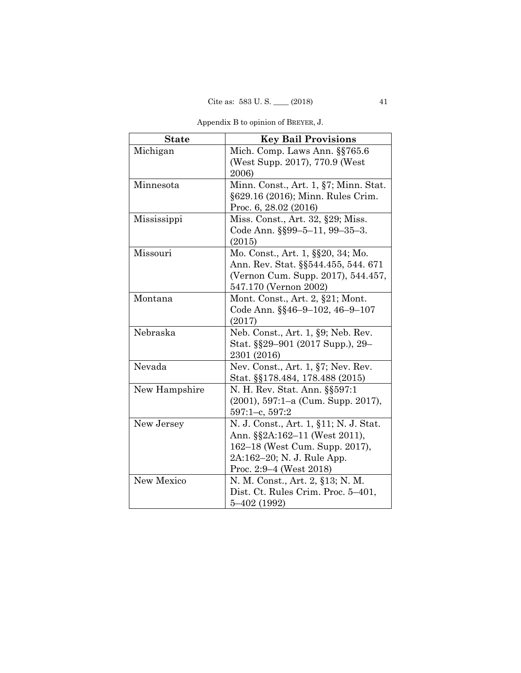| Appendix B to opinion of BREYER, J. |  |
|-------------------------------------|--|
|-------------------------------------|--|

| <b>State</b>  | <b>Key Bail Provisions</b>             |
|---------------|----------------------------------------|
| Michigan      | Mich. Comp. Laws Ann. §§765.6          |
|               | (West Supp. 2017), 770.9 (West)        |
|               | 2006)                                  |
| Minnesota     | Minn. Const., Art. 1, §7; Minn. Stat.  |
|               | §629.16 (2016); Minn. Rules Crim.      |
|               | Proc. 6, 28.02 (2016)                  |
| Mississippi   | Miss. Const., Art. 32, §29; Miss.      |
|               | Code Ann. §§99-5-11, 99-35-3.          |
|               | (2015)                                 |
| Missouri      | Mo. Const., Art. 1, §§20, 34; Mo.      |
|               | Ann. Rev. Stat. §§544.455, 544. 671    |
|               | (Vernon Cum. Supp. 2017), 544.457,     |
|               | 547.170 (Vernon 2002)                  |
| Montana       | Mont. Const., Art. 2, §21; Mont.       |
|               | Code Ann. §§46–9–102, 46–9–107         |
|               | (2017)                                 |
| Nebraska      | Neb. Const., Art. 1, §9; Neb. Rev.     |
|               | Stat. §§29–901 (2017 Supp.), 29–       |
|               | 2301 (2016)                            |
| Nevada        | Nev. Const., Art. $1, §7$ ; Nev. Rev.  |
|               | Stat. §§178.484, 178.488 (2015)        |
| New Hampshire | N. H. Rev. Stat. Ann. §§597:1          |
|               | $(2001)$ , 597:1–a (Cum. Supp. 2017),  |
|               | $597:1-c$ , $597:2$                    |
| New Jersey    | N. J. Const., Art. 1, §11; N. J. Stat. |
|               | Ann. §§2A:162-11 (West 2011),          |
|               | 162–18 (West Cum. Supp. 2017),         |
|               | 2A:162–20; N. J. Rule App.             |
|               | Proc. $2:9-4$ (West $2018$ )           |
| New Mexico    | N. M. Const., Art. 2, §13; N. M.       |
|               | Dist. Ct. Rules Crim. Proc. 5-401,     |
|               | 5–402 (1992)                           |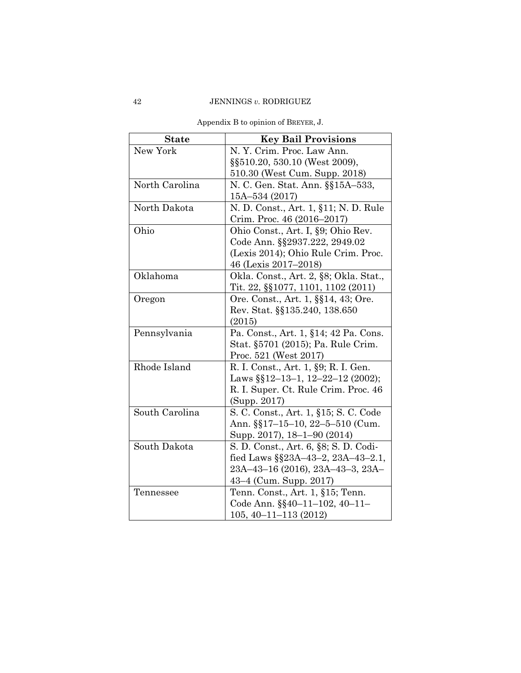| <b>State</b>   | <b>Key Bail Provisions</b>                 |
|----------------|--------------------------------------------|
| New York       | N. Y. Crim. Proc. Law Ann.                 |
|                | §§510.20, 530.10 (West 2009),              |
|                | 510.30 (West Cum. Supp. 2018)              |
| North Carolina | N. C. Gen. Stat. Ann. §§15A-533,           |
|                | 15A-534 (2017)                             |
| North Dakota   | N. D. Const., Art. 1, §11; N. D. Rule      |
|                | Crim. Proc. 46 (2016–2017)                 |
| Ohio           | Ohio Const., Art. I, §9; Ohio Rev.         |
|                | Code Ann. §§2937.222, 2949.02              |
|                | (Lexis 2014); Ohio Rule Crim. Proc.        |
|                | 46 (Lexis 2017–2018)                       |
| Oklahoma       | Okla. Const., Art. 2, §8; Okla. Stat.,     |
|                | Tit. 22, §§1077, 1101, 1102 (2011)         |
| Oregon         | Ore. Const., Art. 1, §§14, 43; Ore.        |
|                | Rev. Stat. §§135.240, 138.650              |
|                | (2015)                                     |
| Pennsylvania   | Pa. Const., Art. 1, §14; 42 Pa. Cons.      |
|                | Stat. §5701 (2015); Pa. Rule Crim.         |
|                | Proc. 521 (West 2017)                      |
| Rhode Island   | R. I. Const., Art. 1, §9; R. I. Gen.       |
|                | Laws $\S$ [12-13-1, 12-22-12 (2002);       |
|                | R. I. Super. Ct. Rule Crim. Proc. 46       |
|                | (Supp. 2017)                               |
| South Carolina | S. C. Const., Art. 1, §15; S. C. Code      |
|                | Ann. §§17–15–10, 22–5–510 (Cum.            |
|                | Supp. 2017), 18–1–90 (2014)                |
| South Dakota   | S. D. Const., Art. 6, §8; S. D. Codi-      |
|                | fied Laws $\S$ $23A-43-2$ , $23A-43-2.1$ , |
|                | 23A-43-16 (2016), 23A-43-3, 23A-           |
|                | 43–4 (Cum. Supp. 2017)                     |
| Tennessee      | Tenn. Const., Art. 1, §15; Tenn.           |
|                | Code Ann. §§40-11-102, 40-11-              |
|                | $105, 40 - 11 - 113$ (2012)                |